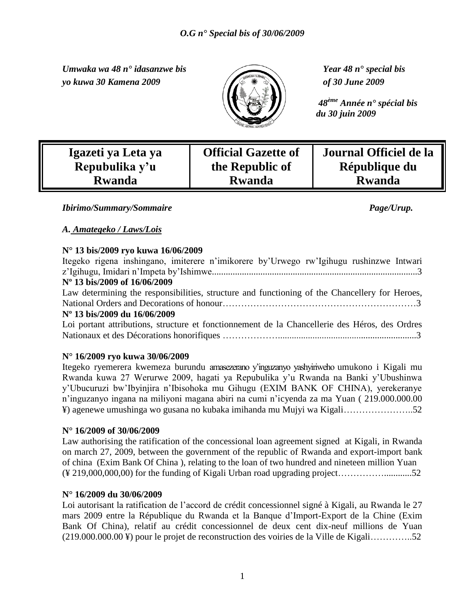*Umwaka wa 48 n° idasanzwe bis Year 48 n° special bis yo kuwa 30 Kamena 2009 of 30 June 2009*



 *48ème Année n° spécial bis du 30 juin 2009*

| Igazeti ya Leta ya |
|--------------------|
| Repubulika y'u     |
| <b>Rwanda</b>      |

**Official Gazette of the Republic of Rwanda**

**Rwanda**

**Journal Officiel de la République du** 

*A. Amategeko / Laws/Lois* 

#### **N° 13 bis/2009 ryo kuwa 16/06/2009**

| Itegeko rigena inshingano, imiterere n'imikorere by Urwego rw'Igihugu rushinzwe Intwari        |
|------------------------------------------------------------------------------------------------|
|                                                                                                |
| N° 13 bis/2009 of 16/06/2009                                                                   |
| Law determining the responsibilities, structure and functioning of the Chancellery for Heroes, |
|                                                                                                |
| N° 13 bis/2009 du 16/06/2009                                                                   |
| Loi portant attributions, structure et fonctionnement de la Chancellerie des Héros, des Ordres |
|                                                                                                |

*Ibirimo/Summary/Sommaire Page/Urup.*

#### **N° 16/2009 ryo kuwa 30/06/2009**

Itegeko ryemerera kwemeza burundu amasezerano y"inguzanyo yashyiriweho umukono i Kigali mu Rwanda kuwa 27 Werurwe 2009, hagati ya Repubulika y"u Rwanda na Banki y"Ubushinwa y"Ubucuruzi bw"Ibyinjira n"Ibisohoka mu Gihugu (EXIM BANK OF CHINA), yerekeranye n"inguzanyo ingana na miliyoni magana abiri na cumi n"icyenda za ma Yuan ( 219.000.000.00 ¥) agenewe umushinga wo gusana no kubaka imihanda mu Mujyi wa Kigali…………………..52

#### **N° 16/2009 of 30/06/2009**

Law authorising the ratification of the concessional loan agreement signed at Kigali, in Rwanda on march 27, 2009, between the government of the republic of Rwanda and export-import bank of china (Exim Bank Of China ), relating to the loan of two hundred and nineteen million Yuan (¥ 219,000,000,00) for the funding of Kigali Urban road upgrading project……………............52

#### **N° 16/2009 du 30/06/2009**

Loi autorisant la ratification de l"accord de crédit concessionnel signé à Kigali, au Rwanda le 27 mars 2009 entre la République du Rwanda et la Banque d"Import-Export de la Chine (Exim Bank Of China), relatif au crédit concessionnel de deux cent dix-neuf millions de Yuan (219.000.000.00 ¥) pour le projet de reconstruction des voiries de la Ville de Kigali…………..52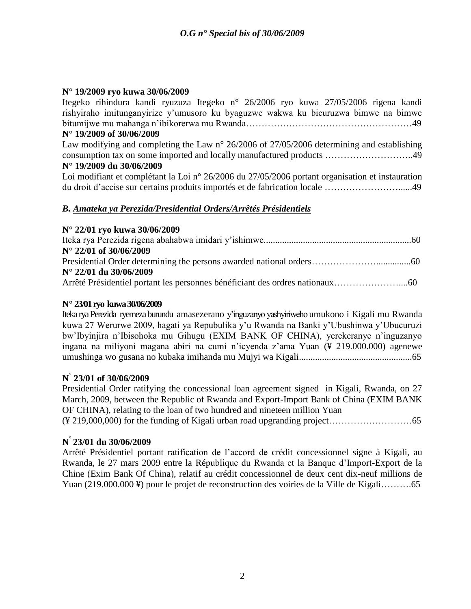#### **N° 19/2009 ryo kuwa 30/06/2009**

Itegeko rihindura kandi ryuzuza Itegeko n° 26/2006 ryo kuwa 27/05/2006 rigena kandi rishyiraho imitunganyirize y"umusoro ku byaguzwe wakwa ku bicuruzwa bimwe na bimwe bitumijwe mu mahanga n"ibikorerwa mu Rwanda………………………………………………49 **N° 19/2009 of 30/06/2009** Law modifying and completing the Law n° 26/2006 of 27/05/2006 determining and establishing consumption tax on some imported and locally manufactured products ………………………..49 **N° 19/2009 du 30/06/2009** Loi modifiant et complétant la Loi n° 26/2006 du 27/05/2006 portant organisation et instauration du droit d"accise sur certains produits importés et de fabrication locale ……………………......49

### *B. Amateka ya Perezida/Presidential Orders/Arrêtés Présidentiels*

| N° 22/01 ryo kuwa 30/06/2009    |  |
|---------------------------------|--|
|                                 |  |
| $N^{\circ}$ 22/01 of 30/06/2009 |  |
|                                 |  |
| $N^{\circ}$ 22/01 du 30/06/2009 |  |
|                                 |  |

#### **N° 23/01ryo kuwa 30/06/2009**

Iteka rya Perezida ryemeza burundu amasezerano y"inguzanyo yashyiriweho umukono i Kigali mu Rwanda kuwa 27 Werurwe 2009, hagati ya Repubulika y"u Rwanda na Banki y"Ubushinwa y"Ubucuruzi bw"Ibyinjira n"Ibisohoka mu Gihugu (EXIM BANK OF CHINA), yerekeranye n"inguzanyo ingana na miliyoni magana abiri na cumi n"icyenda z"ama Yuan (¥ 219.000.000) agenewe umushinga wo gusana no kubaka imihanda mu Mujyi wa Kigali.................................................65

## **N ° 23/01 of 30/06/2009**

Presidential Order ratifying the concessional loan agreement signed in Kigali, Rwanda, on 27 March, 2009, between the Republic of Rwanda and Export-Import Bank of China (EXIM BANK OF CHINA), relating to the loan of two hundred and nineteen million Yuan (¥ 219,000,000) for the funding of Kigali urban road upgranding project………………………65

## **N ° 23/01 du 30/06/2009**

Arrêté Présidentiel portant ratification de l"accord de crédit concessionnel signe à Kigali, au Rwanda, le 27 mars 2009 entre la République du Rwanda et la Banque d"Import-Export de la Chine (Exim Bank Of China), relatif au crédit concessionnel de deux cent dix-neuf millions de Yuan (219.000.000 ¥) pour le projet de reconstruction des voiries de la Ville de Kigali………..65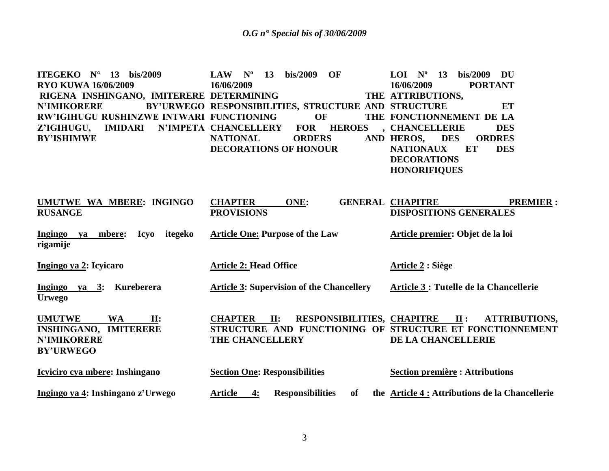| ITEGEKO $N^{\circ}$ 13 bis/2009<br><b>RYO KUWA 16/06/2009</b> | bis/2009<br><b>OF</b><br>$N^{\rm o}$<br>13<br><b>LAW</b><br>16/06/2009 | bis/2009<br>$LOI$ $No$<br>13<br>DU<br>16/06/2009<br><b>PORTANT</b> |
|---------------------------------------------------------------|------------------------------------------------------------------------|--------------------------------------------------------------------|
| RIGENA INSHINGANO, IMITERERE DETERMINING                      |                                                                        | THE ATTRIBUTIONS,                                                  |
| <b>N'IMIKORERE</b>                                            | BY'URWEGO RESPONSIBILITIES, STRUCTURE AND STRUCTURE                    | ET                                                                 |
| RW'IGIHUGU RUSHINZWE INTWARI FUNCTIONING                      | <b>OF</b>                                                              | THE FONCTIONNEMENT DE LA                                           |
| Z'IGIHUGU,<br><b>IMIDARI</b>                                  | N'IMPETA CHANCELLERY<br><b>FOR</b><br><b>HEROES</b>                    | , CHANCELLERIE<br><b>DES</b>                                       |
| <b>BY'ISHIMWE</b>                                             | <b>NATIONAL</b><br><b>ORDERS</b>                                       | AND HEROS, DES<br><b>ORDRES</b>                                    |
|                                                               | <b>DECORATIONS OF HONOUR</b>                                           | <b>NATIONAUX</b><br><b>DES</b><br>ET                               |
|                                                               |                                                                        | <b>DECORATIONS</b>                                                 |
|                                                               |                                                                        | <b>HONORIFIQUES</b>                                                |
|                                                               |                                                                        |                                                                    |
| UMUTWE WA MBERE: INGINGO                                      | <b>CHAPTER</b><br>ONE:                                                 | <b>GENERAL CHAPITRE</b><br><b>PREMIER:</b>                         |
| <b>RUSANGE</b>                                                | <b>PROVISIONS</b>                                                      | <b>DISPOSITIONS GENERALES</b>                                      |
| Ingingo ya mbere:<br><b>Icyo</b><br>itegeko                   | <b>Article One: Purpose of the Law</b>                                 | Article premier: Objet de la loi                                   |
| rigamije                                                      |                                                                        |                                                                    |
| Ingingo ya 2: Icyicaro                                        | <b>Article 2: Head Office</b>                                          | <b>Article 2 : Siège</b>                                           |
|                                                               |                                                                        |                                                                    |
| Ingingo ya 3: Kureberera                                      | <b>Article 3: Supervision of the Chancellery</b>                       | Article 3 : Tutelle de la Chancellerie                             |
| <b>Urwego</b>                                                 |                                                                        |                                                                    |
| <b>UMUTWE</b><br><b>WA</b><br>$\Pi$ :                         | RESPONSIBILITIES, CHAPITRE II :<br><b>CHAPTER</b> II:                  | <b>ATTRIBUTIONS,</b>                                               |
| <b>INSHINGANO, IMITERERE</b>                                  | STRUCTURE AND FUNCTIONING OF STRUCTURE ET FONCTIONNEMENT               |                                                                    |
| <b>N'IMIKORERE</b>                                            | THE CHANCELLERY                                                        | DE LA CHANCELLERIE                                                 |
| <b>BY'URWEGO</b>                                              |                                                                        |                                                                    |
| Icyiciro cya mbere: Inshingano                                | <b>Section One: Responsibilities</b>                                   | <b>Section première : Attributions</b>                             |
|                                                               |                                                                        |                                                                    |
| Ingingo ya 4: Inshingano z'Urwego                             | <b>Responsibilities</b><br><b>Article</b><br>4:<br>of                  | the Article 4 : Attributions de la Chancellerie                    |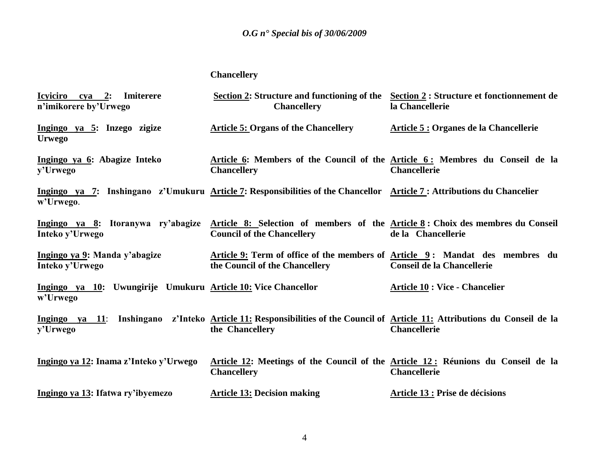## **Chancellery**

| Icyiciro cya 2: Imiterere<br>n'imikorere by'Urwego                        | Section 2: Structure and functioning of the Section 2: Structure et fonctionnement de<br><b>Chancellery</b>                                            | la Chancellerie                        |
|---------------------------------------------------------------------------|--------------------------------------------------------------------------------------------------------------------------------------------------------|----------------------------------------|
| Ingingo ya 5: Inzego zigize<br><b>Urwego</b>                              | <b>Article 5: Organs of the Chancellery</b>                                                                                                            | Article 5 : Organes de la Chancellerie |
| Ingingo ya 6: Abagize Inteko<br>y'Urwego                                  | Article 6: Members of the Council of the Article 6: Membres du Conseil de la<br><b>Chancellery</b>                                                     | <b>Chancellerie</b>                    |
| w'Urwego.                                                                 | Ingingo ya 7: Inshingano z'Umukuru Article 7: Responsibilities of the Chancellor Article 7: Attributions du Chancelier                                 |                                        |
| Inteko y'Urwego                                                           | Ingingo ya 8: Itoranywa ry'abagize Article 8: Selection of members of the Article 8: Choix des membres du Conseil<br><b>Council of the Chancellery</b> | de la Chancellerie                     |
| Ingingo ya 9: Manda y'abagize<br>Inteko y'Urwego                          | Article 9: Term of office of the members of Article 9: Mandat des membres du<br>the Council of the Chancellery                                         | <b>Conseil de la Chancellerie</b>      |
| Ingingo ya 10: Uwungirije Umukuru Article 10: Vice Chancellor<br>w'Urwego |                                                                                                                                                        | <b>Article 10 : Vice - Chancelier</b>  |
| y'Urwego                                                                  | Ingingo ya 11: Inshingano z'Inteko Article 11: Responsibilities of the Council of Article 11: Attributions du Conseil de la<br>the Chancellery         | <b>Chancellerie</b>                    |
| Ingingo ya 12: Inama z'Inteko y'Urwego                                    | Article 12: Meetings of the Council of the Article 12: Réunions du Conseil de la<br><b>Chancellery</b>                                                 | <b>Chancellerie</b>                    |
| Ingingo ya 13: Ifatwa ry'ibyemezo                                         | <b>Article 13: Decision making</b>                                                                                                                     | Article 13 : Prise de décisions        |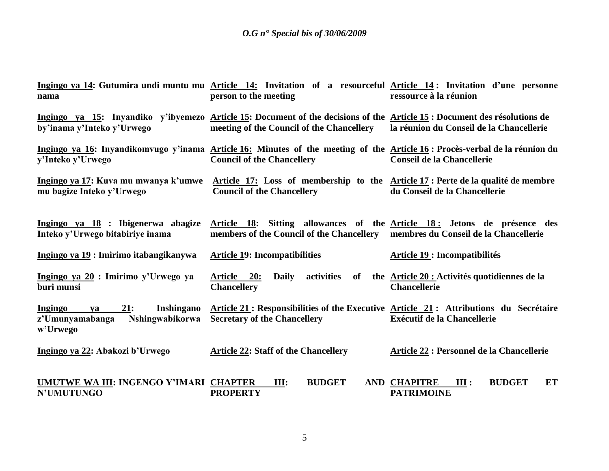| nama                                                                                               | Ingingo ya 14: Gutumira undi muntu mu Article 14: Invitation of a resourceful Article 14: Invitation d'une personne<br>person to the meeting                          | ressource à la réunion                                                  |
|----------------------------------------------------------------------------------------------------|-----------------------------------------------------------------------------------------------------------------------------------------------------------------------|-------------------------------------------------------------------------|
| by'inama y'Inteko y'Urwego                                                                         | Ingingo ya 15: Inyandiko y'ibyemezo Article 15: Document of the decisions of the Article 15: Document des résolutions de<br>meeting of the Council of the Chancellery | la réunion du Conseil de la Chancellerie                                |
| y'Inteko y'Urwego                                                                                  | Ingingo ya 16: Inyandikomvugo y'inama Article 16: Minutes of the meeting of the Article 16: Procès-verbal de la réunion du<br><b>Council of the Chancellery</b>       | <b>Conseil de la Chancellerie</b>                                       |
| Ingingo ya 17: Kuva mu mwanya k'umwe<br>mu bagize Inteko y'Urwego                                  | Article 17: Loss of membership to the Article 17: Perte de la qualité de membre<br><b>Council of the Chancellery</b>                                                  | du Conseil de la Chancellerie                                           |
| Ingingo ya 18 : Ibigenerwa abagize<br>Inteko y'Urwego bitabiriye inama                             | Article 18: Sitting allowances of the Article 18: Jetons de présence des<br>members of the Council of the Chancellery                                                 | membres du Conseil de la Chancellerie                                   |
| Ingingo ya 19 : Imirimo itabangikanywa                                                             | <b>Article 19: Incompatibilities</b>                                                                                                                                  | <b>Article 19 : Incompatibilités</b>                                    |
| Ingingo ya 20 : Imirimo y'Urwego ya<br>buri munsi                                                  | <b>Article</b><br>activities<br>20:<br><b>Daily</b><br>of<br><b>Chancellery</b>                                                                                       | the Article 20 : Activités quotidiennes de la<br><b>Chancellerie</b>    |
| 21:<br>Inshingano<br><b>Ingingo</b><br>va<br>z'Umunyamabanga<br><b>Nshingwabikorwa</b><br>w'Urwego | Article 21: Responsibilities of the Executive Article 21: Attributions du Secrétaire<br><b>Secretary of the Chancellery</b>                                           | <b>Exécutif de la Chancellerie</b>                                      |
| Ingingo ya 22: Abakozi b'Urwego                                                                    | <b>Article 22: Staff of the Chancellery</b>                                                                                                                           | Article 22 : Personnel de la Chancellerie                               |
| UMUTWE WA III: INGENGO Y'IMARI CHAPTER<br><b>N'UMUTUNGO</b>                                        | <b>BUDGET</b><br>III:<br><b>PROPERTY</b>                                                                                                                              | <b>AND CHAPITRE</b><br><b>BUDGET</b><br>III:<br>ET<br><b>PATRIMOINE</b> |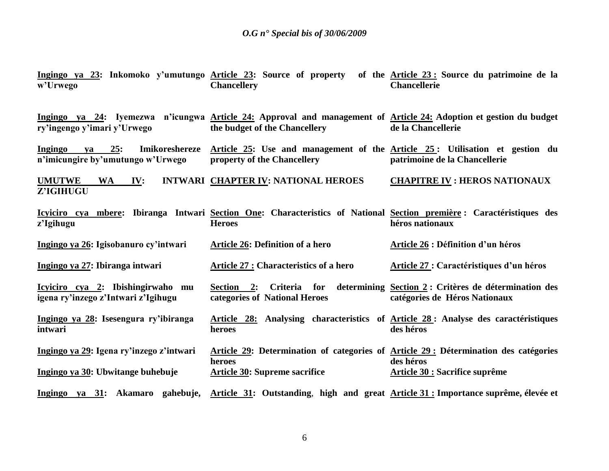| w'Urwego                                                                    | Ingingo ya 23: Inkomoko y'umutungo Article 23: Source of property of the Article 23: Source du patrimoine de la<br><b>Chancellery</b>               | <b>Chancellerie</b>                      |
|-----------------------------------------------------------------------------|-----------------------------------------------------------------------------------------------------------------------------------------------------|------------------------------------------|
| ry'ingengo y'imari y'Urwego                                                 | Ingingo ya 24: Iyemezwa n'icungwa Article 24: Approval and management of Article 24: Adoption et gestion du budget<br>the budget of the Chancellery | de la Chancellerie                       |
| 25:<br>Imikoreshereze<br>Ingingo<br>va<br>n'imicungire by'umutungo w'Urwego | Article 25: Use and management of the Article 25: Utilisation et gestion du<br>property of the Chancellery                                          | patrimoine de la Chancellerie            |
| <b>UMUTWE</b><br>WA IV:<br>Z'IGIHUGU                                        | INTWARI CHAPTER IV: NATIONAL HEROES                                                                                                                 | <b>CHAPITRE IV : HEROS NATIONAUX</b>     |
| z'Igihugu                                                                   | Icyiciro cya mbere: Ibiranga Intwari Section One: Characteristics of National Section première : Caractéristiques des<br><b>Heroes</b>              | héros nationaux                          |
| Ingingo ya 26: Igisobanuro cy'intwari                                       | <b>Article 26: Definition of a hero</b>                                                                                                             | Article 26 : Définition d'un héros       |
| Ingingo ya 27: Ibiranga intwari                                             | Article 27 : Characteristics of a hero                                                                                                              | Article 27 : Caractéristiques d'un héros |
| Icyiciro cya 2: Ibishingirwaho mu<br>igena ry'inzego z'Intwari z'Igihugu    | Section 2: Criteria for determining Section 2: Critères de détermination des<br>categories of National Heroes                                       | catégories de Héros Nationaux            |
| Ingingo ya 28: Isesengura ry'ibiranga<br>intwari                            | Article 28: Analysing characteristics of Article 28: Analyse des caractéristiques<br>heroes                                                         | des héros                                |
| Ingingo ya 29: Igena ry'inzego z'intwari                                    | Article 29: Determination of categories of Article 29: Détermination des catégories<br>heroes                                                       | des héros                                |
| Ingingo ya 30: Ubwitange buhebuje                                           | <b>Article 30: Supreme sacrifice</b>                                                                                                                | <b>Article 30 : Sacrifice suprême</b>    |
|                                                                             | Ingingo ya 31: Akamaro gahebuje, Article 31: Outstanding, high and great Article 31: Importance suprême, élevée et                                  |                                          |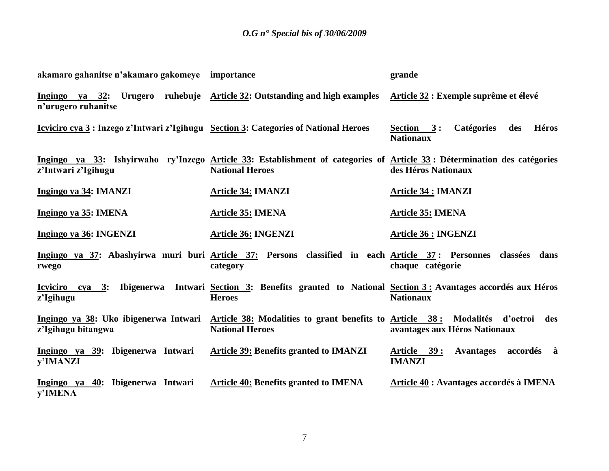| akamaro gahanitse n'akamaro gakomeye importance                                       |                                                                                                                                                   | grande                                                                       |
|---------------------------------------------------------------------------------------|---------------------------------------------------------------------------------------------------------------------------------------------------|------------------------------------------------------------------------------|
| n'urugero ruhanitse                                                                   | Ingingo ya 32: Urugero ruhebuje Article 32: Outstanding and high examples Article 32: Exemple suprême et élevé                                    |                                                                              |
| Icyliciro cya 3 : Inzego z'Intwari z'Igihugu Section 3: Categories of National Heroes |                                                                                                                                                   | <b>Héros</b><br><b>Catégories</b><br>des<br>Section $3:$<br><b>Nationaux</b> |
| z'Intwari z'Igihugu                                                                   | Ingingo ya 33: Ishyirwaho ry'Inzego Article 33: Establishment of categories of Article 33: Détermination des catégories<br><b>National Heroes</b> | des Héros Nationaux                                                          |
| Ingingo ya 34: IMANZI                                                                 | <b>Article 34: IMANZI</b>                                                                                                                         | <b>Article 34 : IMANZI</b>                                                   |
| Ingingo ya 35: IMENA                                                                  | <b>Article 35: IMENA</b>                                                                                                                          | <u>Article 35:</u> IMENA                                                     |
| Ingingo ya 36: INGENZI                                                                | <b>Article 36: INGENZI</b>                                                                                                                        | <b>Article 36 : INGENZI</b>                                                  |
| rwego                                                                                 | Ingingo ya 37: Abashyirwa muri buri Article 37: Persons classified in each Article 37: Personnes classées dans<br>category                        | chaque catégorie                                                             |
| Icyiciro cya 3: Ibigenerwa<br>z'Igihugu                                               | Intwari Section 3: Benefits granted to National Section 3: Avantages accordés aux Héros<br><b>Heroes</b>                                          | <b>Nationaux</b>                                                             |
| Ingingo ya 38: Uko ibigenerwa Intwari<br>z'Igihugu bitangwa                           | Article 38: Modalities to grant benefits to Article 38: Modalités d'octroi des<br><b>National Heroes</b>                                          | avantages aux Héros Nationaux                                                |
| Ingingo ya 39: Ibigenerwa Intwari<br>y'IMANZI                                         | <b>Article 39: Benefits granted to IMANZI</b>                                                                                                     | Avantages accordés à<br><u>Article 39:</u><br><b>IMANZI</b>                  |
| Ingingo ya 40: Ibigenerwa Intwari<br>y'IMENA                                          | <b>Article 40: Benefits granted to IMENA</b>                                                                                                      | Article 40 : Avantages accordés à IMENA                                      |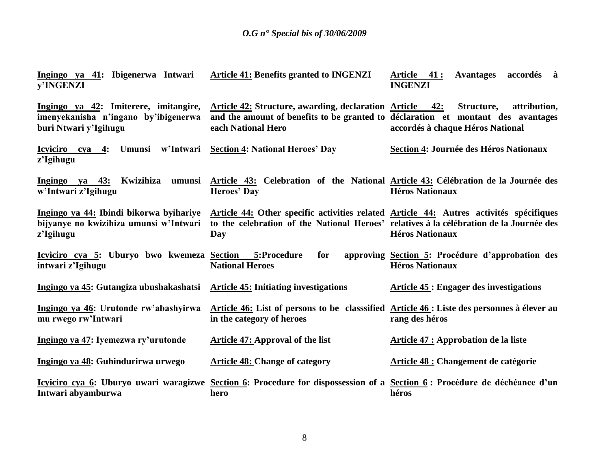| Ingingo ya 41: Ibigenerwa Intwari<br>v'INGENZI                                                         | <b>Article 41: Benefits granted to INGENZI</b>                                                                                                                                           | Article 41:<br><b>Avantages</b><br>accordés à<br><b>INGENZI</b>            |
|--------------------------------------------------------------------------------------------------------|------------------------------------------------------------------------------------------------------------------------------------------------------------------------------------------|----------------------------------------------------------------------------|
| Ingingo ya 42: Imiterere, imitangire,<br>imenyekanisha n'ingano by'ibigenerwa<br>buri Ntwari y'Igihugu | <b>Article 42: Structure, awarding, declaration Article 42:</b><br>and the amount of benefits to be granted to déclaration et montant des avantages<br>each National Hero                | Structure,<br>attribution,<br>accordés à chaque Héros National             |
| Icyiciro cya 4: Umunsi w'Intwari<br>z'Igihugu                                                          | <b>Section 4: National Heroes' Day</b>                                                                                                                                                   | Section 4: Journée des Héros Nationaux                                     |
| Ingingo ya 43:<br>Kwizihiza<br>umunsi<br>w'Intwari z'Igihugu                                           | Article 43: Celebration of the National Article 43: Célébration de la Journée des<br><b>Heroes' Day</b>                                                                                  | <b>Héros Nationaux</b>                                                     |
| Ingingo ya 44: Ibindi bikorwa byihariye<br>bijyanye no kwizihiza umunsi w'Intwari<br>z'Igihugu         | Article 44: Other specific activities related Article 44: Autres activités spécifiques<br>to the celebration of the National Heroes' relatives à la célébration de la Journée des<br>Day | <b>Héros Nationaux</b>                                                     |
| Icyiciro cya 5: Uburyo bwo kwemeza Section 5:Procedure<br>intwari z'Igihugu                            | for<br><b>National Heroes</b>                                                                                                                                                            | approving Section 5: Procédure d'approbation des<br><b>Héros Nationaux</b> |
| Ingingo ya 45: Gutangiza ubushakashatsi                                                                | <b>Article 45: Initiating investigations</b>                                                                                                                                             | <b>Article 45 : Engager des investigations</b>                             |
| Ingingo ya 46: Urutonde rw'abashyirwa<br>mu rwego rw'Intwari                                           | Article 46: List of persons to be classsified Article 46: Liste des personnes à élever au<br>in the category of heroes                                                                   | rang des héros                                                             |
| Ingingo ya 47: Iyemezwa ry'urutonde                                                                    | <b>Article 47: Approval of the list</b>                                                                                                                                                  | Article 47 : Approbation de la liste                                       |
| Ingingo ya 48: Guhindurirwa urwego                                                                     | <b>Article 48: Change of category</b>                                                                                                                                                    | Article 48 : Changement de catégorie                                       |
| Intwari abyamburwa                                                                                     | Icyiciro cya 6: Uburyo uwari waragizwe Section 6: Procedure for dispossession of a Section 6: Procédure de déchéance d'un<br>hero                                                        | héros                                                                      |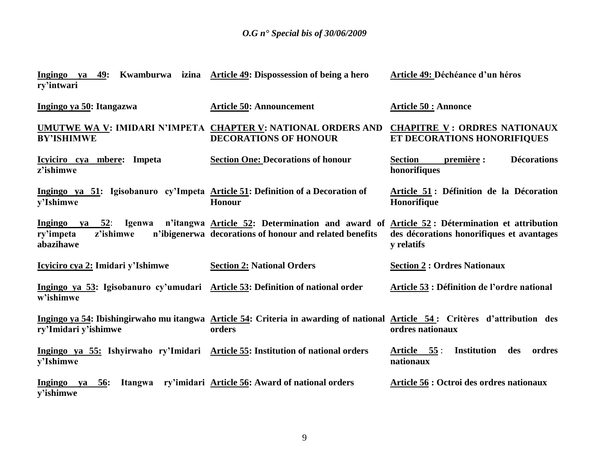| Ingingo<br>ry'intwari                                                                        | ya 49: Kwamburwa izina Article 49: Dispossession of being a hero                                                                                                           | Article 49: Déchéance d'un héros                                   |
|----------------------------------------------------------------------------------------------|----------------------------------------------------------------------------------------------------------------------------------------------------------------------------|--------------------------------------------------------------------|
| Ingingo ya 50: Itangazwa                                                                     | <b>Article 50: Announcement</b>                                                                                                                                            | <b>Article 50 : Annonce</b>                                        |
| <b>BY'ISHIMWE</b>                                                                            | UMUTWE WA V: IMIDARI N'IMPETA CHAPTER V: NATIONAL ORDERS AND<br><b>DECORATIONS OF HONOUR</b>                                                                               | <b>CHAPITRE V: ORDRES NATIONAUX</b><br>ET DECORATIONS HONORIFIQUES |
| Icyiciro cya mbere: Impeta<br>z'ishimwe                                                      | <b>Section One: Decorations of honour</b>                                                                                                                                  | <b>Décorations</b><br><b>Section</b><br>première :<br>honorifiques |
| Ingingo ya 51: Igisobanuro cy'Impeta Article 51: Definition of a Decoration of<br>y'Ishimwe  | <b>Honour</b>                                                                                                                                                              | Article 51: Définition de la Décoration<br>Honorifique             |
| z'ishimwe<br>ry'impeta<br>abazihawe                                                          | Ingingo ya 52: Igenwa n'itangwa Article 52: Determination and award of Article 52: Détermination et attribution<br>n'ibigenerwa decorations of honour and related benefits | des décorations honorifiques et avantages<br>y relatifs            |
| Icyiciro cya 2: Imidari y'Ishimwe                                                            | <b>Section 2: National Orders</b>                                                                                                                                          | <b>Section 2: Ordres Nationaux</b>                                 |
| Ingingo ya 53: Igisobanuro cy'umudari Article 53: Definition of national order<br>w'ishimwe  |                                                                                                                                                                            | Article 53 : Définition de l'ordre national                        |
| ry'Imidari y'ishimwe                                                                         | Ingingo ya 54: Ibishingirwaho mu itangwa Article 54: Criteria in awarding of national Article 54: Critères d'attribution des<br>orders                                     | ordres nationaux                                                   |
| Ingingo ya 55: Ishyirwaho ry'Imidari Article 55: Institution of national orders<br>v'Ishimwe |                                                                                                                                                                            | <b>Institution</b><br>Article 55:<br>des<br>ordres<br>nationaux    |
| Ingingo ya<br><b>56:</b><br>Itangwa<br>v'ishimwe                                             | ry'imidari Article 56: Award of national orders                                                                                                                            | Article 56 : Octroi des ordres nationaux                           |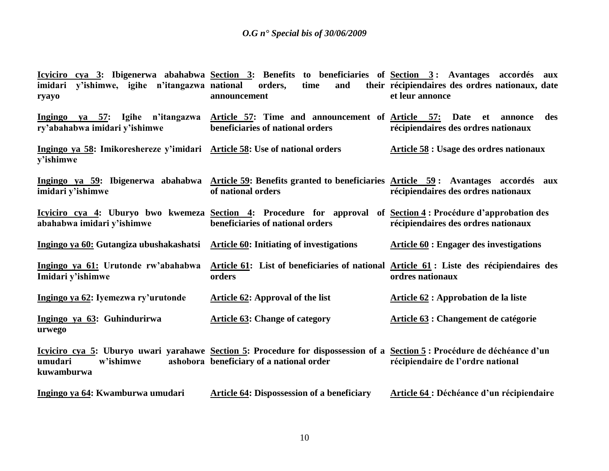| y'ishimwe, igihe n'itangazwa national<br>imidari<br>ryayo                               | Icyiciro cya 3: Ibigenerwa abahabwa Section 3: Benefits to beneficiaries of Section 3: Avantages accordés aux<br>orders,<br>and<br>time<br>announcement              | their récipiendaires des ordres nationaux, date<br>et leur annonce  |
|-----------------------------------------------------------------------------------------|----------------------------------------------------------------------------------------------------------------------------------------------------------------------|---------------------------------------------------------------------|
| Ingingo ya 57: Igihe n'itangazwa<br>ry'abahabwa imidari y'ishimwe                       | Article 57: Time and announcement of Article 57:<br>beneficiaries of national orders                                                                                 | Date<br>et<br>des<br>annonce<br>récipiendaires des ordres nationaux |
| Ingingo ya 58: Imikoreshereze y'imidari Article 58: Use of national orders<br>y'ishimwe |                                                                                                                                                                      | Article 58 : Usage des ordres nationaux                             |
| Ingingo ya 59: Ibigenerwa abahabwa<br>imidari y'ishimwe                                 | Article 59: Benefits granted to beneficiaries Article 59: Avantages accordés aux<br>of national orders                                                               | récipiendaires des ordres nationaux                                 |
| abahabwa imidari y'ishimwe                                                              | <u>Icyiciro cya 4</u> : Uburyo bwo kwemeza Section 4: Procedure for approval of Section 4: Procédure d'approbation des<br>beneficiaries of national orders           | récipiendaires des ordres nationaux                                 |
| Ingingo ya 60: Gutangiza ubushakashatsi                                                 | <b>Article 60: Initiating of investigations</b>                                                                                                                      | <b>Article 60 : Engager des investigations</b>                      |
| Ingingo ya 61: Urutonde rw'abahabwa<br>Imidari y'ishimwe                                | Article 61: List of beneficiaries of national Article 61: Liste des récipiendaires des<br>orders                                                                     | ordres nationaux                                                    |
| Ingingo ya 62: Iyemezwa ry'urutonde                                                     | Article 62: Approval of the list                                                                                                                                     | Article 62 : Approbation de la liste                                |
| Ingingo ya 63: Guhindurirwa<br>urwego                                                   | <b>Article 63: Change of category</b>                                                                                                                                | Article 63 : Changement de catégorie                                |
| umudari<br>w'ishimwe<br>kuwamburwa                                                      | Icyiciro cya 5: Uburyo uwari yarahawe Section 5: Procedure for dispossession of a Section 5: Procédure de déchéance d'un<br>ashobora beneficiary of a national order | récipiendaire de l'ordre national                                   |
| Ingingo ya 64: Kwamburwa umudari                                                        | <b>Article 64: Dispossession of a beneficiary</b>                                                                                                                    | Article 64 : Déchéance d'un récipiendaire                           |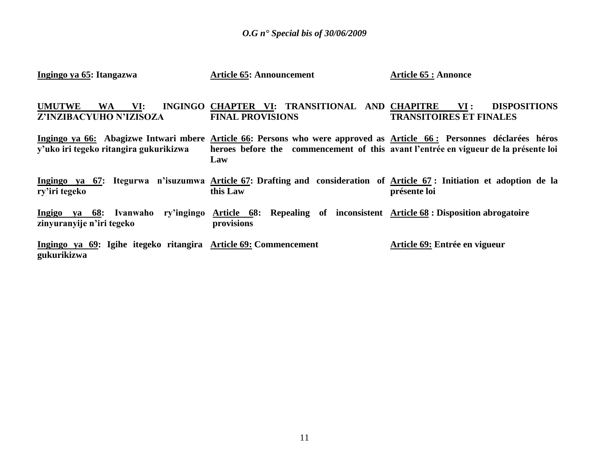| Ingingo ya 65: Itangazwa                                                       | <b>Article 65: Announcement</b>                                                                                                                                                                                    | <b>Article 65 : Annonce</b>                                  |
|--------------------------------------------------------------------------------|--------------------------------------------------------------------------------------------------------------------------------------------------------------------------------------------------------------------|--------------------------------------------------------------|
| <b>UMUTWE</b><br>VI:<br><b>WA</b><br>Z'INZIBACYUHO N'IZISOZA                   | INGINGO CHAPTER VI: TRANSITIONAL AND CHAPITRE<br><b>FINAL PROVISIONS</b>                                                                                                                                           | VI:<br><b>DISPOSITIONS</b><br><b>TRANSITOIRES ET FINALES</b> |
| y'uko iri tegeko ritangira gukurikizwa                                         | Ingingo ya 66: Abagizwe Intwari mbere Article 66: Persons who were approved as Article 66: Personnes déclarées héros<br>heroes before the commencement of this avant l'entrée en vigueur de la présente loi<br>Law |                                                              |
| ry'iri tegeko                                                                  | Ingingo ya 67: Itegurwa n'isuzumwa Article 67: Drafting and consideration of Article 67: Initiation et adoption de la<br>this Law                                                                                  | présente loi                                                 |
| Ingigo ya 68: Ivanwaho<br>zinyuranyije n'iri tegeko                            | ry'ingingo Article 68: Repealing of inconsistent Article 68: Disposition abrogatoire<br>provisions                                                                                                                 |                                                              |
| Ingingo ya 69: Igihe itegeko ritangira Article 69: Commencement<br>gukurikizwa |                                                                                                                                                                                                                    | Article 69: Entrée en vigueur                                |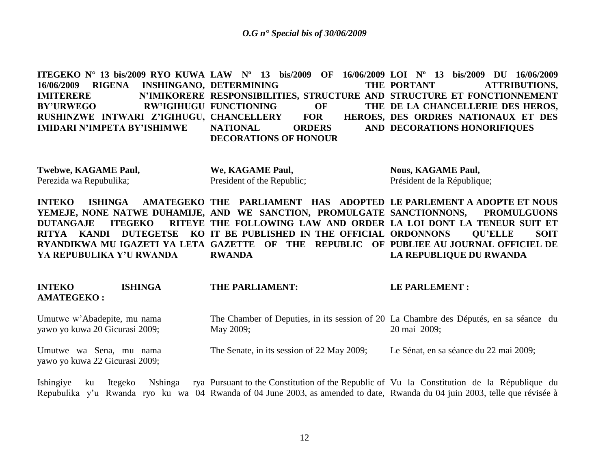**ITEGEKO N° 13 bis/2009 RYO KUWA LAW Nº 13 bis/2009 OF 16/06/2009 LOI Nº 13 bis/2009 DU 16/06/2009 16/06/2009 RIGENA INSHINGANO, DETERMINING THE IMITERERE N'IMIKORERE RESPONSIBILITIES, STRUCTURE AND STRUCTURE ET FONCTIONNEMENT** BY'URWEGO RW'IGIHUGU FUNCTIONING OF THE **RUSHINZWE INTWARI Z'IGIHUGU, CHANCELLERY FOR HEROES, IMIDARI N'IMPETA BY'ISHIMWE NATIONAL ORDERS DECORATIONS OF HONOUR**  THE PORTANT **ATTRIBUTIONS.** THE DE LA CHANCELLERIE DES HEROS, **HEROES, DES ORDRES NATIONAUX ET DES AND DECORATIONS HONORIFIQUES** 

**Twebwe, KAGAME Paul,** Perezida wa Repubulika; **We, KAGAME Paul,** President of the Republic;

**Nous, KAGAME Paul,** Président de la République;

**INTEKO** ISHINGA AMATEGEKO THE PARLIAMENT HAS ADOPTED LE PARLEMENT A ADOPTE ET NOUS YEMEJE, NONE NATWE DUHAMIJE, AND WE SANCTION, PROMULGATE SANCTIONNONS, PROMULGUONS **DUTANGAJE ITEGEKO RITYA KANDI DUTEGETSE KO IT BE PUBLISHED IN THE OFFICIAL ORDONNONS QU'ELLE SOIT RYANDIKWA MU IGAZETI YA LETA GAZETTE OF THE REPUBLIC OF PUBLIEE AU JOURNAL OFFICIEL DE YA REPUBULIKA Y'U RWANDA THE FOLLOWING LAW AND ORDER LA LOI DONT LA TENEUR SUIT ET RWANDA LA REPUBLIQUE DU RWANDA**

| <b>INTEKO</b><br><b>AMATEGEKO:</b>                            | <b>ISHINGA</b> | THE PARLIAMENT:                                                                                    | LE PARLEMENT :                         |
|---------------------------------------------------------------|----------------|----------------------------------------------------------------------------------------------------|----------------------------------------|
| Umutwe w'Abadepite, mu nama<br>yawo yo kuwa 20 Gicurasi 2009; |                | The Chamber of Deputies, in its session of 20 La Chambre des Députés, en sa séance du<br>May 2009; | 20 mai 2009:                           |
| Umutwe wa Sena, mu nama<br>yawo yo kuwa 22 Gicurasi 2009;     |                | The Senate, in its session of 22 May 2009;                                                         | Le Sénat, en sa séance du 22 mai 2009; |

Ishingiye ku Itegeko Nshinga rya Pursuant to the Constitution of the Republic of Vu la Constitution de la République du Repubulika y'u Rwanda ryo ku wa 04 Rwanda of 04 June 2003, as amended to date, Rwanda du 04 juin 2003, telle que révisée à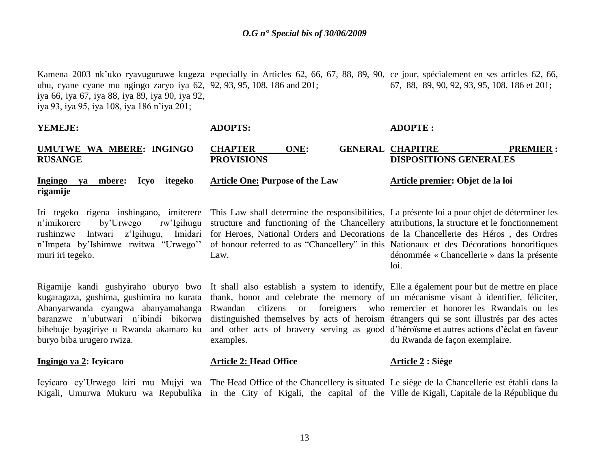Kamena 2003 nk'uko ryavuguruwe kugeza especially in Articles 62, 66, 67, 88, 89, 90, ce jour, spécialement en ses articles 62, 66, ubu, cyane cyane mu ngingo zaryo iya 62, 92, 93, 95, 108, 186 and 201; iya 66, iya 67, iya 88, iya 89, iya 90, iya 92, iya 93, iya 95, iya 108, iya 186 n"iya 201; 67, 88, 89, 90, 92, 93, 95, 108, 186 et 201;

| YEMEJE:                                                                                                                                                                                       | <b>ADOPTS:</b>                                                                                                                                                                                                                                                                                                                                                                                                                            | <b>ADOPTE:</b>                                                                                        |
|-----------------------------------------------------------------------------------------------------------------------------------------------------------------------------------------------|-------------------------------------------------------------------------------------------------------------------------------------------------------------------------------------------------------------------------------------------------------------------------------------------------------------------------------------------------------------------------------------------------------------------------------------------|-------------------------------------------------------------------------------------------------------|
| UMUTWE WA MBERE: INGINGO<br><b>RUSANGE</b>                                                                                                                                                    | <b>CHAPTER</b><br>ONE:<br><b>PROVISIONS</b>                                                                                                                                                                                                                                                                                                                                                                                               | <b>GENERAL CHAPITRE</b><br><b>PREMIER:</b><br><b>DISPOSITIONS GENERALES</b>                           |
| ya mbere:<br>Icyo<br>itegeko<br>Ingingo<br>rigamije                                                                                                                                           | <b>Article One: Purpose of the Law</b>                                                                                                                                                                                                                                                                                                                                                                                                    | Article premier: Objet de la loi                                                                      |
| Iri tegeko rigena inshingano, imiterere<br>by'Urwego<br>rw'Igihugu<br>n'imikorere<br>Imidari<br>z'Igihugu,<br>rushinzwe<br>Intwari<br>n'Impeta by'Ishimwe rwitwa "Urwego"<br>muri iri tegeko. | This Law shall determine the responsibilities, La présente loi a pour objet de déterminer les<br>structure and functioning of the Chancellery attributions, la structure et le fonctionnement<br>for Heroes, National Orders and Decorations de la Chancellerie des Héros, des Ordres<br>of honour referred to as "Chancellery" in this Nationaux et des Décorations honorifiques<br>Law.                                                 | dénommée « Chancellerie » dans la présente<br>loi.                                                    |
| kugaragaza, gushima, gushimira no kurata<br>Abanyarwanda cyangwa abanyamahanga<br>baranzwe n'ubutwari n'ibindi bikorwa<br>bihebuje byagiriye u Rwanda akamaro ku<br>buryo biba urugero rwiza. | Rigamije kandi gushyiraho uburyo bwo It shall also establish a system to identify, Elle a également pour but de mettre en place<br>thank, honor and celebrate the memory of un mécanisme visant à identifier, féliciter,<br>Rwandan<br>distinguished themselves by acts of heroism étrangers qui se sont illustrés par des actes<br>and other acts of bravery serving as good d'héroïsme et autres actions d'éclat en faveur<br>examples. | citizens or foreigners who remercier et honorer les Rwandais ou les<br>du Rwanda de façon exemplaire. |
| Ingingo ya 2: Icyicaro                                                                                                                                                                        | <b>Article 2: Head Office</b>                                                                                                                                                                                                                                                                                                                                                                                                             | Article 2 : Siège                                                                                     |

Icyicaro cy"Urwego kiri mu Mujyi wa The Head Office of the Chancellery is situated Le siège de la Chancellerie est établi dans la Kigali, Umurwa Mukuru wa Repubulika in the City of Kigali, the capital of the Ville de Kigali, Capitale de la République du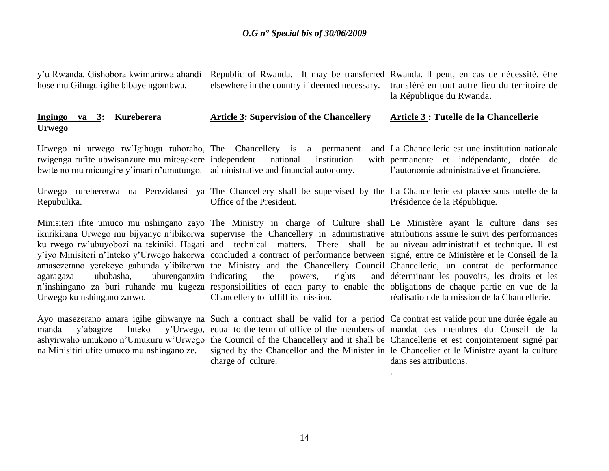| y'u Rwanda. Gishobora kwimurirwa ahandi<br>hose mu Gihugu igihe bibaye ngombwa.                                                                                                                                            | Republic of Rwanda. It may be transferred Rwanda. Il peut, en cas de nécessité, être<br>elsewhere in the country if deemed necessary. | transféré en tout autre lieu du territoire de<br>la République du Rwanda.                                                                   |  |
|----------------------------------------------------------------------------------------------------------------------------------------------------------------------------------------------------------------------------|---------------------------------------------------------------------------------------------------------------------------------------|---------------------------------------------------------------------------------------------------------------------------------------------|--|
| Ingingo ya 3: Kureberera<br><b>Urwego</b>                                                                                                                                                                                  | <b>Article 3: Supervision of the Chancellery</b>                                                                                      | Article 3 : Tutelle de la Chancellerie                                                                                                      |  |
| Urwego ni urwego rw'Igihugu ruhoraho, The Chancellery is a permanent<br>rwigenga rufite ubwisanzure mu mitegekere independent national<br>bwite no mu micungire y'imari n'umutungo. administrative and financial autonomy. | institution                                                                                                                           | and La Chancellerie est une institution nationale<br>with permanente et indépendante, dotée de<br>l'autonomie administrative et financière. |  |
|                                                                                                                                                                                                                            | I Luvre as unabspective as Dependence ve The Changelleux shall be averagined by the Le Changelleuis est placée sous tutelle de la     |                                                                                                                                             |  |

Urwego rurebererwa na Perezidansi ya The Chancellery shall be supervised by the La Chancellerie est placée sous tutelle de la Repubulika. Office of the President. Présidence de la République.

Urwego ku nshingano zarwo.

na Minisitiri ufite umuco mu nshingano ze.

Minisiteri ifite umuco mu nshingano zayo The Ministry in charge of Culture shall Le Ministère ayant la culture dans ses ikurikirana Urwego mu bijyanye n'ibikorwa supervise the Chancellery in administrative attributions assure le suivi des performances ku rwego rw'ubuyobozi na tekiniki. Hagati and technical matters. There shall be au niveau administratif et technique. Il est y"iyo Minisiteri n"Inteko y"Urwego hakorwa concluded a contract of performance between signé, entre ce Ministère et le Conseil de la amasezerano yerekeye gahunda y"ibikorwa the Ministry and the Chancellery Council Chancellerie, un contrat de performance agaragaza ububasha, uburenganzira indicating the powers, rights and n"inshingano za buri ruhande mu kugeza responsibilities of each party to enable the obligations de chaque partie en vue de la Chancellery to fulfill its mission.

déterminant les pouvoirs, les droits et les réalisation de la mission de la Chancellerie.

Ayo masezerano amara igihe gihwanye na Such a contract shall be valid for a period Ce contrat est valide pour une durée égale au manda y"abagize Inteko y"Urwego, equal to the term of office of the members of mandat des membres du Conseil de la ashyirwaho umukono n'Umukuru w'Urwego the Council of the Chancellery and it shall be Chancellerie et est conjointement signé par signed by the Chancellor and the Minister in le Chancelier et le Ministre ayant la culture charge of culture. .

dans ses attributions.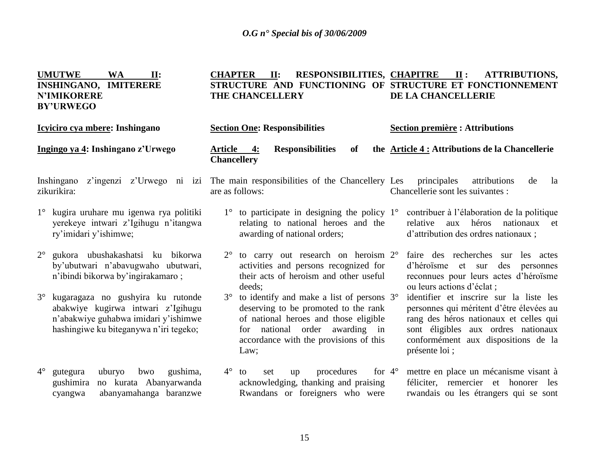**CHAPTER II: RESPONSIBILITIES,** 

**CHAPITRE II : ATTRIBUTIONS,** 

**UMUTWE WA II:** 

| <b>INSHINGANO, IMITERERE</b><br><b>N'IMIKORERE</b><br><b>BY'URWEGO</b> |                                                                                                                                                           |             | STRUCTURE AND FUNCTIONING OF STRUCTURE ET FONCTIONNEMENT<br>THE CHANCELLERY<br>DE LA CHANCELLERIE                                                                                                                                                                                                                                                                                                                                               |
|------------------------------------------------------------------------|-----------------------------------------------------------------------------------------------------------------------------------------------------------|-------------|-------------------------------------------------------------------------------------------------------------------------------------------------------------------------------------------------------------------------------------------------------------------------------------------------------------------------------------------------------------------------------------------------------------------------------------------------|
|                                                                        | Icyiciro cya mbere: Inshingano                                                                                                                            |             | <b>Section One: Responsibilities</b><br><b>Section première : Attributions</b>                                                                                                                                                                                                                                                                                                                                                                  |
|                                                                        | Ingingo ya 4: Inshingano z'Urwego                                                                                                                         |             | the <b>Article 4:</b> Attributions de la Chancellerie<br>Article 4:<br><b>Responsibilities</b><br>of<br><b>Chancellery</b>                                                                                                                                                                                                                                                                                                                      |
| Inshingano<br>zikurikira:                                              |                                                                                                                                                           |             | z'ingenzi z'Urwego ni izi The main responsibilities of the Chancellery Les<br>attributions<br>principales<br>de<br>la<br>are as follows:<br>Chancellerie sont les suivantes :                                                                                                                                                                                                                                                                   |
|                                                                        | 1° kugira uruhare mu igenwa rya politiki<br>yerekeye intwari z'Igihugu n'itangwa<br>ry'imidari y'ishimwe;                                                 |             | $1^{\circ}$ to participate in designing the policy $1^{\circ}$<br>contribuer à l'élaboration de la politique<br>relating to national heroes and the<br>aux héros nationaux<br>relative<br>et<br>awarding of national orders;<br>d'attribution des ordres nationaux ;                                                                                                                                                                            |
| $2^{\circ}$                                                            | gukora ubushakashatsi ku bikorwa<br>by'ubutwari n'abavugwaho ubutwari,<br>n'ibindi bikorwa by'ingirakamaro;                                               | $2^{\circ}$ | to carry out research on heroism 2°<br>faire des recherches sur les actes<br>activities and persons recognized for<br>d'héroïsme et sur<br>des<br>personnes<br>their acts of heroism and other useful<br>reconnues pour leurs actes d'héroïsme<br>ou leurs actions d'éclat ;<br>deeds;                                                                                                                                                          |
| $3^\circ$                                                              | kugaragaza no gushyira ku rutonde<br>abakwiye kugirwa intwari z'Igihugu<br>n'abakwiye guhabwa imidari y'ishimwe<br>hashingiwe ku biteganywa n'iri tegeko; | $3^\circ$   | to identify and make a list of persons 3°<br>identifier et inscrire sur la liste les<br>deserving to be promoted to the rank<br>personnes qui méritent d'être élevées au<br>of national heroes and those eligible<br>rang des héros nationaux et celles qui<br>for national order awarding in<br>sont éligibles aux ordres nationaux<br>accordance with the provisions of this<br>conformément aux dispositions de la<br>présente loi ;<br>Law; |
| $4^\circ$                                                              | gushima,<br>uburyo<br>bwo<br>gutegura<br>gushimira<br>no kurata Abanyarwanda<br>abanyamahanga baranzwe<br>cyangwa                                         | $4^\circ$   | procedures<br>for $4^\circ$<br>mettre en place un mécanisme visant à<br>to<br>set<br>up<br>acknowledging, thanking and praising<br>féliciter, remercier et honorer les<br>Rwandans or foreigners who were<br>rwandais ou les étrangers qui se sont                                                                                                                                                                                              |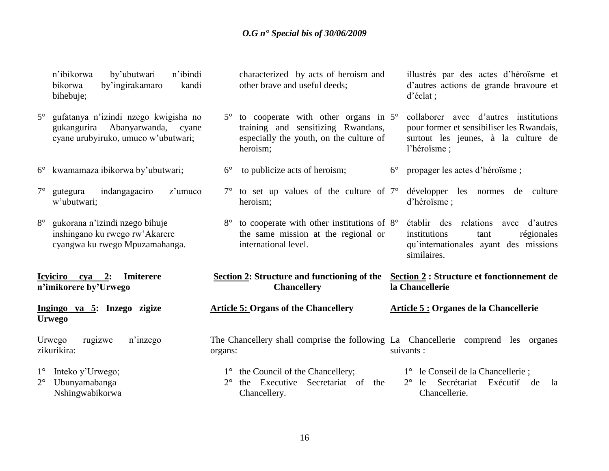|                            | n'ibindi<br>n'ibikorwa<br>by'ubutwari<br>by'ingirakamaro<br>bikorwa<br>kandi<br>bihebuje;                      |             | characterized by acts of heroism and<br>other brave and useful deeds;                                                                    |             | illustrés par des actes d'héroïsme et<br>d'autres actions de grande brayoure et<br>$d'$ éclat ;                                           |
|----------------------------|----------------------------------------------------------------------------------------------------------------|-------------|------------------------------------------------------------------------------------------------------------------------------------------|-------------|-------------------------------------------------------------------------------------------------------------------------------------------|
| $5^{\circ}$                | gufatanya n'izindi nzego kwigisha no<br>gukangurira Abanyarwanda, cyane<br>cyane urubyiruko, umuco w'ubutwari; | $5^{\circ}$ | to cooperate with other organs in $5^\circ$<br>training and sensitizing Rwandans,<br>especially the youth, on the culture of<br>heroism; |             | collaborer avec d'autres institutions<br>pour former et sensibiliser les Rwandais,<br>surtout les jeunes, à la culture de<br>l'héroïsme ; |
| $6^{\circ}$                | kwamamaza ibikorwa by'ubutwari;                                                                                | $6^{\circ}$ | to publicize acts of heroism;                                                                                                            | $6^{\circ}$ | propager les actes d'héroïsme;                                                                                                            |
| $7^{\circ}$                | indangagaciro<br>gutegura<br>z'umuco<br>w'ubutwari;                                                            |             | $7^{\circ}$ to set up values of the culture of $7^{\circ}$<br>heroism;                                                                   |             | développer les normes<br>culture<br>de<br>d'héroïsme;                                                                                     |
| $8^{\circ}$                | gukorana n'izindi nzego bihuje<br>inshingano ku rwego rw'Akarere<br>cyangwa ku rwego Mpuzamahanga.             | $8^{\circ}$ | to cooperate with other institutions of $8^\circ$<br>the same mission at the regional or<br>international level.                         |             | établir des relations<br>d'autres<br>avec<br>institutions<br>régionales<br>tant<br>qu'internationales ayant des missions<br>similaires.   |
|                            | <b>Icviciro</b><br>$cya$ 2:<br><b>Imiterere</b><br>n'imikorere by'Urwego                                       |             | <b>Section 2: Structure and functioning of the</b><br><b>Chancellery</b>                                                                 |             | Section 2 : Structure et fonctionnement de<br>la Chancellerie                                                                             |
|                            | Ingingo ya 5: Inzego zigize<br><b>Urwego</b>                                                                   |             | <b>Article 5: Organs of the Chancellery</b>                                                                                              |             | Article 5 : Organes de la Chancellerie                                                                                                    |
|                            | n'inzego<br>Urwego<br>rugizwe<br>zikurikira:                                                                   | organs:     |                                                                                                                                          |             | The Chancellery shall comprise the following La Chancellerie comprend les organes<br>suivants :                                           |
| $1^{\circ}$<br>$2^{\circ}$ | Inteko y'Urwego;<br>Ubunyamabanga<br>Nshingwabikorwa                                                           | $2^{\circ}$ | 1° the Council of the Chancellery;<br>the Executive Secretariat of the                                                                   |             | 1° le Conseil de la Chancellerie;<br>Secrétariat<br>$2^{\circ}$<br>Exécutif de<br>le<br>la<br>Chancellerie.                               |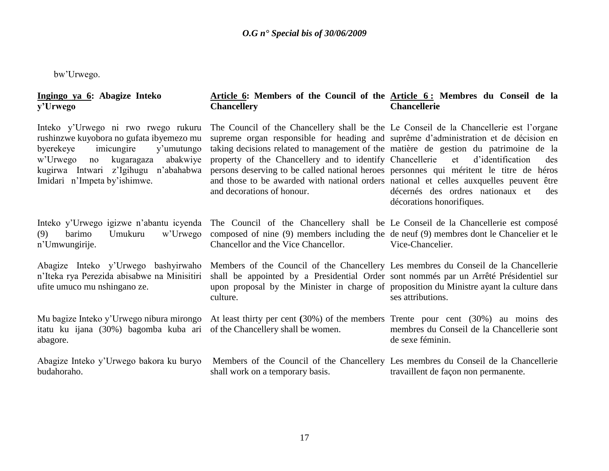bw"Urwego.

#### **Ingingo ya 6: Abagize Inteko y'Urwego**

Inteko y"Urwego ni rwo rwego rukuru rushinzwe kuyobora no gufata ibyemezo mu byerekeye imicungire y"umutungo w"Urwego no kugaragaza abakwiye kugirwa Intwari z"Igihugu n"abahabwa Imidari n"Impeta by"ishimwe.

(9) barimo Umukuru w"Urwego n"Umwungirije.

Abagize Inteko y"Urwego bashyirwaho n"Iteka rya Perezida abisabwe na Minisitiri ufite umuco mu nshingano ze.

Mu bagize Inteko y"Urwego nibura mirongo itatu ku ijana (30%) bagomba kuba ari of the Chancellery shall be women. abagore.

Abagize Inteko y"Urwego bakora ku buryo budahoraho.

#### **Article 6: Members of the Council of the Article 6 : Membres du Conseil de la Chancellery Chancellerie**

The Council of the Chancellery shall be the Le Conseil de la Chancellerie est l"organe supreme organ responsible for heading and suprême d"administration et de décision en taking decisions related to management of the matière de gestion du patrimoine de la property of the Chancellery and to identify Chancellerie persons deserving to be called national heroes personnes qui méritent le titre de héros and those to be awarded with national orders national et celles auxquelles peuvent être and decorations of honour. décernés des ordres nationaux et des

Inteko y"Urwego igizwe n"abantu icyenda The Council of the Chancellery shall be Le Conseil de la Chancellerie est composé composed of nine (9) members including the de neuf (9) membres dont le Chancelier et le Chancellor and the Vice Chancellor.

culture.

Members of the Council of the Chancellery Les membres du Conseil de la Chancellerie Vice-Chancelier.

et d'identification des

shall be appointed by a Presidential Order sont nommés par un Arrêté Présidentiel sur upon proposal by the Minister in charge of proposition du Ministre ayant la culture dans ses attributions.

décorations honorifiques.

At least thirty per cent **(**30%) of the members Trente pour cent (30%) au moins des membres du Conseil de la Chancellerie sont de sexe féminin.

Members of the Council of the Chancellery Les membres du Conseil de la Chancellerie shall work on a temporary basis. travaillent de façon non permanente.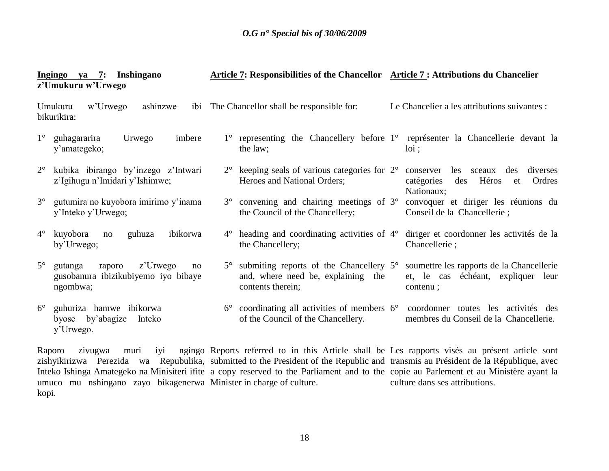|             | $ya$ 7:<br>Inshingano<br>Ingingo<br>z'Umukuru w'Urwego                                 |             | Article 7: Responsibilities of the Chancellor Article 7: Attributions du Chancelier                   |                                                                                                           |
|-------------|----------------------------------------------------------------------------------------|-------------|-------------------------------------------------------------------------------------------------------|-----------------------------------------------------------------------------------------------------------|
|             | Umukuru<br>w'Urwego<br>ashinzwe<br>1b1<br>bikurikira:                                  |             | The Chancellor shall be responsible for:                                                              | Le Chancelier a les attributions suivantes :                                                              |
| $1^{\circ}$ | guhagararira<br>imbere<br>Urwego<br>y'amategeko;                                       | $1^{\circ}$ | the law;                                                                                              | representing the Chancellery before 1° représenter la Chancellerie devant la<br>$10i$ ;                   |
| $2^{\circ}$ | kubika ibirango by'inzego z'Intwari<br>z'Igihugu n'Imidari y'Ishimwe;                  |             | $2^{\circ}$ keeping seals of various categories for $2^{\circ}$<br>Heroes and National Orders;        | les<br>conserver<br>sceaux<br>des<br>diverses<br>Héros<br>catégories<br>des<br>Ordres<br>et<br>Nationaux; |
| $3^\circ$   | gutumira no kuyobora imirimo y'inama<br>y'Inteko y'Urwego;                             |             | 3° convening and chairing meetings of 3°<br>the Council of the Chancellery;                           | convoquer et diriger les réunions du<br>Conseil de la Chancellerie;                                       |
| $4^{\circ}$ | ibikorwa<br>kuyobora<br>guhuza<br>no<br>by'Urwego;                                     |             | $4^{\circ}$ heading and coordinating activities of $4^{\circ}$<br>the Chancellery;                    | diriger et coordonner les activités de la<br>Chancellerie;                                                |
| $5^{\circ}$ | z'Urwego<br>gutanga<br>raporo<br>no<br>gusobanura ibizikubiyemo iyo bibaye<br>ngombwa; |             | 5° submiting reports of the Chancellery 5°<br>and, where need be, explaining the<br>contents therein; | soumettre les rapports de la Chancellerie<br>et, le cas échéant, expliquer leur<br>contenu;               |
| $6^{\circ}$ | guhuriza hamwe ibikorwa<br>byose by'abagize<br>Inteko<br>y'Urwego.                     |             | $6^{\circ}$ coordinating all activities of members $6^{\circ}$<br>of the Council of the Chancellery.  | coordonner toutes les activités des<br>membres du Conseil de la Chancellerie.                             |

Raporo zivugwa muri iyi ngingo Reports referred to in this Article shall be Les rapports visés au présent article sont zishyikirizwa Perezida wa Repubulika, submitted to the President of the Republic and transmis au Président de la République, avec Inteko Ishinga Amategeko na Minisiteri ifite a copy reserved to the Parliament and to the copie au Parlement et au Ministère ayant la umuco mu nshingano zayo bikagenerwa Minister in charge of culture. kopi. culture dans ses attributions.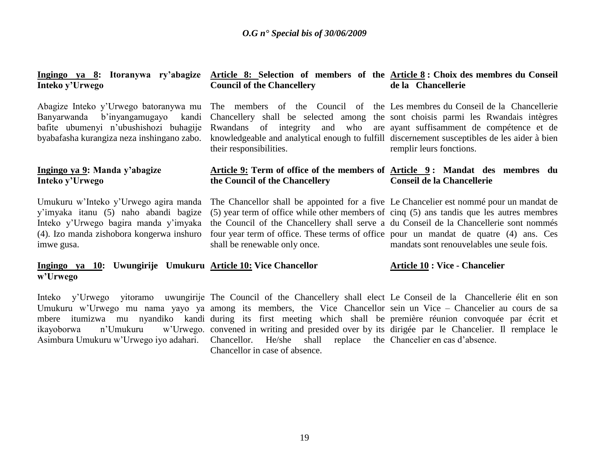#### **Ingingo ya 8: Itoranywa ry'abagize Article 8: Selection of members of the Article 8 : Choix des membres du Conseil Inteko y'Urwego Council of the Chancellery de la Chancellerie**

Abagize Inteko y"Urwego batoranywa mu Banyarwanda b"inyangamugayo kandi bafite ubumenyi n"ubushishozi buhagije byabafasha kurangiza neza inshingano zabo.

#### **Ingingo ya 9: Manda y'abagize Inteko y'Urwego**

Umukuru w"Inteko y"Urwego agira manda y"imyaka itanu (5) naho abandi bagize Inteko y"Urwego bagira manda y"imyaka (4). Izo manda zishobora kongerwa inshuro imwe gusa.

their responsibilities.

The members of the Council of the Les membres du Conseil de la Chancellerie Chancellery shall be selected among the sont choisis parmi les Rwandais intègres Rwandans of integrity and who are ayant suffisamment de compétence et de knowledgeable and analytical enough to fulfill discernement susceptibles de les aider à bien remplir leurs fonctions.

#### **Article 9: Term of office of the members of Article 9 : Mandat des membres du the Council of the Chancellery Conseil de la Chancellerie**

The Chancellor shall be appointed for a five Le Chancelier est nommé pour un mandat de (5) year term of office while other members of cinq (5) ans tandis que les autres membres the Council of the Chancellery shall serve a du Conseil de la Chancellerie sont nommés four year term of office. These terms of office pour un mandat de quatre (4) ans. Ces shall be renewable only once.

# mandats sont renouvelables une seule fois.

#### **Ingingo ya 10: Uwungirije Umukuru Article 10: Vice Chancellor w'Urwego Article 10 : Vice - Chancelier**

Inteko y"Urwego yitoramo uwungirije The Council of the Chancellery shall elect Le Conseil de la Chancellerie élit en son Umukuru w'Urwego mu nama yayo ya among its members, the Vice Chancellor sein un Vice – Chancelier au cours de sa mbere itumizwa mu nyandiko kandi during its first meeting which shall be première réunion convoquée par écrit et ikayoborwa n"Umukuru w"Urwego. convened in writing and presided over by its dirigée par le Chancelier. Il remplace le Asimbura Umukuru w"Urwego iyo adahari. Chancellor. He/she shall replace the Chancelier en cas d"absence. Chancellor in case of absence.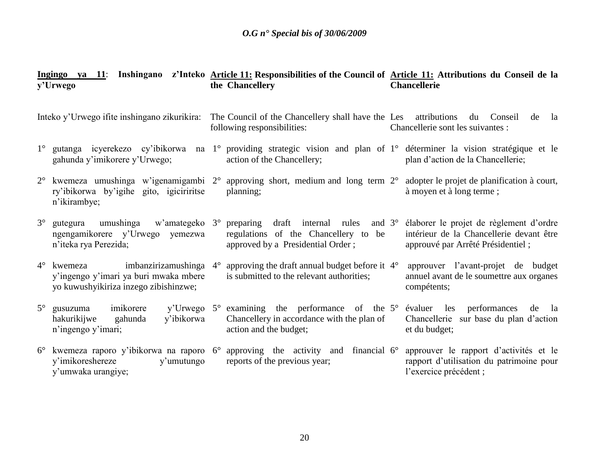|             | y'Urwego                                                                                                            | Ingingo ya 11: Inshingano z'Inteko Article 11: Responsibilities of the Council of Article 11: Attributions du Conseil de la<br>the Chancellery                     | <b>Chancellerie</b>                                                                                                      |
|-------------|---------------------------------------------------------------------------------------------------------------------|--------------------------------------------------------------------------------------------------------------------------------------------------------------------|--------------------------------------------------------------------------------------------------------------------------|
|             | Inteko y'Urwego ifite inshingano zikurikira:                                                                        | The Council of the Chancellery shall have the Les attributions du Conseil<br>following responsibilities:                                                           | de<br>la<br>Chancellerie sont les suivantes :                                                                            |
| $1^{\circ}$ | gahunda y'imikorere y'Urwego;                                                                                       | gutanga icyerekezo cy'ibikorwa na 1° providing strategic vision and plan of 1° déterminer la vision stratégique et le<br>action of the Chancellery;                | plan d'action de la Chancellerie;                                                                                        |
|             | ry'ibikorwa by'igihe gito, igiciriritse<br>n'ikirambye;                                                             | 2° kwemeza umushinga w'igenamigambi 2° approving short, medium and long term 2° adopter le projet de planification à court,<br>planning;                           | à moyen et à long terme;                                                                                                 |
| $3^\circ$   | gutegura<br>ngengamikorere y'Urwego yemezwa<br>n'iteka rya Perezida;                                                | umushinga w'amategeko 3° preparing draft internal rules<br>and $3^\circ$<br>regulations of the Chancellery to be<br>approved by a Presidential Order;              | élaborer le projet de règlement d'ordre<br>intérieur de la Chancellerie devant être<br>approuvé par Arrêté Présidentiel; |
| $4^{\circ}$ | imbanzirizamushinga 4°<br>kwemeza<br>y'ingengo y'imari ya buri mwaka mbere<br>yo kuwushyikiriza inzego zibishinzwe; | approving the draft annual budget before it $4^{\circ}$<br>is submitted to the relevant authorities;                                                               | approuver l'avant-projet de budget<br>annuel avant de le soumettre aux organes<br>compétents;                            |
| $5^{\circ}$ | imikorere<br>gusuzuma<br>hakurikijwe<br>y'ibikorwa<br>gahunda<br>n'ingengo y'imari;                                 | y'Urwego $5^{\circ}$ examining the performance of the $5^{\circ}$ évaluer les performances<br>Chancellery in accordance with the plan of<br>action and the budget; | de<br>la<br>Chancellerie sur base du plan d'action<br>et du budget;                                                      |
|             | y'imikoreshereze<br>y'umutungo<br>y'umwaka urangiye;                                                                | kwemeza raporo y'ibikorwa na raporo $6^{\circ}$ approving the activity and financial $6^{\circ}$<br>reports of the previous year;                                  | approuver le rapport d'activités et le<br>rapport d'utilisation du patrimoine pour<br>l'exercice précédent ;             |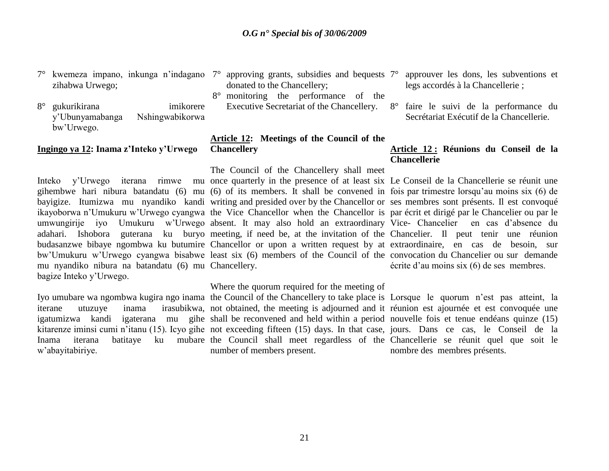7° kwemeza impano, inkunga n"indagano 7° approving grants, subsidies and bequests zihabwa Urwego;

8° gukurikirana imikorere y"Ubunyamabanga Nshingwabikorwa bw"Urwego.

#### **Ingingo ya 12: Inama z'Inteko y'Urwego**

**Chancellery** 

mu nyandiko nibura na batandatu (6) mu Chancellery. bagize Inteko y"Urwego.

w"abayitabiriye.

- donated to the Chancellery;
- 8° monitoring the performance of the Executive Secretariat of the Chancellery. 8° faire le suivi de la performance du

# **Article 12: Meetings of the Council of the**

The Council of the Chancellery shall meet

Inteko y"Urwego iterana rimwe mu once quarterly in the presence of at least six Le Conseil de la Chancellerie se réunit une gihembwe hari nibura batandatu (6) mu (6) of its members. It shall be convened in fois par trimestre lorsqu"au moins six (6) de bayigize. Itumizwa mu nyandiko kandi writing and presided over by the Chancellor or ses membres sont présents. Il est convoqué ikayoborwa n'Umukuru w'Urwego cyangwa the Vice Chancellor when the Chancellor is par écrit et dirigé par le Chancelier ou par le umwungirije iyo Umukuru w"Urwego absent. It may also hold an extraordinary Vice- Chancelier en cas d"absence du adahari. Ishobora guterana ku buryo meeting, if need be, at the invitation of the Chancelier. Il peut tenir une réunion budasanzwe bibaye ngombwa ku butumire Chancellor or upon a written request by at extraordinaire, en cas de besoin, sur bw"Umukuru w"Urwego cyangwa bisabwe least six (6) members of the Council of the convocation du Chancelier ou sur demande

#### Where the quorum required for the meeting of

Iyo umubare wa ngombwa kugira ngo inama the Council of the Chancellery to take place is Lorsque le quorum n'est pas atteint, la iterane utuzuye inama irasubikwa, not obtained, the meeting is adjourned and it réunion est ajournée et est convoquée une igatumizwa kandi igaterana mu gihe shall be reconvened and held within a period nouvelle fois et tenue endéans quinze (15) kitarenze iminsi cumi n"itanu (15). Icyo gihe not exceeding fifteen (15) days. In that case, jours. Dans ce cas, le Conseil de la Inama iterana batitaye ku mubare the Council shall meet regardless of the Chancellerie se réunit quel que soit le number of members present.

- 7° approuver les dons, les subventions et legs accordés à la Chancellerie ;
- Secrétariat Exécutif de la Chancellerie.

#### **Article 12 : Réunions du Conseil de la Chancellerie**

écrite d"au moins six (6) de ses membres.

nombre des membres présents.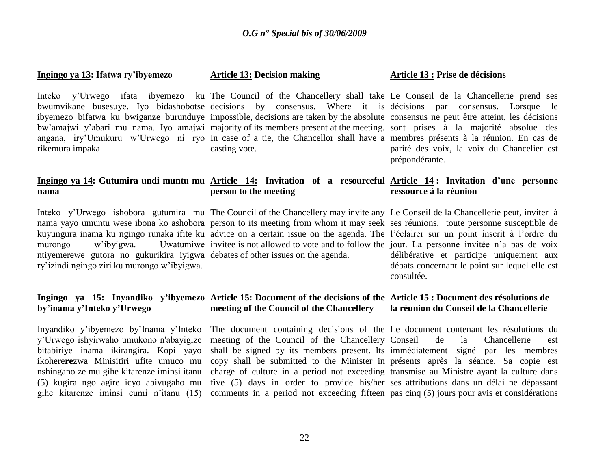#### **Ingingo ya 13: Ifatwa ry'ibyemezo**

rikemura impaka.

# **nama**

ntiyemerewe gutora no gukurikira iyigwa debates of other issues on the agenda. ry"izindi ngingo ziri ku murongo w"ibyigwa.

# **by'inama y'Inteko y'Urwego**

Inyandiko y"ibyemezo by"Inama y"Inteko y"Urwego ishyirwaho umukono n'abayigize bitabiriye inama ikirangira. Kopi yayo ikohere**re**zwa Minisitiri ufite umuco mu nshingano ze mu gihe kitarenze iminsi itanu (5) kugira ngo agire icyo abivugaho mu gihe kitarenze iminsi cumi n"itanu (15)

#### **Article 13: Decision making**

**person to the meeting** 

Inteko y"Urwego ifata ibyemezo ku The Council of the Chancellery shall take Le Conseil de la Chancellerie prend ses bwumvikane busesuye. Iyo bidashobotse decisions by consensus. Where it is décisions par consensus. Lorsque le ibyemezo bifatwa ku bwiganze burunduye impossible, decisions are taken by the absolute consensus ne peut être atteint, les décisions bw'amajwi y'abari mu nama. Iyo amajwi majority of its members present at the meeting. sont prises à la majorité absolue des angana, iry"Umukuru w"Urwego ni ryo In case of a tie, the Chancellor shall have a membres présents à la réunion. En cas de casting vote.

#### **Article 13 : Prise de décisions**

parité des voix, la voix du Chancelier est prépondérante.

#### **Ingingo ya 14: Gutumira undi muntu mu Article 14: Invitation of a resourceful Article 14 : Invitation d'une personne ressource à la réunion**

Inteko y'Urwego ishobora gutumira mu The Council of the Chancellery may invite any Le Conseil de la Chancellerie peut, inviter à nama yayo umuntu wese ibona ko ashobora person to its meeting from whom it may seek ses réunions, toute personne susceptible de kuyungura inama ku ngingo runaka ifite ku advice on a certain issue on the agenda. The l'éclairer sur un point inscrit à l'ordre du murongo w'ibyigwa. Uwatumiwe invitee is not allowed to vote and to follow the jour. La personne invitée n'a pas de voix délibérative et participe uniquement aux débats concernant le point sur lequel elle est consultée.

#### **Ingingo ya 15: Inyandiko y'ibyemezo Article 15: Document of the decisions of the Article 15 : Document des résolutions de meeting of the Council of the Chancellery la réunion du Conseil de la Chancellerie**

The document containing decisions of the Le document contenant les résolutions du meeting of the Council of the Chancellery Conseil shall be signed by its members present. Its immédiatement signé par les membres copy shall be submitted to the Minister in présents après la séance. Sa copie est charge of culture in a period not exceeding transmise au Ministre ayant la culture dans five (5) days in order to provide his/her ses attributions dans un délai ne dépassant comments in a period not exceeding fifteen pas cinq (5) jours pour avis et considérations de la Chancellerie est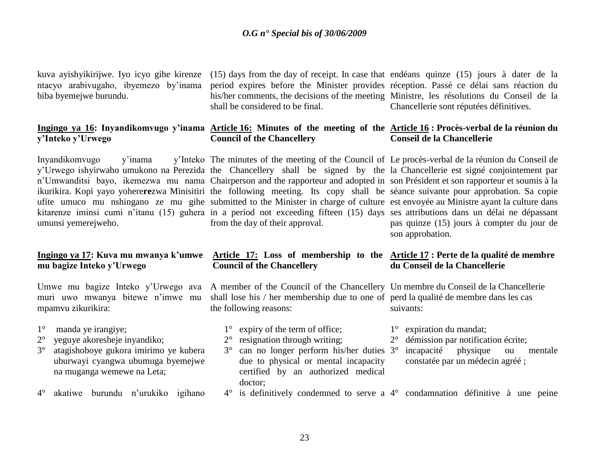kuva ayishyikirijwe. Iyo icyo gihe kirenze ntacyo arabivugaho, ibyemezo by"inama biba byemejwe burundu.

# **y'Inteko y'Urwego**

Inyandikomvugo y'inama umunsi yemerejweho.

# **mu bagize Inteko y'Urwego**

muri uwo mwanya bitewe n"imwe mu mpamvu zikurikira:

- 1° manda ye irangiye;
- 2° yeguye akoresheje inyandiko;
- 3° atagishoboye gukora imirimo ye kubera uburwayi cyangwa ubumuga byemejwe na muganga wemewe na Leta;
- 4° akatiwe burundu n"urukiko igihano

(15) days from the day of receipt. In case that endéans quinze (15) jours à dater de la period expires before the Minister provides réception. Passé ce délai sans réaction du his/her comments, the decisions of the meeting Ministre, les résolutions du Conseil de la shall be considered to be final. Chancellerie sont réputées définitives.

#### **Ingingo ya 16: Inyandikomvugo y'inama Article 16: Minutes of the meeting of the Article 16 : Procès-verbal de la réunion du Council of the Chancellery Conseil de la Chancellerie**

y'Urwego ishyirwaho umukono na Perezida the Chancellery shall be signed by the la Chancellerie est signé conjointement par n"Umwanditsi bayo, ikemezwa mu nama Chairperson and the rapporteur and adopted in son Président et son rapporteur et soumis à la ikurikira. Kopi yayo yohere**re**zwa Minisitiri the following meeting. Its copy shall be séance suivante pour approbation. Sa copie ufite umuco mu nshingano ze mu gihe submitted to the Minister in charge of culture est envoyée au Ministre ayant la culture dans kitarenze iminsi cumi n'itanu (15) guhera in a period not exceeding fifteen (15) days ses attributions dans un délai ne dépassant The minutes of the meeting of the Council of Le procès-verbal de la réunion du Conseil de from the day of their approval.

# pas quinze (15) jours à compter du jour de son approbation.

**du Conseil de la Chancellerie** 

1° expiration du mandat;

2° démission par notification écrite;

constatée par un médecin agréé ;

incapacité physique ou mentale

#### **Ingingo ya 17: Kuva mu mwanya k'umwe Article 17: Loss of membership to the Article 17 : Perte de la qualité de membre Council of the Chancellery**

Umwe mu bagize Inteko y'Urwego ava A member of the Council of the Chancellery Un membre du Conseil de la Chancellerie shall lose his / her membership due to one of perd la qualité de membre dans les cas the following reasons:

- 1° expiry of the term of office;
- 2° resignation through writing;
- 3° can no longer perform his/her duties due to physical or mental incapacity certified by an authorized medical doctor;
- 4° is definitively condemned to serve a 4° condamnation définitive à une peine

suivants: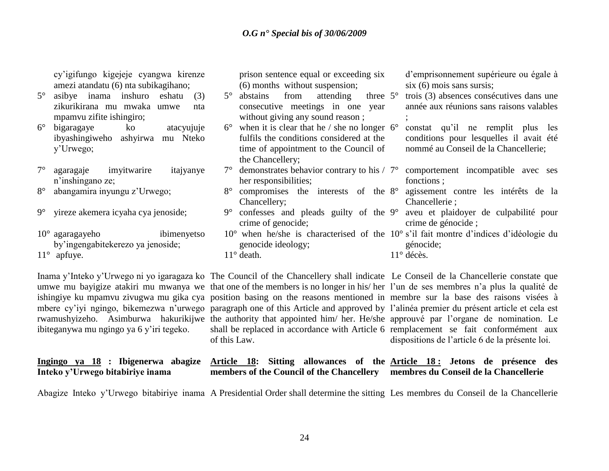prison sentence equal or exceeding six

consecutive meetings in one year without giving any sound reason;

fulfils the conditions considered at the time of appointment to the Council of

(6) months without suspension;

the Chancellery;

Chancellery;

11° death.

her responsibilities;

crime of genocide;

genocide ideology;

cy"igifungo kigejeje cyangwa kirenze amezi atandatu (6) nta subikagihano;

- 5° asibye inama inshuro eshatu (3) zikurikirana mu mwaka umwe nta mpamvu zifite ishingiro;
- 6° bigaragaye ko atacyujuje ibyashingiweho ashyirwa mu Nteko y"Urwego;
- 7° agaragaje imyitwarire itajyanye n"inshingano ze;
- 8° abangamira inyungu z"Urwego;
- 9° yireze akemera icyaha cya jenoside;
- 10° agaragayeho ibimenyetso by"ingengabitekerezo ya jenoside;

11° apfuye.

ibiteganywa mu ngingo ya 6 y"iri tegeko.

Inama y"Inteko y"Urwego ni yo igaragaza ko The Council of the Chancellery shall indicate Le Conseil de la Chancellerie constate que umwe mu bayigize atakiri mu mwanya we that one of the members is no longer in his/her l'un de ses membres n'a plus la qualité de ishingiye ku mpamvu zivugwa mu gika cya position basing on the reasons mentioned in membre sur la base des raisons visées à mbere cy'iyi ngingo, bikemezwa n'urwego paragraph one of this Article and approved by l'alinéa premier du présent article et cela est rwamushyizeho. Asimburwa hakurikijwe the authority that appointed him/ her. He/she approuvé par l'organe de nomination. Le shall be replaced in accordance with Article 6 remplacement se fait conformément aux of this Law.

dispositions de l"article 6 de la présente loi.

#### **Ingingo ya 18 : Ibigenerwa abagize Inteko y'Urwego bitabiriye inama Article 18: Sitting allowances of the Article 18 : Jetons de présence des members of the Council of the Chancellery membres du Conseil de la Chancellerie**

Abagize Inteko y"Urwego bitabiriye inama A Presidential Order shall determine the sitting Les membres du Conseil de la Chancellerie

d"emprisonnement supérieure ou égale à six (6) mois sans sursis;

 $5^\circ$  abstains from attending three  $5^\circ$ trois (3) absences consécutives dans une année aux réunions sans raisons valables ;

 $6^\circ$  when it is clear that he / she no longer  $6^\circ$ 6° constat qu"il ne remplit plus les conditions pour lesquelles il avait été nommé au Conseil de la Chancellerie;

 $7^{\circ}$  demonstrates behavior contrary to his /  $7^{\circ}$  comportement incompatible avec ses fonctions ;

8° compromises the interests of the 8° agissement contre les intérêts de la Chancellerie ;

9° confesses and pleads guilty of the 9° aveu et plaidoyer de culpabilité pour crime de génocide ;

 $10^{\circ}$  when he/she is characterised of the  $10^{\circ}$  s'il fait montre d'indices d'idéologie du génocide;

11° décès.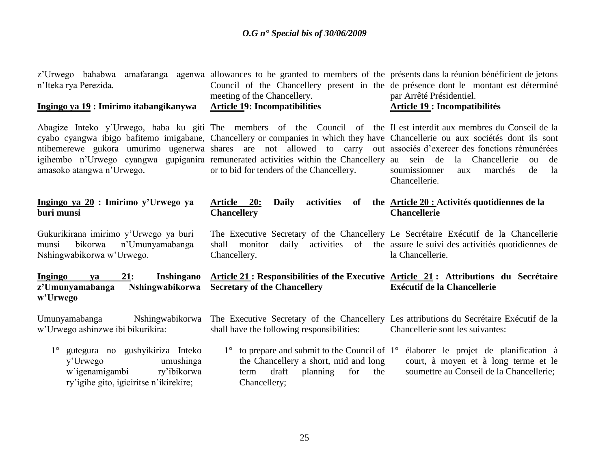| n'Iteka rya Perezida.<br>Ingingo ya 19 : Imirimo itabangikanywa                                                                                    | z'Urwego bahabwa amafaranga agenwa allowances to be granted to members of the présents dans la réunion bénéficient de jetons<br>Council of the Chancellery present in the de présence dont le montant est déterminé<br>meeting of the Chancellery.<br><b>Article 19: Incompatibilities</b>                                                                                                                                                                                                                                  | par Arrêté Présidentiel.<br><b>Article 19: Incompatibilités</b>                                                           |  |
|----------------------------------------------------------------------------------------------------------------------------------------------------|-----------------------------------------------------------------------------------------------------------------------------------------------------------------------------------------------------------------------------------------------------------------------------------------------------------------------------------------------------------------------------------------------------------------------------------------------------------------------------------------------------------------------------|---------------------------------------------------------------------------------------------------------------------------|--|
| amasoko atangwa n'Urwego.                                                                                                                          | Abagize Inteko y'Urwego, haba ku giti The members of the Council of the Il est interdit aux membres du Conseil de la<br>cyabo cyangwa ibigo bafitemo imigabane, Chancellery or companies in which they have Chancellerie ou aux sociétés dont ils sont<br>ntibemerewe gukora umurimo ugenerwa shares are not allowed to carry out associés d'exercer des fonctions rémunérées<br>igihembo n'Urwego cyangwa gupiganira remunerated activities within the Chancellery au sein de<br>or to bid for tenders of the Chancellery. | la Chancellerie<br>de<br>ou<br>soumissionner<br>marchés<br>de<br>la<br>aux<br>Chancellerie.                               |  |
| Ingingo ya 20 : Imirimo y'Urwego ya<br>buri munsi                                                                                                  | <b>Daily</b><br>activities<br><u>Article 20:</u><br>of<br><b>Chancellery</b>                                                                                                                                                                                                                                                                                                                                                                                                                                                | the Article 20 : Activités quotidiennes de la<br><b>Chancellerie</b>                                                      |  |
| Gukurikirana imirimo y'Urwego ya buri<br>bikorwa<br>n'Umunyamabanga<br>munsi<br>Nshingwabikorwa w'Urwego.                                          | The Executive Secretary of the Chancellery Le Secrétaire Exécutif de la Chancellerie<br>shall monitor<br>Chancellery.                                                                                                                                                                                                                                                                                                                                                                                                       | daily activities of the assure le suivi des activitiés quotidiennes de<br>la Chancellerie.                                |  |
| Ingingo<br>21:<br><b>Inshingano</b><br>ya<br><b>Nshingwabikorwa</b><br>z'Umunyamabanga<br>w'Urwego                                                 | Article 21: Responsibilities of the Executive Article 21: Attributions du Secrétaire<br><b>Secretary of the Chancellery</b>                                                                                                                                                                                                                                                                                                                                                                                                 | <b>Exécutif de la Chancellerie</b>                                                                                        |  |
| Umunyamabanga<br>w'Urwego ashinzwe ibi bikurikira:                                                                                                 | Nshingwabikorwa The Executive Secretary of the Chancellery Les attributions du Secrétaire Exécutif de la<br>shall have the following responsibilities:                                                                                                                                                                                                                                                                                                                                                                      | Chancellerie sont les suivantes:                                                                                          |  |
| gutegura no gushyikiriza Inteko<br>$1^{\circ}$<br>umushinga<br>y'Urwego<br>w'igenamigambi<br>ry'ibikorwa<br>ry'igihe gito, igiciritse n'ikirekire; | $1^{\circ}$ to prepare and submit to the Council of $1^{\circ}$<br>the Chancellery a short, mid and long<br>draft<br>planning<br>the<br>for<br>term<br>Chancellery;                                                                                                                                                                                                                                                                                                                                                         | élaborer le projet de planification à<br>court, à moyen et à long terme et le<br>soumettre au Conseil de la Chancellerie; |  |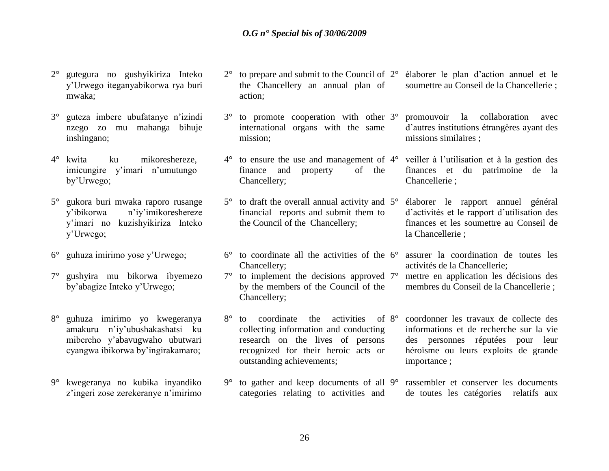- 2° gutegura no gushyikiriza Inteko y"Urwego iteganyabikorwa rya buri mwaka;
- 3° guteza imbere ubufatanye n"izindi nzego zo mu mahanga bihuje inshingano;
- 4° kwita ku mikoreshereze, imicungire y'imari n'umutungo by"Urwego;
- 5° gukora buri mwaka raporo rusange y"ibikorwa n"iy"imikoreshereze y"imari no kuzishyikiriza Inteko y"Urwego;
- 6° guhuza imirimo yose y"Urwego;
- 7° gushyira mu bikorwa ibyemezo by"abagize Inteko y"Urwego;
- 8° guhuza imirimo yo kwegeranya amakuru n"iy"ubushakashatsi ku mibereho y"abavugwaho ubutwari cyangwa ibikorwa by"ingirakamaro;
- 9° kwegeranya no kubika inyandiko z"ingeri zose zerekeranye n"imirimo
- $2^{\circ}$  to prepare and submit to the Council of  $2^{\circ}$ the Chancellery an annual plan of action;
- 3° to promote cooperation with other 3° international organs with the same mission;
- $4^{\circ}$  to ensure the use and management of  $4^{\circ}$ finance and property of the Chancellery;
- $5^\circ$  to draft the overall annual activity and  $5^\circ$ financial reports and submit them to the Council of the Chancellery;
- $6^{\circ}$  to coordinate all the activities of the  $6^{\circ}$ Chancellery;
- $7^\circ$  to implement the decisions approved  $7^\circ$ by the members of the Council of the Chancellery;
- 8° to coordinate the activities of 8° collecting information and conducting research on the lives of persons recognized for their heroic acts or outstanding achievements;
- 9° to gather and keep documents of all categories relating to activities and rassembler et conserver les documents de toutes les catégories relatifs aux

2° élaborer le plan d"action annuel et le soumettre au Conseil de la Chancellerie ;

3° promouvoir la collaboration avec d"autres institutions étrangères ayant des missions similaires ;

4° veiller à l"utilisation et à la gestion des finances et du patrimoine de la Chancellerie ;

5° élaborer le rapport annuel général d"activités et le rapport d"utilisation des finances et les soumettre au Conseil de la Chancellerie ;

- 6° assurer la coordination de toutes les activités de la Chancellerie;
- 7° mettre en application les décisions des membres du Conseil de la Chancellerie ;
- 8° coordonner les travaux de collecte des informations et de recherche sur la vie des personnes réputées pour leur héroïsme ou leurs exploits de grande importance ;

26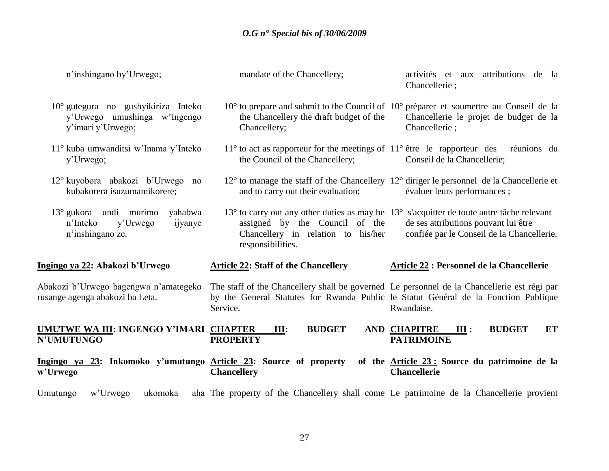| n'inshingano by'Urwego;                                                                           | mandate of the Chancellery;                                                                                                                                                                    | activités et aux attributions de la<br>Chancellerie;                                                                                                                            |
|---------------------------------------------------------------------------------------------------|------------------------------------------------------------------------------------------------------------------------------------------------------------------------------------------------|---------------------------------------------------------------------------------------------------------------------------------------------------------------------------------|
| $10^{\circ}$ gutegura no gushyikiriza Inteko<br>y'Urwego umushinga w'Ingengo<br>y'imari y'Urwego; | the Chancellery the draft budget of the<br>Chancellery;                                                                                                                                        | $10^{\circ}$ to prepare and submit to the Council of $10^{\circ}$ préparer et soumettre au Conseil de la<br>Chancellerie le projet de budget de la<br>Chancellerie;             |
| 11° kuba umwanditsi w'Inama y'Inteko<br>y'Urwego;                                                 | the Council of the Chancellery;                                                                                                                                                                | $11^{\circ}$ to act as rapporteur for the meetings of $11^{\circ}$ être le rapporteur des réunions du<br>Conseil de la Chancellerie;                                            |
| 12° kuyobora abakozi b'Urwego no<br>kubakorera isuzumamikorere;                                   | and to carry out their evaluation;                                                                                                                                                             | $12^{\circ}$ to manage the staff of the Chancellery $12^{\circ}$ diriger le personnel de la Chancellerie et<br>évaluer leurs performances;                                      |
| $13^{\circ}$ gukora undi murimo<br>yahabwa<br>y'Urwego<br>n'Inteko<br>ijyanye<br>n'inshingano ze. | assigned by the Council of the<br>Chancellery in relation to his/her<br>responsibilities.                                                                                                      | 13° to carry out any other duties as may be 13° s'acquitter de toute autre tâche relevant<br>de ses attributions pouvant lui être<br>confiée par le Conseil de la Chancellerie. |
| Ingingo ya 22: Abakozi b'Urwego                                                                   | <b>Article 22: Staff of the Chancellery</b>                                                                                                                                                    | Article 22 : Personnel de la Chancellerie                                                                                                                                       |
|                                                                                                   |                                                                                                                                                                                                |                                                                                                                                                                                 |
| Abakozi b'Urwego bagengwa n'amategeko<br>rusange agenga abakozi ba Leta.                          | The staff of the Chancellery shall be governed Le personnel de la Chancellerie est régi par<br>by the General Statutes for Rwanda Public le Statut Général de la Fonction Publique<br>Service. | Rwandaise.                                                                                                                                                                      |
| UMUTWE WA III: INGENGO Y'IMARI CHAPTER<br>N'UMUTUNGO                                              | <b>BUDGET</b><br>III:<br><b>PROPERTY</b>                                                                                                                                                       | <b>AND CHAPITRE</b><br><b>BUDGET</b><br>ET<br>III:<br><b>PATRIMOINE</b>                                                                                                         |
| Ingingo ya 23: Inkomoko y'umutungo Article 23: Source of property<br>w'Urwego                     | <b>Chancellery</b>                                                                                                                                                                             | of the <b>Article 23:</b> Source du patrimoine de la<br><b>Chancellerie</b>                                                                                                     |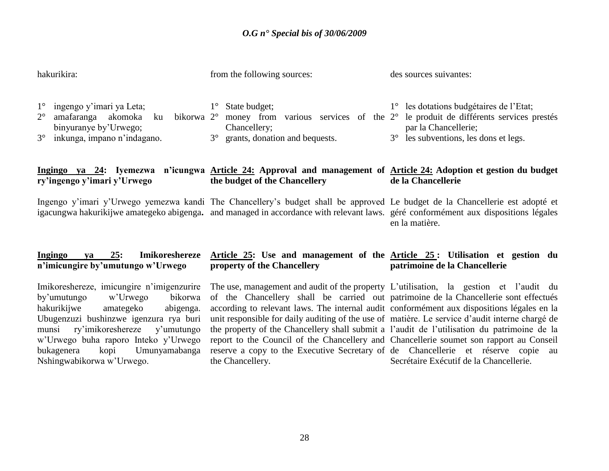| hakurikira:                                                                                                                                                                    | from the following sources:                                                                                                                                                                                                                                        | des sources suivantes:                                                                                                                                                                                            |  |
|--------------------------------------------------------------------------------------------------------------------------------------------------------------------------------|--------------------------------------------------------------------------------------------------------------------------------------------------------------------------------------------------------------------------------------------------------------------|-------------------------------------------------------------------------------------------------------------------------------------------------------------------------------------------------------------------|--|
| ingengo y'imari ya Leta;<br>$1^{\circ}$<br>amafaranga akomoka ku<br>$2^{\circ}$<br>bikorwa 2 <sup>o</sup><br>binyuranye by'Urwego;<br>inkunga, impano n'indagano.<br>$3^\circ$ | State budget;<br>$1^{\circ}$<br>money from<br>Chancellery;<br>$3^\circ$<br>grants, donation and bequests.                                                                                                                                                          | les dotations budgétaires de l'Etat;<br>$1^{\circ}$<br>various services of the $2^{\circ}$ le produit de différents services prestés<br>par la Chancellerie;<br>les subventions, les dons et legs.<br>$3^{\circ}$ |  |
| ry'ingengo y'imari y'Urwego                                                                                                                                                    | Ingingo ya 24: Iyemezwa n'icungwa Article 24: Approval and management of Article 24: Adoption et gestion du budget<br>the budget of the Chancellery                                                                                                                | de la Chancellerie                                                                                                                                                                                                |  |
|                                                                                                                                                                                | Ingengo y'imari y'Urwego yemezwa kandi The Chancellery's budget shall be approved Le budget de la Chancellerie est adopté et<br>igacungwa hakurikijwe amategeko abigenga. and managed in accordance with relevant laws. géré conformément aux dispositions légales | en la matière.                                                                                                                                                                                                    |  |

#### **Ingingo ya 25: Imikoreshereze n'imicungire by'umutungo w'Urwego Article 25: Use and management of the Article 25 : Utilisation et gestion du property of the Chancellery patrimoine de la Chancellerie**

Imikoreshereze, imicungire n"imigenzurire by"umutungo w"Urwego bikorwa hakurikijwe amategeko abigenga. Ubugenzuzi bushinzwe igenzura rya buri munsi ry"imikoreshereze y"umutungo w"Urwego buha raporo Inteko y"Urwego bukagenera kopi Umunyamabanga Nshingwabikorwa w"Urwego.

the Chancellery.

The use, management and audit of the property L"utilisation, la gestion et l"audit du of the Chancellery shall be carried out patrimoine de la Chancellerie sont effectués according to relevant laws. The internal audit conformément aux dispositions légales en la unit responsible for daily auditing of the use of matière. Le service d"audit interne chargé de the property of the Chancellery shall submit a l"audit de l"utilisation du patrimoine de la report to the Council of the Chancellery and Chancellerie soumet son rapport au Conseil reserve a copy to the Executive Secretary of de Chancellerie et réserve copie au Secrétaire Exécutif de la Chancellerie.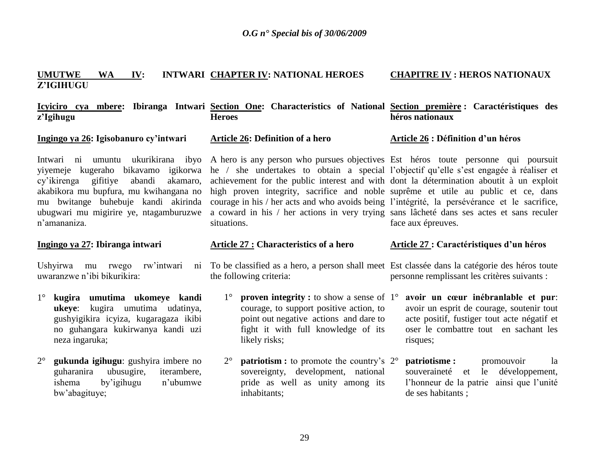#### **UMUTWE WA IV: INTWARI CHAPTER IV: NATIONAL HEROES Z'IGIHUGU CHAPITRE IV : HEROS NATIONAUX**

**Icyiciro cya mbere: Ibiranga Intwari Section One: Characteristics of National Section première : Caractéristiques des z'Igihugu Heroes héros nationaux**

**Ingingo ya 26: Igisobanuro cy'intwari** 

cy"ikirenga gifitiye abandi akamaro, akabikora mu bupfura, mu kwihangana no mu bwitange buhebuje kandi akirinda ubugwari mu migirire ye, ntagamburuzwe n"amananiza.

#### **Ingingo ya 27: Ibiranga intwari**

Ushyirwa mu rwego rw'intwari uwaranzwe n"ibi bikurikira:

- 1° **kugira umutima ukomeye kandi ukeye**: kugira umutima udatinya, gushyigikira icyiza, kugaragaza ikibi no guhangara kukirwanya kandi uzi neza ingaruka;
- 2° **gukunda igihugu**: gushyira imbere no guharanira ubusugire, iterambere, ishema by"igihugu n"ubumwe bw"abagituye;

**Article 26: Definition of a hero**

Intwari ni umuntu ukurikirana ibyo A hero is any person who pursues objectives Est héros toute personne qui poursuit yiyemeje kugeraho bikavamo igikorwa he / she undertakes to obtain a special l"objectif qu"elle s"est engagée à réaliser et achievement for the public interest and with dont la détermination aboutit à un exploit high proven integrity, sacrifice and noble suprême et utile au public et ce, dans courage in his / her acts and who avoids being l"intégrité, la persévérance et le sacrifice, a coward in his / her actions in very trying sans lâcheté dans ses actes et sans reculer situations.

#### **Article 27 : Characteristics of a hero**

To be classified as a hero, a person shall meet Est classée dans la catégorie des héros toute the following criteria:

- 1° **proven integrity :** to show a sense of courage, to support positive action, to point out negative actions and dare to fight it with full knowledge of its likely risks;
- 2° **patriotism :** to promote the country's 2° sovereignty, development, national pride as well as unity among its inhabitants;

**Article 26 : Définition d'un héros** 

face aux épreuves.

#### **Article 27 : Caractéristiques d'un héros**

personne remplissant les critères suivants :

- 1° **avoir un cœur inébranlable et pur**: avoir un esprit de courage, soutenir tout acte positif, fustiger tout acte négatif et oser le combattre tout en sachant les risques;
- **patriotisme : promouvoir** la souveraineté et le développement, l'honneur de la patrie ainsi que l'unité de ses habitants ;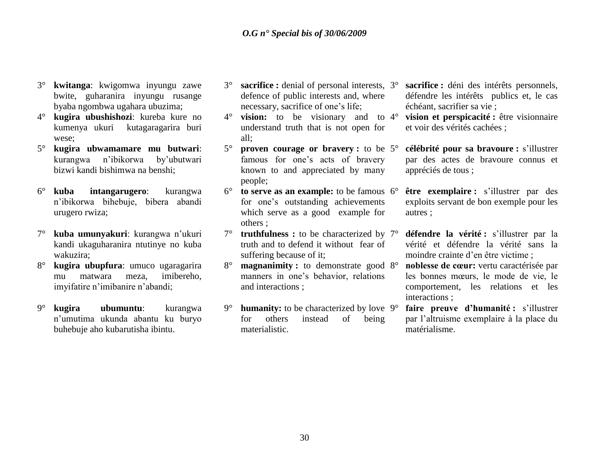- 3° **kwitanga**: kwigomwa inyungu zawe bwite, guharanira inyungu rusange byaba ngombwa ugahara ubuzima;
- 4° **kugira ubushishozi**: kureba kure no kumenya ukuri kutagaragarira buri wese;
- 5° **kugira ubwamamare mu butwari**: kurangwa n"ibikorwa by"ubutwari bizwi kandi bishimwa na benshi;
- 6° **kuba intangarugero**: kurangwa n"ibikorwa bihebuje, bibera abandi urugero rwiza;
- 7° **kuba umunyakuri**: kurangwa n"ukuri kandi ukaguharanira ntutinye no kuba wakuzira;
- 8° **kugira ubupfura**: umuco ugaragarira mu matwara meza, imibereho, imyifatire n"imibanire n"abandi;
- 9° **kugira ubumuntu**: kurangwa n"umutima ukunda abantu ku buryo buhebuje aho kubarutisha ibintu.
- 3° **sacrifice :** denial of personal interests, defence of public interests and, where necessary, sacrifice of one"s life;
- 4° **vision:** to be visionary and to understand truth that is not open for all;
- 5° **proven courage or bravery :** to be famous for one"s acts of bravery known to and appreciated by many people;
- $6^\circ$  **to serve as an example:** to be famous  $6^\circ$ for one"s outstanding achievements which serve as a good example for others ;
- 7° **truthfulness :** to be characterized by truth and to defend it without fear of suffering because of it;
- 8° **magnanimity :** to demonstrate good manners in one"s behavior, relations and interactions ;
- 9° **humanity:** to be characterized by love for others instead of being materialistic.
- sacrifice : déni des intérêts personnels, défendre les intérêts publics et, le cas échéant, sacrifier sa vie ;
- 4° **vision et perspicacité :** être visionnaire et voir des vérités cachées ;
- 5° **célébrité pour sa bravoure :** s"illustrer par des actes de bravoure connus et appréciés de tous ;
- être exemplaire : s'illustrer par des exploits servant de bon exemple pour les autres ;
- 7° **défendre la vérité :** s"illustrer par la vérité et défendre la vérité sans la moindre crainte d"en être victime ;
- 8° **noblesse de cœur:** vertu caractérisée par les bonnes mœurs, le mode de vie, le comportement, les relations et les interactions ;
- faire preuve d'humanité : s'illustrer par l"altruisme exemplaire à la place du matérialisme.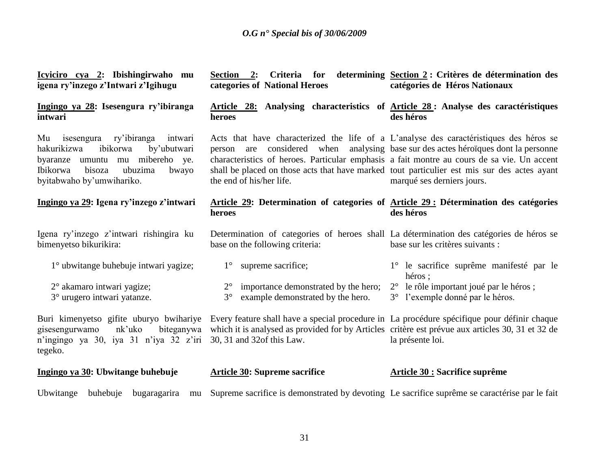| Icyiciro cya 2: Ibishingirwaho mu<br>igena ry'inzego z'Intwari z'Igihugu                                                                                                                          | Section 2:<br>categories of National Heroes                                                                                                                                                                                                                                                                                                                                                           | Criteria for determining Section 2: Critères de détermination des<br>catégories de Héros Nationaux |
|---------------------------------------------------------------------------------------------------------------------------------------------------------------------------------------------------|-------------------------------------------------------------------------------------------------------------------------------------------------------------------------------------------------------------------------------------------------------------------------------------------------------------------------------------------------------------------------------------------------------|----------------------------------------------------------------------------------------------------|
| Ingingo ya 28: Isesengura ry'ibiranga<br>intwari                                                                                                                                                  | Article 28: Analysing characteristics of Article 28: Analyse des caractéristiques<br>heroes                                                                                                                                                                                                                                                                                                           | des héros                                                                                          |
| Mu isesengura ry'ibiranga<br>intwari<br>ibikorwa<br>by'ubutwari<br>hakurikizwa<br>mibereho ye.<br>byaranze<br>umuntu<br>mu<br>Ibikorwa<br>bisoza<br>ubuzima<br>bwayo<br>byitabwaho by'umwihariko. | Acts that have characterized the life of a L'analyse des caractéristiques des héros se<br>person are considered when analysing base sur des actes héroïques dont la personne<br>characteristics of heroes. Particular emphasis a fait montre au cours de sa vie. Un accent<br>shall be placed on those acts that have marked tout particulier est mis sur des actes ayant<br>the end of his/her life. | marqué ses derniers jours.                                                                         |
| Ingingo ya 29: Igena ry'inzego z'intwari                                                                                                                                                          | Article 29: Determination of categories of Article 29: Détermination des catégories<br>heroes                                                                                                                                                                                                                                                                                                         | des héros                                                                                          |
| Igena ry'inzego z'intwari rishingira ku<br>bimenyetso bikurikira:                                                                                                                                 | Determination of categories of heroes shall La détermination des catégories de héros se<br>base on the following criteria:                                                                                                                                                                                                                                                                            | base sur les critères suivants :                                                                   |
| 1 <sup>°</sup> ubwitange buhebuje intwari yagize;                                                                                                                                                 | $1^{\circ}$ supreme sacrifice;                                                                                                                                                                                                                                                                                                                                                                        | 1° le sacrifice suprême manifesté par le<br>héros:                                                 |
| 2° akamaro intwari yagize;<br>3° urugero intwari yatanze.                                                                                                                                         | importance demonstrated by the hero;<br>$2^{\circ}$<br>$3^\circ$<br>example demonstrated by the hero.                                                                                                                                                                                                                                                                                                 | 2° le rôle important joué par le héros;<br>3° l'exemple donné par le héros.                        |
| Buri kimenyetso gifite uburyo bwihariye<br>nk'uko<br>biteganywa<br>gisesengurwamo<br>n'ingingo ya 30, iya 31 n'iya 32 z'iri<br>tegeko.                                                            | Every feature shall have a special procedure in La procédure spécifique pour définir chaque<br>which it is analysed as provided for by Articles critère est prévue aux articles 30, 31 et 32 de<br>30, 31 and 32of this Law.                                                                                                                                                                          | la présente loi.                                                                                   |
| Ingingo ya 30: Ubwitange buhebuje                                                                                                                                                                 | <b>Article 30: Supreme sacrifice</b>                                                                                                                                                                                                                                                                                                                                                                  | <b>Article 30 : Sacrifice suprême</b>                                                              |
| Ubwitange<br>buhebuje<br>bugaragarira<br>mu                                                                                                                                                       | Supreme sacrifice is demonstrated by devoting Le sacrifice suprême se caractérise par le fait                                                                                                                                                                                                                                                                                                         |                                                                                                    |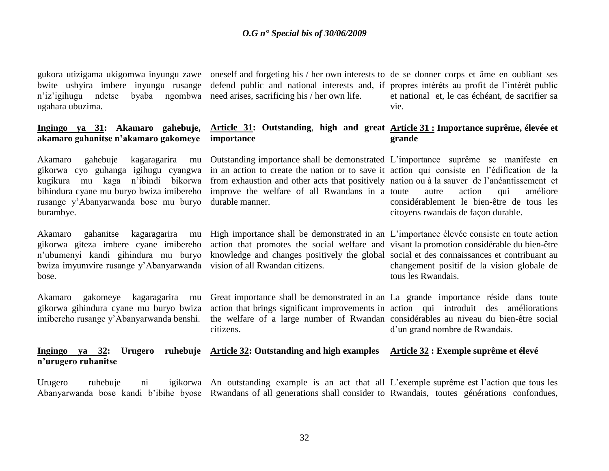bwite ushyira imbere inyungu rusange n'iz'igihugu ndetse ugahara ubuzima.

#### **Ingingo ya 31: Akamaro gahebuje, akamaro gahanitse n'akamaro gakomeye**

Akamaro gahebuje kagaragarira mu gikorwa cyo guhanga igihugu cyangwa kugikura mu kaga n"ibindi bikorwa bihindura cyane mu buryo bwiza imibereho rusange y"Abanyarwanda bose mu buryo burambye.

gikorwa giteza imbere cyane imibereho n"ubumenyi kandi gihindura mu buryo bwiza imyumvire rusange y"Abanyarwanda bose.

Akamaro gakomeye kagaragarira mu gikorwa gihindura cyane mu buryo bwiza imibereho rusange y"Abanyarwanda benshi.

by a hymphomorepole arises, sacrificing his / her own life.

#### **Article 31: Outstanding**, **high and great Article 31 : Importance suprême, élevée et importance**

in an action to create the nation or to save it action qui consiste en l"édification de la from exhaustion and other acts that positively nation ou à la sauver de l"anéantissement et improve the welfare of all Rwandans in a durable manner.

vision of all Rwandan citizens.

gukora utizigama ukigomwa inyungu zawe oneself and forgeting his / her own interests to de se donner corps et âme en oubliant ses defend public and national interests and, if propres intérêts au profit de l'intérêt public et national et, le cas échéant, de sacrifier sa vie.

# **grande**

Outstanding importance shall be demonstrated L"importance suprême se manifeste en autre action qui améliore considérablement le bien-être de tous les citoyens rwandais de façon durable.

Akamaro gahanitse kagaragarira mu High importance shall be demonstrated in an L"importance élevée consiste en toute action action that promotes the social welfare and visant la promotion considérable du bien-être knowledge and changes positively the global social et des connaissances et contribuant au changement positif de la vision globale de tous les Rwandais.

> Great importance shall be demonstrated in an La grande importance réside dans toute action that brings significant improvements in action qui introduit des améliorations the welfare of a large number of Rwandan considérables au niveau du bien-être social citizens. d"un grand nombre de Rwandais.

#### **Ingingo ya 32: Urugero ruhebuje Article 32: Outstanding and high examples Article 32 : Exemple suprême et élevé n'urugero ruhanitse**

Urugero ruhebuje ni igikorwa An outstanding example is an act that all L'exemple suprême est l'action que tous les Abanyarwanda bose kandi b"ibihe byose Rwandans of all generations shall consider to Rwandais, toutes générations confondues,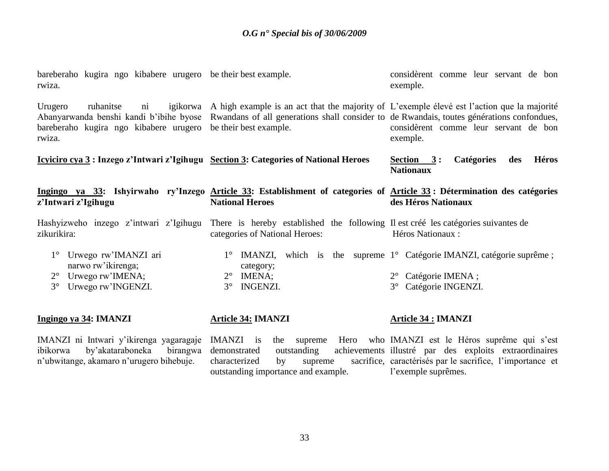| bareberaho kugira ngo kibabere urugero be their best example.<br>rwiza.                                                               |                                                                                                                                                                                                                                 | considèrent comme leur servant de bon<br>exemple.                            |
|---------------------------------------------------------------------------------------------------------------------------------------|---------------------------------------------------------------------------------------------------------------------------------------------------------------------------------------------------------------------------------|------------------------------------------------------------------------------|
| Urugero<br>igikorwa<br>ruhanitse<br>$\overline{\text{ni}}$<br>bareberaho kugira ngo kibabere urugero be their best example.<br>rwiza. | A high example is an act that the majority of L'exemple élevé est l'action que la majorité<br>Abanyarwanda benshi kandi b'ibihe byose Rwandans of all generations shall consider to de Rwandais, toutes générations confondues, | considèrent comme leur servant de bon<br>exemple.                            |
| <u> Icyiciro cya 3</u> : Inzego z'Intwari z'Igihugu Section 3: Categories of National Heroes                                          |                                                                                                                                                                                                                                 | <b>Héros</b><br><b>Catégories</b><br>Section $3:$<br>des<br><b>Nationaux</b> |
| z'Intwari z'Igihugu                                                                                                                   | Ingingo ya 33: Ishyirwaho ry'Inzego Article 33: Establishment of categories of Article 33: Détermination des catégories<br><b>National Heroes</b>                                                                               | des Héros Nationaux                                                          |
| Hashyizweho inzego z'intwari z'Igihugu<br>zikurikira:                                                                                 | There is hereby established the following II est créé les catégories suivantes de<br>categories of National Heroes:                                                                                                             | Héros Nationaux :                                                            |
| Urwego rw'IMANZI ari<br>$1^{\circ}$<br>narwo rw'ikirenga;                                                                             | $1^\circ$ IMANZI,<br>category;                                                                                                                                                                                                  | which is the supreme $1^{\circ}$ Catégorie IMANZI, catégorie suprême;        |
| Urwego rw'IMENA;<br>$2^{\circ}$                                                                                                       | $2^{\circ}$ IMENA;                                                                                                                                                                                                              | Catégorie IMENA ;                                                            |
| $3^\circ$<br>Urwego rw'INGENZI.                                                                                                       | <b>INGENZI.</b><br>$3^\circ$                                                                                                                                                                                                    | Catégorie INGENZI.<br>$3^\circ$                                              |
| Ingingo ya 34: IMANZI                                                                                                                 | <b>Article 34: IMANZI</b>                                                                                                                                                                                                       | <b>Article 34 : IMANZI</b>                                                   |

IMANZI ni Intwari y"ikirenga yagaragaje ibikorwa by"akataraboneka birangwa n"ubwitange, akamaro n"urugero bihebuje.

characterized by supreme outstanding importance and example.

IMANZI is the supreme Hero who IMANZI est le Héros suprême qui s'est demonstrated outstanding achievements illustré par des exploits extraordinaires sacrifice, caractérisés par le sacrifice, l'importance et l'exemple suprêmes.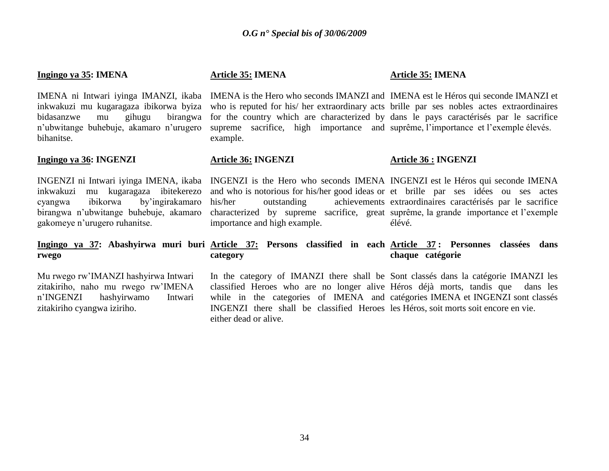#### **Ingingo ya 35: IMENA**

inkwakuzi mu kugaragaza ibikorwa byiza bidasanzwe mu gihugu birangwa n"ubwitange buhebuje, akamaro n"urugero bihanitse.

#### **Ingingo ya 36: INGENZI**

INGENZI ni Intwari iyinga IMENA, ikaba inkwakuzi mu kugaragaza ibitekerezo cyangwa ibikorwa by"ingirakamaro birangwa n"ubwitange buhebuje, akamaro gakomeye n"urugero ruhanitse.

**rwego** 

Mu rwego rw"IMANZI hashyirwa Intwari zitakiriho, naho mu rwego rw"IMENA n"INGENZI hashyirwamo Intwari zitakiriho cyangwa iziriho.

#### **Article 35: IMENA**

#### **Article 35: IMENA**

IMENA ni Intwari iyinga IMANZI, ikaba IMENA is the Hero who seconds IMANZI and IMENA est le Héros qui seconde IMANZI et who is reputed for his/ her extraordinary acts brille par ses nobles actes extraordinaires for the country which are characterized by dans le pays caractérisés par le sacrifice supreme sacrifice, high importance and suprême, l'importance et l'exemple élevés. example.

#### **Article 36: INGENZI**

#### **Article 36 : INGENZI**

INGENZI is the Hero who seconds IMENA INGENZI est le Héros qui seconde IMENA and who is notorious for his/her good ideas or et brille par ses idées ou ses actes his/her outstanding achievements extraordinaires caractérisés par le sacrifice characterized by supreme sacrifice, great suprême, la grande importance et l"exemple importance and high example. élévé.

#### **Ingingo ya 37: Abashyirwa muri buri Article 37: Persons classified in each Article 37 : Personnes classées dans category chaque catégorie**

In the category of IMANZI there shall be Sont classés dans la catégorie IMANZI les classified Heroes who are no longer alive Héros déjà morts, tandis que dans les while in the categories of IMENA and catégories IMENA et INGENZI sont classés INGENZI there shall be classified Heroes les Héros, soit morts soit encore en vie.either dead or alive.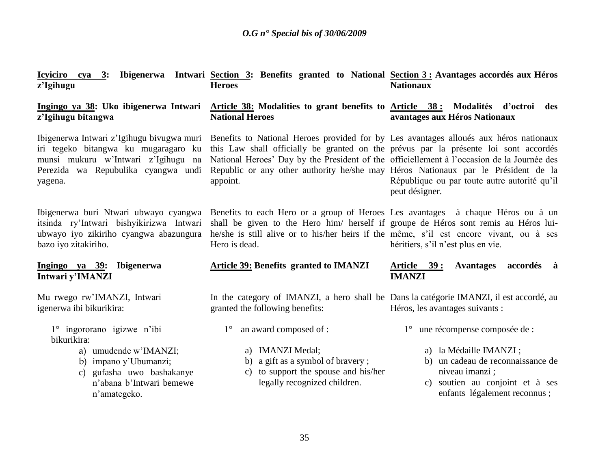| z'Igihugu                                                                                                                                                                          | Icyiciro cya 3: Ibigenerwa Intwari Section 3: Benefits granted to National Section 3: Avantages accordés aux Héros<br><b>Heroes</b>                                                                                                                                                                                                                                          | <b>Nationaux</b>                                                                                                                                                                     |
|------------------------------------------------------------------------------------------------------------------------------------------------------------------------------------|------------------------------------------------------------------------------------------------------------------------------------------------------------------------------------------------------------------------------------------------------------------------------------------------------------------------------------------------------------------------------|--------------------------------------------------------------------------------------------------------------------------------------------------------------------------------------|
| Ingingo ya 38: Uko ibigenerwa Intwari<br>z'Igihugu bitangwa                                                                                                                        | Article 38: Modalities to grant benefits to Article 38: Modalités d'octroi<br><b>National Heroes</b>                                                                                                                                                                                                                                                                         | des<br>avantages aux Héros Nationaux                                                                                                                                                 |
| Ibigenerwa Intwari z'Igihugu biyugwa muri<br>iri tegeko bitangwa ku mugaragaro ku<br>munsi mukuru w'Intwari z'Igihugu na<br>Perezida wa Repubulika cyangwa undi<br>yagena.         | Benefits to National Heroes provided for by Les avantages alloués aux héros nationaux<br>this Law shall officially be granted on the prévus par la présente loi sont accordés<br>National Heroes' Day by the President of the officiellement à l'occasion de la Journée des<br>Republic or any other authority he/she may Héros Nationaux par le Président de la<br>appoint. | République ou par toute autre autorité qu'il<br>peut désigner.                                                                                                                       |
| Ibigenerwa buri Ntwari ubwayo cyangwa<br>itsinda ry'Intwari bishyikirizwa Intwari<br>ubwayo iyo zikiriho cyangwa abazungura<br>bazo iyo zitakiriho.                                | Benefits to each Hero or a group of Heroes Les avantages à chaque Héros ou à un<br>shall be given to the Hero him/ herself if groupe de Héros sont remis au Héros lui-<br>he/she is still alive or to his/her heirs if the même, s'il est encore vivant, ou à ses<br>Hero is dead.                                                                                           | héritiers, s'il n'est plus en vie.                                                                                                                                                   |
| Ingingo ya 39: Ibigenerwa<br>Intwari y'IMANZI                                                                                                                                      | <b>Article 39: Benefits granted to IMANZI</b>                                                                                                                                                                                                                                                                                                                                | <u>Article 39:</u><br><b>Avantages</b><br>accordés à<br><b>IMANZI</b>                                                                                                                |
| Mu rwego rw'IMANZI, Intwari<br>igenerwa ibi bikurikira:                                                                                                                            | In the category of IMANZI, a hero shall be Dans la categorie IMANZI, il est accordé, au<br>granted the following benefits:                                                                                                                                                                                                                                                   | Héros, les avantages suivants :                                                                                                                                                      |
| 1° ingororano igizwe n'ibi<br>bikurikira:<br>a) umudende w'IMANZI;<br>b) impano y'Ubumanzi;<br>gufasha uwo bashakanye<br>$\mathcal{C}$<br>n'abana b'Intwari bemewe<br>n'amategeko. | an award composed of :<br>$1^{\circ}$<br>a) IMANZI Medal;<br>a gift as a symbol of bravery;<br>b)<br>to support the spouse and his/her<br>$\mathcal{C}$ )<br>legally recognized children.                                                                                                                                                                                    | 1° une récompense composée de :<br>a) la Médaille IMANZI ;<br>b) un cadeau de reconnaissance de<br>niveau imanzi;<br>c) soutien au conjoint et à ses<br>enfants légalement reconnus; |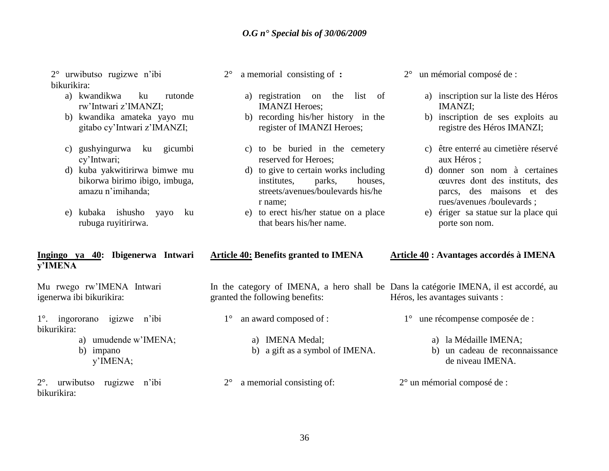2° urwibutso rugizwe n"ibi bikurikira:

- a) kwandikwa ku rutonde rw"Intwari z"IMANZI;
- b) kwandika amateka yayo mu gitabo cy"Intwari z"IMANZI;
- c) gushyingurwa ku gicumbi cy"Intwari;
- d) kuba yakwitirirwa bimwe mu bikorwa birimo ibigo, imbuga, amazu n"imihanda;
- e) kubaka ishusho yayo ku rubuga ruyitirirwa.

#### **Ingingo ya 40: Ibigenerwa Intwari y'IMENA**

Mu rwego rw"IMENA Intwari igenerwa ibi bikurikira:

1°. ingororano igizwe n"ibi bikurikira:

- a) umudende w"IMENA;
- b) impano
	- y"IMENA;

2°. urwibutso rugizwe n"ibi bikurikira:

- 2° a memorial consisting of **:**
	- a) registration on the list of IMANZI Heroes;
	- b) recording his/her history in the register of IMANZI Heroes;
	- c) to be buried in the cemetery reserved for Heroes;
	- d) to give to certain works including institutes, parks, houses, streets/avenues/boulevards his/he r name;
	- e) to erect his/her statue on a place that bears his/her name.
- 2° un mémorial composé de :
	- a) inscription sur la liste des Héros IMANZI;
	- b) inscription de ses exploits au registre des Héros IMANZI;
	- c) être enterré au cimetière réservé aux Héros ;
	- d) donner son nom à certaines œuvres dont des instituts, des parcs, des maisons et des rues/avenues /boulevards ;
	- e) ériger sa statue sur la place qui porte son nom.
- **Article 40: Benefits granted to IMENA** In the category of IMENA, a hero shall be Dans la catégorie IMENA, il est accordé, au granted the following benefits: 1° an award composed of : a) IMENA Medal; b) a gift as a symbol of IMENA. **Article 40 : Avantages accordés à IMENA** Héros, les avantages suivants : 1° une récompense composée de : a) la Médaille IMENA; b) un cadeau de reconnaissance de niveau IMENA.
	- 2° un mémorial composé de :

2° a memorial consisting of: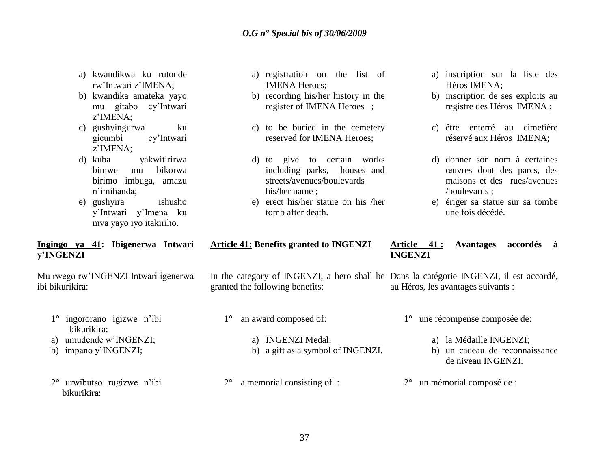- a) kwandikwa ku rutonde rw"Intwari z"IMENA;
- b) kwandika amateka yayo mu gitabo cy"Intwari z"IMENA;
- c) gushyingurwa ku gicumbi cy"Intwari z"IMENA;
- d) kuba yakwitirirwa bimwe mu bikorwa birimo imbuga, amazu n"imihanda;
- e) gushyira ishusho y"Intwari y"Imena ku mva yayo iyo itakiriho.

### **Ingingo ya 41: Ibigenerwa Intwari y'INGENZI**

Mu rwego rw"INGENZI Intwari igenerwa ibi bikurikira:

- 1° ingororano igizwe n"ibi bikurikira:
- a) umudende w"INGENZI;
- b) impano y"INGENZI;
- 2° urwibutso rugizwe n"ibi bikurikira:
- a) registration on the list of IMENA Heroes;
- b) recording his/her history in the register of IMENA Heroes ;
- c) to be buried in the cemetery reserved for IMENA Heroes;
- d) to give to certain works including parks, houses and streets/avenues/boulevards his/her name ;
- e) erect his/her statue on his /her tomb after death.
- **Article 41: Benefits granted to INGENZI**

In the category of INGENZI, a hero shall be Dans la catégorie INGENZI, il est accordé, granted the following benefits: au Héros, les avantages suivants :

- 1° an award composed of:
	- a) INGENZI Medal;
	- b) a gift as a symbol of INGENZI.

2° a memorial consisting of :

- a) inscription sur la liste des Héros IMENA;
- b) inscription de ses exploits au registre des Héros IMENA ;
- c) être enterré au cimetière réservé aux Héros IMENA;
- d) donner son nom à certaines œuvres dont des parcs, des maisons et des rues/avenues /boulevards ;
- e) ériger sa statue sur sa tombe une fois décédé.

### **Article 41 : Avantages accordés à INGENZI**

- 1° une récompense composée de:
	- a) la Médaille INGENZI;
	- b) un cadeau de reconnaissance de niveau INGENZI.
- 2° un mémorial composé de :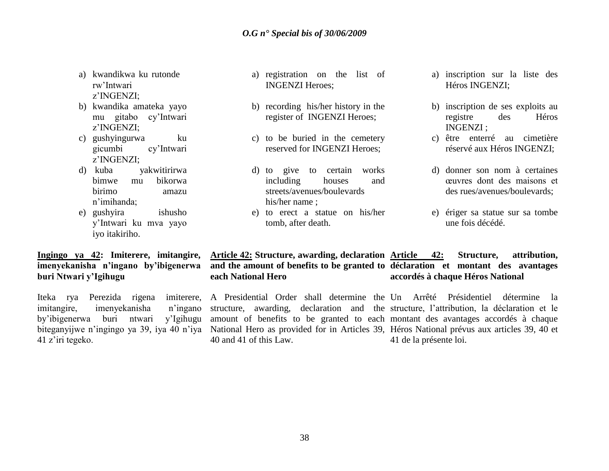- a) kwandikwa ku rutonde rw"Intwari z"INGENZI;
- b) kwandika amateka yayo mu gitabo cy"Intwari z"INGENZI;
- c) gushyingurwa ku gicumbi cy"Intwari z"INGENZI;
- d) kuba yakwitirirwa bimwe mu bikorwa birimo amazu n"imihanda;
- e) gushyira ishusho y"Intwari ku mva yayo iyo itakiriho.

## **Ingingo ya 42: Imiterere, imitangire, imenyekanisha n'ingano by'ibigenerwa buri Ntwari y'Igihugu**

Iteka rya Perezida rigena imiterere, imitangire, imenyekanisha n"ingano by"ibigenerwa buri ntwari y"Igihugu biteganyijwe n"ingingo ya 39, iya 40 n"iya 41 z"iri tegeko.

- a) registration on the list of INGENZI Heroes;
- b) recording his/her history in the register of INGENZI Heroes;
- c) to be buried in the cemetery reserved for INGENZI Heroes;
- d) to give to certain works including houses and streets/avenues/boulevards his/her name ;
- e) to erect a statue on his/her tomb, after death.
- a) inscription sur la liste des Héros INGENZI;
- b) inscription de ses exploits au registre des Héros INGENZI ;
- c) être enterré au cimetière réservé aux Héros INGENZI;
- d) donner son nom à certaines œuvres dont des maisons et des rues/avenues/boulevards;
- e) ériger sa statue sur sa tombe une fois décédé.

#### **Article 42: Structure, awarding, declaration Article 42: Structure, attribution, and the amount of benefits to be granted to déclaration et montant des avantages each National Hero accordés à chaque Héros National**

A Presidential Order shall determine the Un Arrêté Présidentiel détermine la structure, awarding, declaration and the structure, l"attribution, la déclaration et le amount of benefits to be granted to each montant des avantages accordés à chaque National Hero as provided for in Articles 39, Héros National prévus aux articles 39, 40 et 40 and 41 of this Law. 41 de la présente loi.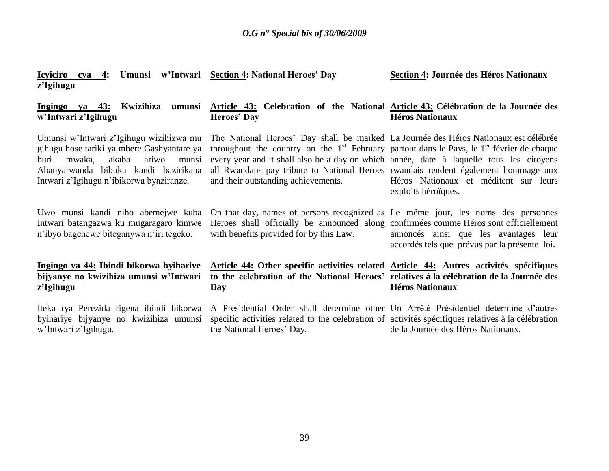| <b>Icyiciro</b><br>z'Igihugu                                                                                                                                                                                           | cya 4: Umunsi w'Intwari Section 4: National Heroes' Day                                                                                                                                                                                                                                                                                                                                                       | Section 4: Journée des Héros Nationaux                                                 |
|------------------------------------------------------------------------------------------------------------------------------------------------------------------------------------------------------------------------|---------------------------------------------------------------------------------------------------------------------------------------------------------------------------------------------------------------------------------------------------------------------------------------------------------------------------------------------------------------------------------------------------------------|----------------------------------------------------------------------------------------|
| Kwizihiza<br>Ingingo<br>va 43:<br>w'Intwari z'Igihugu                                                                                                                                                                  | umunsi Article 43: Celebration of the National Article 43: Célébration de la Journée des<br><b>Heroes' Day</b>                                                                                                                                                                                                                                                                                                | <b>Héros Nationaux</b>                                                                 |
| Umunsi w'Intwari z'Igihugu wizihizwa mu<br>gihugu hose tariki ya mbere Gashyantare ya<br>ariwo<br>mwaka,<br>akaba<br>munsi<br>buri<br>Abanyarwanda bibuka kandi bazirikana<br>Intwari z'Igihugu n'ibikorwa byaziranze. | The National Heroes' Day shall be marked La Journée des Héros Nationaux est célébrée<br>throughout the country on the $1st$ February partout dans le Pays, le $1er$ février de chaque<br>every year and it shall also be a day on which année, date à laquelle tous les citoyens<br>all Rwandans pay tribute to National Heroes rwandais rendent également hommage aux<br>and their outstanding achievements. | Héros Nationaux et méditent sur leurs<br>exploits héroïques.                           |
| Uwo munsi kandi niho abemejwe kuba<br>Intwari batangazwa ku mugaragaro kimwe<br>n'ibyo bagenewe biteganywa n'iri tegeko.                                                                                               | On that day, names of persons recognized as Le même jour, les noms des personnes<br>Heroes shall officially be announced along confirmées comme Héros sont officiellement<br>with benefits provided for by this Law.                                                                                                                                                                                          | annoncés ainsi que les avantages leur<br>accordés tels que prévus par la présente loi. |
| Ingingo ya 44: Ibindi bikorwa byihariye<br>bijyanye no kwizihiza umunsi w'Intwari<br>z'Igihugu                                                                                                                         | Article 44: Other specific activities related Article 44: Autres activités spécifiques<br>to the celebration of the National Heroes' relatives à la célébration de la Journée des<br>Day                                                                                                                                                                                                                      | <b>Héros Nationaux</b>                                                                 |
| Iteka rya Perezida rigena ibindi bikorwa<br>byihariye bijyanye no kwizihiza umunsi<br>w'Intwari z'Igihugu.                                                                                                             | A Presidential Order shall determine other Un Arrêté Présidentiel détermine d'autres<br>specific activities related to the celebration of activities specifiques relatives à la célébration<br>the National Heroes' Day.                                                                                                                                                                                      | de la Journée des Héros Nationaux.                                                     |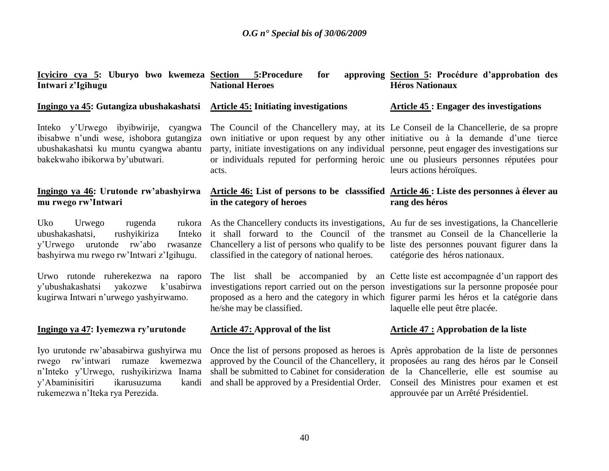| Icyiciro cya 5: Uburyo bwo kwemeza Section 5:Procedure<br>Intwari z'Igihugu                                                                                                                            | for<br><b>National Heroes</b>                                                                                                                                                                                                                                                                                                                                                     | approving Section 5: Procédure d'approbation des<br><b>Héros Nationaux</b> |
|--------------------------------------------------------------------------------------------------------------------------------------------------------------------------------------------------------|-----------------------------------------------------------------------------------------------------------------------------------------------------------------------------------------------------------------------------------------------------------------------------------------------------------------------------------------------------------------------------------|----------------------------------------------------------------------------|
| Ingingo ya 45: Gutangiza ubushakashatsi                                                                                                                                                                | <b>Article 45: Initiating investigations</b>                                                                                                                                                                                                                                                                                                                                      | <b>Article 45: Engager des investigations</b>                              |
| Inteko y'Urwego ibyibwirije, cyangwa<br>ibisabwe n'undi wese, ishobora gutangiza<br>ubushakashatsi ku muntu cyangwa abantu<br>bakekwaho ibikorwa by'ubutwari.                                          | The Council of the Chancellery may, at its Le Conseil de la Chancellerie, de sa propre<br>own initiative or upon request by any other initiative ou à la demande d'une tierce<br>party, initiate investigations on any individual personne, peut engager des investigations sur<br>or individuals reputed for performing heroic une ou plusieurs personnes réputées pour<br>acts. | leurs actions héroïques.                                                   |
| Ingingo ya 46: Urutonde rw'abashyirwa<br>mu rwego rw'Intwari                                                                                                                                           | Article 46: List of persons to be classsified Article 46: Liste des personnes à élever au<br>in the category of heroes                                                                                                                                                                                                                                                            | rang des héros                                                             |
| Urwego<br>rugenda<br>Uko<br>ubushakashatsi,<br>rushyikiriza<br>Inteko<br>y'Urwego urutonde rw'abo rwasanze<br>bashyirwa mu rwego rw'Intwari z'Igihugu.                                                 | rukora As the Chancellery conducts its investigations, Au fur de ses investigations, la Chancellerie<br>it shall forward to the Council of the transmet au Conseil de la Chancellerie la<br>Chancellery a list of persons who qualify to be liste des personnes pouvant figurer dans la<br>classified in the category of national heroes.                                         | catégorie des héros nationaux.                                             |
| Urwo rutonde ruherekezwa na raporo<br>y'ubushakashatsi yakozwe<br>k'usabirwa<br>kugirwa Intwari n'urwego yashyirwamo.                                                                                  | The list shall be accompanied by an Cette liste est accompagnée d'un rapport des<br>investigations report carried out on the person investigations sur la personne proposée pour<br>proposed as a hero and the category in which figurer parmi les héros et la catégorie dans<br>he/she may be classified.                                                                        | laquelle elle peut être placée.                                            |
| Ingingo ya 47: Iyemezwa ry'urutonde                                                                                                                                                                    | <b>Article 47: Approval of the list</b>                                                                                                                                                                                                                                                                                                                                           | <b>Article 47 : Approbation de la liste</b>                                |
| Iyo urutonde rw'abasabirwa gushyirwa mu<br>rwego rw'intwari<br>rumaze kwemezwa<br>n'Inteko y'Urwego, rushyikirizwa Inama<br>y'Abaminisitiri<br>ikarusuzuma<br>kandi<br>rukemezwa n'Iteka rya Perezida. | Once the list of persons proposed as heroes is Après approbation de la liste de personnes<br>approved by the Council of the Chancellery, it proposées au rang des héros par le Conseil<br>shall be submitted to Cabinet for consideration de la Chancellerie, elle est soumise au<br>and shall be approved by a Presidential Order. Conseil des Ministres pour examen et est      | approuvée par un Arrêté Présidentiel.                                      |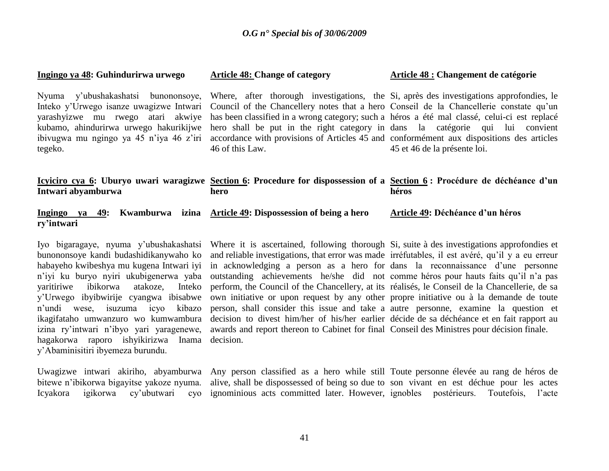| Ingingo ya 48: Guhindurirwa urwego | <b>Article 48: Change of category</b>                                                                                                                                                                                                                                                                                                                                                                                                                                                                                                                                                                                                                                          | Article 48 : Changement de catégorie |
|------------------------------------|--------------------------------------------------------------------------------------------------------------------------------------------------------------------------------------------------------------------------------------------------------------------------------------------------------------------------------------------------------------------------------------------------------------------------------------------------------------------------------------------------------------------------------------------------------------------------------------------------------------------------------------------------------------------------------|--------------------------------------|
| tegeko.                            | Nyuma y'ubushakashatsi bunononsoye, Where, after thorough investigations, the Si, après des investigations approfondies, le<br>Inteko y'Urwego isanze uwagizwe Intwari Council of the Chancellery notes that a hero Conseil de la Chancellerie constate qu'un<br>yarashyizwe mu rwego atari akwiye has been classified in a wrong category; such a héros a été mal classé, celui-ci est replacé<br>kubamo, ahindurirwa urwego hakurikijwe hero shall be put in the right category in dans la catégorie qui lui convient<br>ibivugwa mu ngingo ya 45 n'iya 46 z'iri accordance with provisions of Articles 45 and conformément aux dispositions des articles<br>46 of this Law. | 45 et 46 de la présente loi.         |
| Intwari abyamburwa                 | <u>Icyiciro cya 6</u> : Uburyo uwari waragizwe Section 6: Procedure for dispossession of a Section 6: Procédure de déchéance d'un<br>hero                                                                                                                                                                                                                                                                                                                                                                                                                                                                                                                                      | héros                                |
| Ingingo ya 49:<br>ry'intwari       | Kwamburwa izina Article 49: Dispossession of being a hero                                                                                                                                                                                                                                                                                                                                                                                                                                                                                                                                                                                                                      | Article 49: Déchéance d'un héros     |
| $\mathbf{r}$ and $\mathbf{r}$      |                                                                                                                                                                                                                                                                                                                                                                                                                                                                                                                                                                                                                                                                                |                                      |

Iyo bigaragaye, nyuma y"ubushakashatsi bunononsoye kandi budashidikanywaho ko habayeho kwibeshya mu kugena Intwari iyi n"iyi ku buryo nyiri ukubigenerwa yaba yaritiriwe ibikorwa atakoze, Inteko y"Urwego ibyibwirije cyangwa ibisabwe n"undi wese, isuzuma icyo kibazo ikagifataho umwanzuro wo kumwambura izina ry"intwari n"ibyo yari yaragenewe, hagakorwa raporo ishyikirizwa Inama y"Abaminisitiri ibyemeza burundu.

bitewe n"ibikorwa bigayitse yakoze nyuma. Icyakora igikorwa cy"ubutwari cyo

Where it is ascertained, following thorough Si, suite à des investigations approfondies et and reliable investigations, that error was made irréfutables, il est avéré, qu"il y a eu erreur in acknowledging a person as a hero for dans la reconnaissance d"une personne outstanding achievements he/she did not comme héros pour hauts faits qu'il n'a pas perform, the Council of the Chancellery, at its réalisés, le Conseil de la Chancellerie, de sa own initiative or upon request by any other propre initiative ou à la demande de toute person, shall consider this issue and take a autre personne, examine la question et decision to divest him/her of his/her earlier décide de sa déchéance et en fait rapport au awards and report thereon to Cabinet for final Conseil des Ministres pour décision finale. decision.

Uwagizwe intwari akiriho, abyamburwa Any person classified as a hero while still Toute personne élevée au rang de héros de alive, shall be dispossessed of being so due to son vivant en est déchue pour les actes ignominious acts committed later. However, ignobles postérieurs. Toutefois, l'acte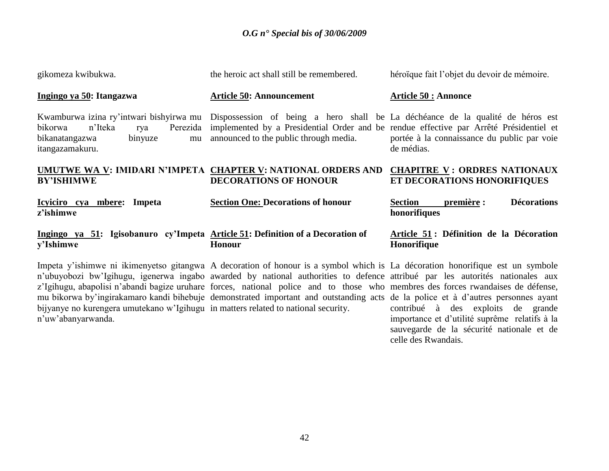| gikomeza kwibukwa.                                                                                                                     | the heroic act shall still be remembered.                                                                                                                                                                                                                                                                                                                                                        | héroïque fait l'objet du devoir de mémoire.                        |
|----------------------------------------------------------------------------------------------------------------------------------------|--------------------------------------------------------------------------------------------------------------------------------------------------------------------------------------------------------------------------------------------------------------------------------------------------------------------------------------------------------------------------------------------------|--------------------------------------------------------------------|
| Ingingo ya 50: Itangazwa                                                                                                               | <b>Article 50: Announcement</b>                                                                                                                                                                                                                                                                                                                                                                  | <b>Article 50 : Annonce</b>                                        |
| Kwamburwa izina ry'intwari bishyirwa mu<br>n'Iteka<br>Perezida<br>bikorwa<br>rya<br>binyuze<br>bikanatangazwa<br>mu<br>itangazamakuru. | Dispossession of being a hero shall be La déchéance de la qualité de héros est<br>implemented by a Presidential Order and be rendue effective par Arrêté Présidentiel et<br>announced to the public through media.                                                                                                                                                                               | portée à la connaissance du public par voie<br>de médias.          |
| <b>BY'ISHIMWE</b>                                                                                                                      | UMUTWE WA V: IMIDARI N'IMPETA CHAPTER V: NATIONAL ORDERS AND<br><b>DECORATIONS OF HONOUR</b>                                                                                                                                                                                                                                                                                                     | <b>CHAPITRE V: ORDRES NATIONAUX</b><br>ET DECORATIONS HONORIFIQUES |
| Icyiciro cya mbere: Impeta<br>z'ishimwe                                                                                                | <b>Section One: Decorations of honour</b>                                                                                                                                                                                                                                                                                                                                                        | <b>Décorations</b><br>première :<br>Section<br>honorifiques        |
| Ingingo ya 51: Igisobanuro cy'Impeta Article 51: Definition of a Decoration of<br>y'Ishimwe                                            | <b>Honour</b>                                                                                                                                                                                                                                                                                                                                                                                    | Article 51 : Définition de la Décoration<br>Honorifique            |
|                                                                                                                                        | Impeta y'ishimwe ni ikimenyetso gitangwa A decoration of honour is a symbol which is La décoration honorifique est un symbole<br>n'ubuyobozi bw'Igihugu, igenerwa ingabo awarded by national authorities to defence attribué par les autorités nationales aux<br>z'Igihugu, abapolisi n'abandi bagize uruhare forces, national police and to those who membres des forces rwandaises de défense, |                                                                    |

n"uw"abanyarwanda.

mu bikorwa by"ingirakamaro kandi bihebuje bijyanye no kurengera umutekano w"Igihugu in matters related to national security. forces, national police and to those who demonstrated important and outstanding acts

membres des forces rwandaises de défense, de la police et à d"autres personnes ayant contribué à des exploits de grande importance et d"utilité suprême relatifs à la sauvegarde de la sécurité nationale et de celle des Rwandais.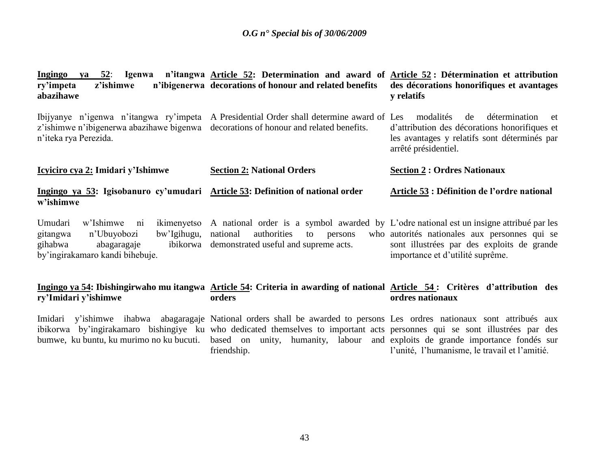| z'ishimwe<br>ry'impeta<br>abazihawe                                                                                                        | Ingingo ya 52: Igenwa n'itangwa Article 52: Determination and award of Article 52: Détermination et attribution<br>n'ibigenerwa decorations of honour and related benefits                                                                                                                                                                                                       | des décorations honorifiques et avantages<br>y relatifs                                                                                                         |
|--------------------------------------------------------------------------------------------------------------------------------------------|----------------------------------------------------------------------------------------------------------------------------------------------------------------------------------------------------------------------------------------------------------------------------------------------------------------------------------------------------------------------------------|-----------------------------------------------------------------------------------------------------------------------------------------------------------------|
| z'ishimwe n'ibigenerwa abazihawe bigenwa<br>n'iteka rya Perezida.                                                                          | Ibijyanye n'igenwa n'itangwa ry'impeta A Presidential Order shall determine award of Les<br>decorations of honour and related benefits.                                                                                                                                                                                                                                          | modalités<br>de<br>détermination<br>et<br>d'attribution des décorations honorifiques et<br>les avantages y relatifs sont déterminés par<br>arrêté présidentiel. |
| <u>Icyiciro cya 2:</u> Imidari y'Ishimwe                                                                                                   | <b>Section 2: National Orders</b>                                                                                                                                                                                                                                                                                                                                                | <b>Section 2: Ordres Nationaux</b>                                                                                                                              |
| Ingingo ya 53: Igisobanuro cy'umudari Article 53: Definition of national order<br>w'ishimwe                                                |                                                                                                                                                                                                                                                                                                                                                                                  | Article 53 : Définition de l'ordre national                                                                                                                     |
| Umudari<br>w'Ishimwe<br>ni<br>bw'Igihugu, national<br>gitangwa<br>n'Ubuyobozi<br>gihabwa<br>abagaragaje<br>by'ingirakamaro kandi bihebuje. | ikimenyetso A national order is a symbol awarded by L'odre national est un insigne attribué par les<br>authorities<br>to<br>persons<br>ibikorwa demonstrated useful and supreme acts.                                                                                                                                                                                            | who autorités nationales aux personnes qui se<br>sont illustrées par des exploits de grande<br>importance et d'utilité suprême.                                 |
| ry'Imidari y'ishimwe                                                                                                                       | Ingingo ya 54: Ibishingirwaho mu itangwa Article 54: Criteria in awarding of national Article 54: Critères d'attribution des<br>orders                                                                                                                                                                                                                                           | ordres nationaux                                                                                                                                                |
|                                                                                                                                            | Imidari y'ishimwe ihabwa abagaragaje National orders shall be awarded to persons Les ordres nationaux sont attribués aux<br>ibikorwa by'ingirakamaro bishingiye ku who dedicated themselves to important acts personnes qui se sont illustrées par des<br>bumwe, ku buntu, ku murimo no ku bucuti. based on unity, humanity, labour and exploits de grande importance fondés sur |                                                                                                                                                                 |

l'unité, l'humanisme, le travail et l'amitié.

friendship.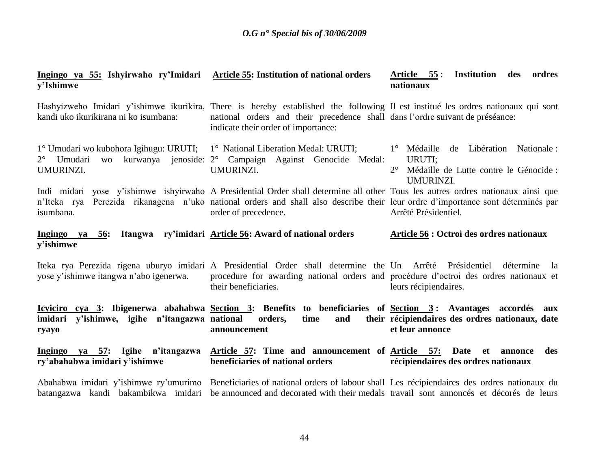| Ingingo ya 55: Ishyirwaho ry'Imidari<br>y'Ishimwe                                                                                           | <b>Article 55: Institution of national orders</b>                                                                                                                                                                                                                                          | <b>Institution</b> des<br>Article 55:<br>ordres<br>nationaux                                                                      |
|---------------------------------------------------------------------------------------------------------------------------------------------|--------------------------------------------------------------------------------------------------------------------------------------------------------------------------------------------------------------------------------------------------------------------------------------------|-----------------------------------------------------------------------------------------------------------------------------------|
| kandi uko ikurikirana ni ko isumbana:                                                                                                       | Hashyizweho Imidari y'ishimwe ikurikira, There is hereby established the following Il est institué les ordres nationaux qui sont<br>national orders and their precedence shall dans l'ordre suivant de préséance:<br>indicate their order of importance:                                   |                                                                                                                                   |
| 1° Umudari wo kubohora Igihugu: URUTI; 1° National Liberation Medal: URUTI;<br>Umudari<br>kurwanya<br><b>WO</b><br>$2^{\circ}$<br>UMURINZI. | jenoside: 2° Campaign Against Genocide Medal:<br>UMURINZI.                                                                                                                                                                                                                                 | $1^\circ$ Médaille<br>Libération Nationale:<br>de<br>URUTI;<br>$2^{\circ}$<br>Médaille de Lutte contre le Génocide :<br>UMURINZI. |
| isumbana.                                                                                                                                   | Indi midari yose y'ishimwe ishyirwaho A Presidential Order shall determine all other Tous les autres ordres nationaux ainsi que<br>n'Iteka rya Perezida rikanagena n'uko national orders and shall also describe their leur ordre d'importance sont déterminés par<br>order of precedence. | Arrêté Présidentiel.                                                                                                              |
| Ingingo ya 56:<br>y'ishimwe                                                                                                                 | Itangwa ry'imidari Article 56: Award of national orders                                                                                                                                                                                                                                    | Article 56 : Octroi des ordres nationaux                                                                                          |
| yose y'ishimwe itangwa n'abo igenerwa.                                                                                                      | Iteka rya Perezida rigena uburyo imidari A Presidential Order shall determine the Un Arrêté Présidentiel<br>procedure for awarding national orders and procédure d'octroi des ordres nationaux et<br>their beneficiaries.                                                                  | détermine<br>- la<br>leurs récipiendaires.                                                                                        |
| y'ishimwe, igihe n'itangazwa national<br>imidari<br>ryayo                                                                                   | Icyiciro cya 3: Ibigenerwa abahabwa Section 3: Benefits to beneficiaries of Section 3: Avantages accordés aux<br>orders,<br>time<br>and<br>announcement                                                                                                                                    | their récipiendaires des ordres nationaux, date<br>et leur annonce                                                                |
| Ingingo ya $57$ :<br><b>Igihe</b><br>n'itangazwa<br>ry'abahabwa imidari y'ishimwe                                                           | Article 57: Time and announcement of Article 57:<br>beneficiaries of national orders                                                                                                                                                                                                       | <b>Date</b><br>des<br>et<br>annonce<br>récipiendaires des ordres nationaux                                                        |
| Abahabwa imidari y'ishimwe ry'umurimo<br>batangazwa kandi bakambikwa imidari                                                                | Beneficiaries of national orders of labour shall Les récipiendaires des ordres nationaux du<br>be announced and decorated with their medals travail sont annoncés et décorés de leurs                                                                                                      |                                                                                                                                   |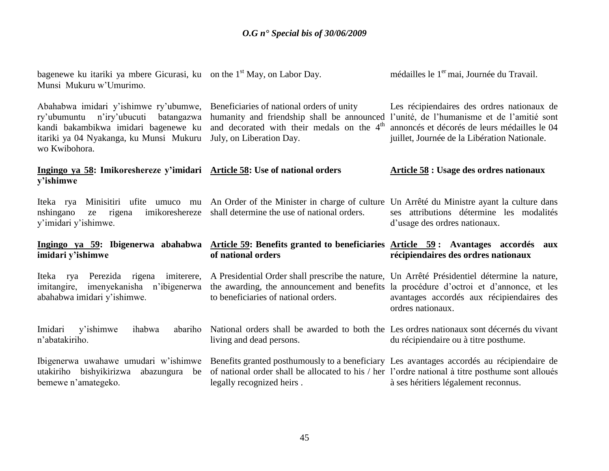| bagenewe ku itariki ya mbere Gicurasi, ku on the $1st$ May, on Labor Day.<br>Munsi Mukuru w'Umurimo.                                                                                 |                                                                                                                                                                                                                                | médailles le 1 <sup>er</sup> mai, Journée du Travail.                                                                                                                                     |
|--------------------------------------------------------------------------------------------------------------------------------------------------------------------------------------|--------------------------------------------------------------------------------------------------------------------------------------------------------------------------------------------------------------------------------|-------------------------------------------------------------------------------------------------------------------------------------------------------------------------------------------|
| Abahabwa imidari y'ishimwe ry'ubumwe,<br>ry'ubumuntu n'iry'ubucuti<br>batangazwa<br>kandi bakambikwa imidari bagenewe ku<br>itariki ya 04 Nyakanga, ku Munsi Mukuru<br>wo Kwibohora. | Beneficiaries of national orders of unity<br>humanity and friendship shall be announced<br>and decorated with their medals on the 4 <sup>th</sup><br>July, on Liberation Day.                                                  | Les récipiendaires des ordres nationaux de<br>l'unité, de l'humanisme et de l'amitié sont<br>annoncés et décorés de leurs médailles le 04<br>juillet, Journée de la Libération Nationale. |
| Ingingo ya 58: Imikoreshereze y'imidari Article 58: Use of national orders<br>y'ishimwe                                                                                              |                                                                                                                                                                                                                                | <b>Article 58 : Usage des ordres nationaux</b>                                                                                                                                            |
| imikoreshereze<br>nshingano<br>rigena<br>ze<br>y'imidari y'ishimwe.                                                                                                                  | Iteka rya Minisitiri ufite umuco mu An Order of the Minister in charge of culture Un Arrêté du Ministre ayant la culture dans<br>shall determine the use of national orders.                                                   | ses attributions détermine les modalités<br>d'usage des ordres nationaux.                                                                                                                 |
|                                                                                                                                                                                      |                                                                                                                                                                                                                                |                                                                                                                                                                                           |
| Ingingo ya 59: Ibigenerwa abahabwa<br>imidari y'ishimwe                                                                                                                              | Article 59: Benefits granted to beneficiaries Article 59: Avantages accordés<br>of national orders                                                                                                                             | aux<br>récipiendaires des ordres nationaux                                                                                                                                                |
| Perezida rigena<br>imiterere,<br>Iteka<br>rya<br>imitangire, imenyekanisha n'ibigenerwa<br>abahabwa imidari y'ishimwe.                                                               | A Presidential Order shall prescribe the nature, Un Arrêté Présidentiel détermine la nature,<br>the awarding, the announcement and benefits la procédure d'octroi et d'annonce, et les<br>to beneficiaries of national orders. | avantages accordés aux récipiendaires des<br>ordres nationaux.                                                                                                                            |
| Imidari<br>y'ishimwe<br>ihabwa<br>abariho<br>n'abatakiriho.                                                                                                                          | National orders shall be awarded to both the Les ordres nationaux sont décernés du vivant<br>living and dead persons.                                                                                                          | du récipiendaire ou à titre posthume.                                                                                                                                                     |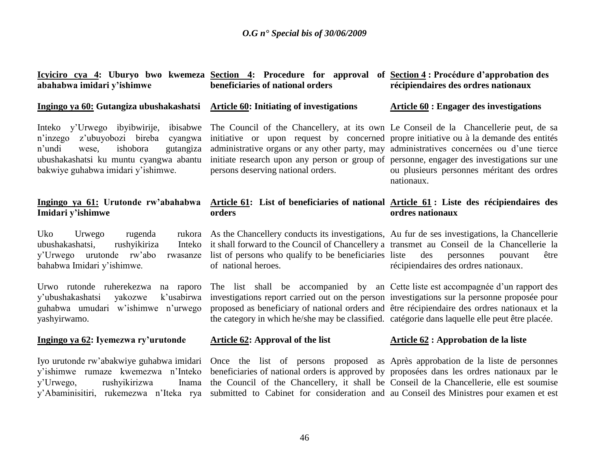**Icyiciro cya 4: Uburyo bwo kwemeza Section 4: Procedure for approval of Section 4 : Procédure d'approbation des abahabwa imidari y'ishimwe**

#### **Ingingo ya 60: Gutangiza ubushakashatsi**

Inteko y'Urwego ibyibwirije, n"inzego z"ubuyobozi bireba cyangwa n"undi wese, ishobora gutangiza ubushakashatsi ku muntu cyangwa abantu bakwiye guhabwa imidari y"ishimwe.

#### **Ingingo ya 61: Urutonde rw'abahabwa Imidari y'ishimwe**

Uko Urwego rugenda ubushakashatsi, rushyikiriza y"Urwego urutonde rw"abo rwasanze bahabwa Imidari y"ishimwe.

Urwo rutonde ruherekezwa na raporo y"ubushakashatsi yakozwe k"usabirwa guhabwa umudari w"ishimwe n"urwego yashyirwamo.

#### **Ingingo ya 62: Iyemezwa ry'urutonde**

Iyo urutonde rw"abakwiye guhabwa imidari y"ishimwe rumaze kwemezwa n"Inteko y"Urwego, rushyikirizwa Inama

# **beneficiaries of national orders**

#### **Article 60: Initiating of investigations**

initiative or upon request by concerned propre initiative ou à la demande des entités administrative organs or any other party, may administratives concernées ou d'une tierce initiate research upon any person or group of personne, engager des investigations sur une persons deserving national orders.

#### **Article 61: List of beneficiaries of national Article 61 : Liste des récipiendaires des orders ordres nationaux**

As the Chancellery conducts its investigations, Au fur de ses investigations, la Chancellerie it shall forward to the Council of Chancellery a transmet au Conseil de la Chancellerie la list of persons who qualify to be beneficiaries of national heroes. récipiendaires des ordres nationaux.

The list shall be accompanied by an Cette liste est accompagnée d'un rapport des investigations report carried out on the person investigations sur la personne proposée pour proposed as beneficiary of national orders and être récipiendaire des ordres nationaux et la the category in which he/she may be classified. catégorie dans laquelle elle peut être placée.

#### **Article 62: Approval of the list**

#### **Article 62 : Approbation de la liste**

y"Abaminisitiri, rukemezwa n"Iteka rya submitted to Cabinet for consideration and au Conseil des Ministres pour examen et est beneficiaries of national orders is approved by proposées dans les ordres nationaux par le the Council of the Chancellery, it shall be Conseil de la Chancellerie, elle est soumise

Once the list of persons proposed as Après approbation de la liste de personnes

# **récipiendaires des ordres nationaux**

#### **Article 60 : Engager des investigations**

The Council of the Chancellery, at its own Le Conseil de la Chancellerie peut, de sa ou plusieurs personnes méritant des ordres nationaux.

des personnes pouvant être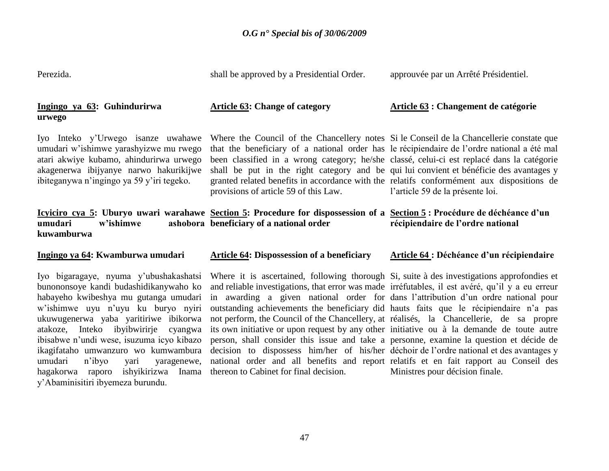| Perezida.                                                                                                                                                                                                                                                                                                                            | shall be approved by a Presidential Order.                                                                                                                                                                                                                                                                                                                                                                                                                                                                                                                                                                                                                                                                                                                   | approuvée par un Arrêté Présidentiel.            |
|--------------------------------------------------------------------------------------------------------------------------------------------------------------------------------------------------------------------------------------------------------------------------------------------------------------------------------------|--------------------------------------------------------------------------------------------------------------------------------------------------------------------------------------------------------------------------------------------------------------------------------------------------------------------------------------------------------------------------------------------------------------------------------------------------------------------------------------------------------------------------------------------------------------------------------------------------------------------------------------------------------------------------------------------------------------------------------------------------------------|--------------------------------------------------|
| Ingingo ya 63: Guhindurirwa<br>urwego                                                                                                                                                                                                                                                                                                | <b>Article 63: Change of category</b>                                                                                                                                                                                                                                                                                                                                                                                                                                                                                                                                                                                                                                                                                                                        | Article 63 : Changement de catégorie             |
| Iyo Inteko y'Urwego isanze uwahawe<br>umudari w'ishimwe yarashyizwe mu rwego<br>atari akwiye kubamo, ahindurirwa urwego<br>akagenerwa ibijyanye narwo hakurikijwe<br>ibiteganywa n'ingingo ya 59 y'iri tegeko.                                                                                                                       | Where the Council of the Chancellery notes Si le Conseil de la Chancellerie constate que<br>that the beneficiary of a national order has le récipiendaire de l'ordre national a été mal<br>been classified in a wrong category; he/she classé, celui-ci est replacé dans la catégorie<br>shall be put in the right category and be qui lui convient et bénéficie des avantages y<br>granted related benefits in accordance with the relatifs conformément aux dispositions de<br>provisions of article 59 of this Law.                                                                                                                                                                                                                                       | l'article 59 de la présente loi.                 |
| umudari<br>w'ishimwe<br>kuwamburwa                                                                                                                                                                                                                                                                                                   | Icyiciro cya 5: Uburyo uwari warahawe Section 5: Procedure for dispossession of a Section 5: Procédure de déchéance d'un<br>ashobora beneficiary of a national order                                                                                                                                                                                                                                                                                                                                                                                                                                                                                                                                                                                         | récipiendaire de l'ordre national                |
| Ingingo ya 64: Kwamburwa umudari                                                                                                                                                                                                                                                                                                     | <b>Article 64: Dispossession of a beneficiary</b>                                                                                                                                                                                                                                                                                                                                                                                                                                                                                                                                                                                                                                                                                                            | <b>Article 64 : Déchéance d'un récipiendaire</b> |
| Iyo bigaragaye, nyuma y'ubushakashatsi<br>bunononsoye kandi budashidikanywaho ko<br>habayeho kwibeshya mu gutanga umudari<br>w'ishimwe uyu n'uyu ku buryo nyiri<br>ukuwugenerwa yaba yaritiriwe ibikorwa<br>atakoze, Inteko ibyibwirirje cyangwa<br>ibisabwe n'undi wese, isuzuma icyo kibazo<br>ikagifataho umwanzuro wo kumwambura | Where it is ascertained, following thorough Si, suite à des investigations approfondies et<br>and reliable investigations, that error was made irréfutables, il est avéré, qu'il y a eu erreur<br>in awarding a given national order for dans l'attribution d'un ordre national pour<br>outstanding achievements the beneficiary did hauts faits que le récipiendaire n'a pas<br>not perform, the Council of the Chancellery, at réalisés, la Chancellerie, de sa propre<br>its own initiative or upon request by any other initiative ou à la demande de toute autre<br>person, shall consider this issue and take a personne, examine la question et décide de<br>decision to dispossess him/her of his/her déchoir de l'ordre national et des avantages y |                                                  |

national order and all benefits and report

relatifs et en fait rapport au Conseil des

Ministres pour décision finale.

thereon to Cabinet for final decision.

umudari n"ibyo yari yaragenewe, hagakorwa raporo ishyikirizwa Inama

y"Abaminisitiri ibyemeza burundu.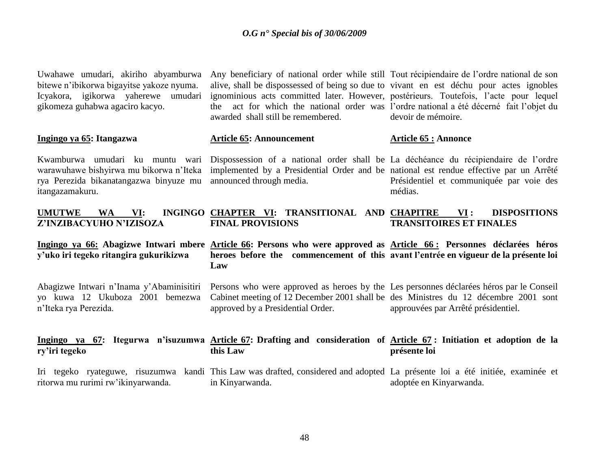| Uwahawe umudari, akiriho abyamburwa<br>bitewe n'ibikorwa bigayitse yakoze nyuma.<br>Icyakora, igikorwa yaherewe umudari<br>gikomeza guhabwa agaciro kacyo. | Any beneficiary of national order while still Tout récipiendaire de l'ordre national de son<br>alive, shall be dispossessed of being so due to vivant en est déchu pour actes ignobles<br>ignominious acts committed later. However, postérieurs. Toutefois, l'acte pour lequel<br>the act for which the national order was l'ordre national a été décerné fait l'objet du<br>awarded shall still be remembered. | devoir de mémoire.                                           |
|------------------------------------------------------------------------------------------------------------------------------------------------------------|------------------------------------------------------------------------------------------------------------------------------------------------------------------------------------------------------------------------------------------------------------------------------------------------------------------------------------------------------------------------------------------------------------------|--------------------------------------------------------------|
| Ingingo ya 65: Itangazwa                                                                                                                                   | <b>Article 65: Announcement</b>                                                                                                                                                                                                                                                                                                                                                                                  | <b>Article 65 : Annonce</b>                                  |
| Kwamburwa umudari ku muntu wari<br>warawuhawe bishyirwa mu bikorwa n'Iteka<br>rya Perezida bikanatangazwa binyuze mu<br>itangazamakuru.                    | Dispossession of a national order shall be La déchéance du récipiendaire de l'ordre<br>implemented by a Presidential Order and be national est rendue effective par un Arrêté<br>announced through media.                                                                                                                                                                                                        | Présidentiel et communiquée par voie des<br>médias.          |
| <b>UMUTWE</b><br>VI:<br><b>WA</b><br>Z'INZIBACYUHO N'IZISOZA                                                                                               | INGINGO CHAPTER VI: TRANSITIONAL AND CHAPITRE<br><b>FINAL PROVISIONS</b>                                                                                                                                                                                                                                                                                                                                         | <b>DISPOSITIONS</b><br>VI:<br><b>TRANSITOIRES ET FINALES</b> |
|                                                                                                                                                            |                                                                                                                                                                                                                                                                                                                                                                                                                  |                                                              |
| y'uko iri tegeko ritangira gukurikizwa                                                                                                                     | Ingingo ya 66: Abagizwe Intwari mbere Article 66: Persons who were approved as Article 66: Personnes déclarées héros<br>heroes before the commencement of this avant l'entrée en vigueur de la présente loi<br>Law                                                                                                                                                                                               |                                                              |
| Abagizwe Intwari n'Inama y'Abaminisitiri<br>yo kuwa 12 Ukuboza 2001 bemezwa<br>n'Iteka rya Perezida.                                                       | Persons who were approved as heroes by the Les personnes déclarées héros par le Conseil<br>Cabinet meeting of 12 December 2001 shall be des Ministres du 12 décembre 2001 sont<br>approved by a Presidential Order.                                                                                                                                                                                              | approuvées par Arrêté présidentiel.                          |
| ry'iri tegeko                                                                                                                                              | Ingingo ya 67: Itegurwa n'isuzumwa Article 67: Drafting and consideration of Article 67: Initiation et adoption de la<br>this Law                                                                                                                                                                                                                                                                                | présente loi                                                 |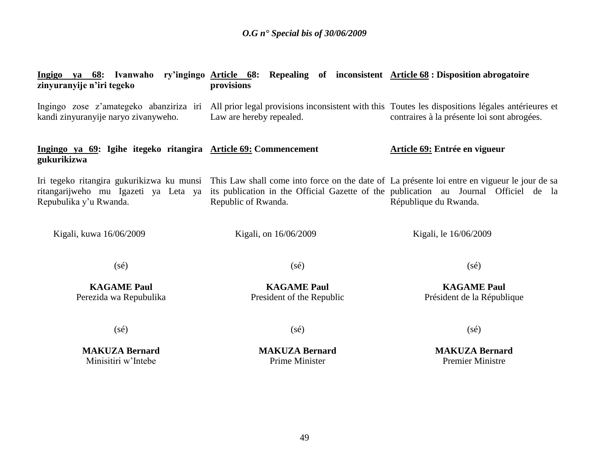| zinyuranyije n'iri tegeko                                                      | Ingigo ya 68: Ivanwaho ry'ingingo Article 68: Repealing of inconsistent Article 68: Disposition abrogatoire<br>provisions                                                                                                                             |                                                  |
|--------------------------------------------------------------------------------|-------------------------------------------------------------------------------------------------------------------------------------------------------------------------------------------------------------------------------------------------------|--------------------------------------------------|
| kandi zinyuranyije naryo zivanyweho.                                           | Ingingo zose z'amategeko abanziriza iri All prior legal provisions inconsistent with this Toutes les dispositions légales antérieures et<br>Law are hereby repealed.                                                                                  | contraires à la présente loi sont abrogées.      |
| Ingingo ya 69: Igihe itegeko ritangira Article 69: Commencement<br>gukurikizwa |                                                                                                                                                                                                                                                       | <b>Article 69: Entrée en vigueur</b>             |
| ritangarijweho mu Igazeti ya Leta ya<br>Repubulika y'u Rwanda.                 | Iri tegeko ritangira gukurikizwa ku munsi This Law shall come into force on the date of La présente loi entre en vigueur le jour de sa<br>its publication in the Official Gazette of the publication au Journal Officiel de la<br>Republic of Rwanda. | République du Rwanda.                            |
| Kigali, kuwa 16/06/2009                                                        | Kigali, on 16/06/2009                                                                                                                                                                                                                                 | Kigali, le 16/06/2009                            |
| $(s\acute{e})$                                                                 | $(s\acute{e})$                                                                                                                                                                                                                                        | $(s\acute{e})$                                   |
| <b>KAGAME Paul</b><br>Perezida wa Repubulika                                   | <b>KAGAME Paul</b><br>President of the Republic                                                                                                                                                                                                       | <b>KAGAME Paul</b><br>Président de la République |
| $(s\acute{e})$                                                                 | $(s\acute{e})$                                                                                                                                                                                                                                        | $(s\acute{e})$                                   |
| <b>MAKUZA Bernard</b><br>Minisitiri w'Intebe                                   | <b>MAKUZA Bernard</b><br><b>Prime Minister</b>                                                                                                                                                                                                        | <b>MAKUZA Bernard</b><br><b>Premier Ministre</b> |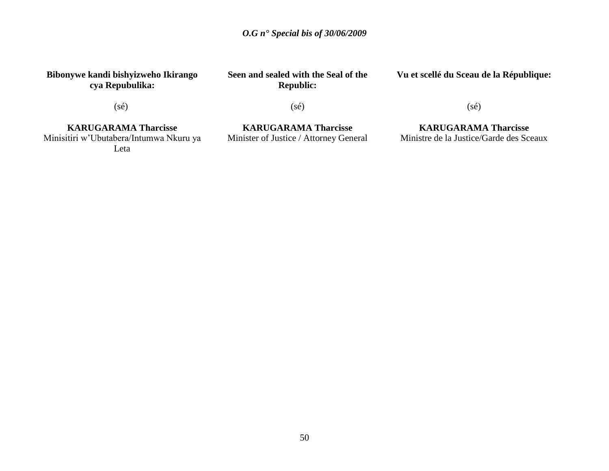**Bibonywe kandi bishyizweho Ikirango cya Repubulika:**

**Seen and sealed with the Seal of the Republic:**

**Vu et scellé du Sceau de la République:**

(sé)

(sé)

**KARUGARAMA Tharcisse**

Minisitiri w"Ubutabera/Intumwa Nkuru ya Leta

**KARUGARAMA Tharcisse** Minister of Justice / Attorney General (sé)

**KARUGARAMA Tharcisse** Ministre de la Justice/Garde des Sceaux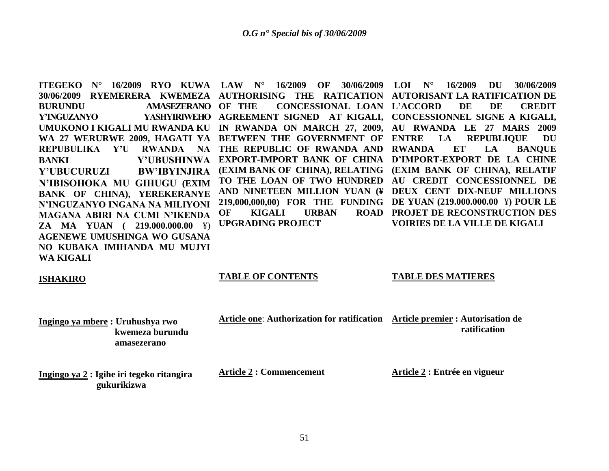30/06/2009 RYEMERERA KWEMEZA AUTHORISING THE RATICATION AUTORISANT LA-RATIFICATION DE **BURUNDU AMASEZERANO Y'INGUZANYO YASHYIRIWEHO AGREEMENT SIGNED AT KIGALI, CONCESSIONNEL SIGNE A KIGALI, UMUKONO I KIGALI MU RWANDA KU IN RWANDA ON MARCH 27, 2009, AU RWANDA LE 27 MARS 2009 WA 27 WERURWE 2009, HAGATI YA BETWEEN THE GOVERNMENT OF REPUBULIKA Y'U RWANDA NA THE REPUBLIC OF RWANDA AND RWANDA ET LA BANQUE BANKI Y'UBUSHINWA EXPORT-IMPORT BANK OF CHINA D'IMPORT-EXPORT DE LA CHINE Y'UBUCURUZI BW'IBYINJIRA N'IBISOHOKA MU GIHUGU (EXIM BANK OF CHINA), YEREKERANYE N'INGUZANYO INGANA NA MILIYONI MAGANA ABIRI NA CUMI N'IKENDA ZA MA YUAN ( 219.000.000.00** ¥) **AGENEWE UMUSHINGA WO GUSANA NO KUBAKA IMIHANDA MU MUJYI WA KIGALI**

**OF KIGALI URBAN UPGRADING PROJECT**

**ITEGEKO N° 16/2009 RYO KUWA LAW N° 16/2009 OF 30/06/2009 LOI N° 16/2009 DU 30/06/2009 OF THE CONCESSIONAL LOAN L'ACCORD DE DE CREDIT (EXIM BANK OF CHINA), RELATING (EXIM BANK OF CHINA), RELATIF TO THE LOAN OF TWO HUNDRED AU CREDIT CONCESSIONNEL DE AND NINETEEN MILLION YUAN (¥ DEUX CENT DIX-NEUF MILLIONS 219,000,000,00) FOR THE FUNDING DE YUAN (219.000.000.00** ¥**) POUR LE EXTRE LA REPUBLIQUE DU PROJET DE RECONSTRUCTION DES VOIRIES DE LA VILLE DE KIGALI**

#### **ISHAKIRO**

#### **TABLE OF CONTENTS**

#### **TABLE DES MATIERES**

**Article one**: **Authorization for ratification Article premier : Autorisation de** 

**Ingingo ya mbere : Uruhushya rwo kwemeza burundu amasezerano**

**Ingingo ya 2 : Igihe iri tegeko ritangira gukurikizwa**

**Article 2 : Commencement**

**Article 2 : Entrée en vigueur**

 **ratification**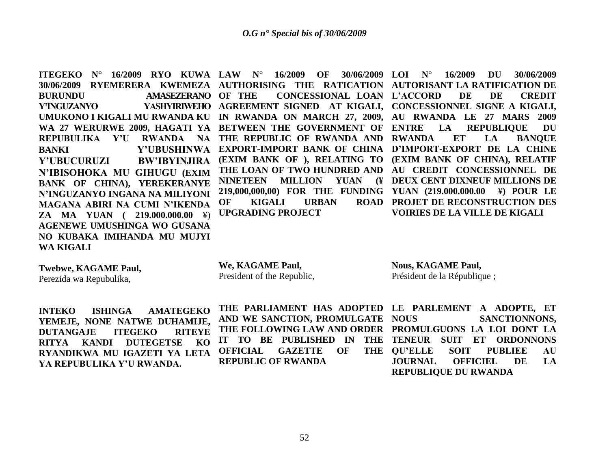**ITEGEKO N° 16/2009 RYO KUWA LAW N° 16/2009 OF 30/06/2009**  30/06/2009 RYEMERERA KWEMEZA AUTHORISING THE RATICATION AUTORISANT LA-RATIFICATION DE **BURUNDU AMASEZERANO Y'INGUZANYO YASHYIRIWEHO AGREEMENT SIGNED AT KIGALI, CONCESSIONNEL SIGNE A KIGALI, UMUKONO I KIGALI MU RWANDA KU IN RWANDA ON MARCH 27, 2009, AU RWANDA LE 27 MARS 2009 WA 27 WERURWE 2009, HAGATI YA BETWEEN THE GOVERNMENT OF REPUBULIKA Y'U RWANDA NA THE REPUBLIC OF RWANDA AND RWANDA ET LA BANQUE BANKI Y'UBUSHINWA EXPORT-IMPORT BANK OF CHINA D'IMPORT-EXPORT DE LA CHINE Y'UBUCURUZI BW'IBYINJIRA N'IBISOHOKA MU GIHUGU (EXIM BANK OF CHINA), YEREKERANYE N'INGUZANYO INGANA NA MILIYONI MAGANA ABIRI NA CUMI N'IKENDA ZA MA YUAN ( 219.000.000.00** ¥) **AGENEWE UMUSHINGA WO GUSANA NO KUBAKA IMIHANDA MU MUJYI WA KIGALI**

**OF KIGALI URBAN UPGRADING PROJECT**

**OF THE CONCESSIONAL LOAN L'ACCORD DE DE CREDIT (EXIM BANK OF ), RELATING TO (EXIM BANK OF CHINA), RELATIF THE LOAN OF TWO HUNDRED AND AU CREDIT CONCESSIONNEL DE NINETEEN MILLION YUAN (¥ DEUX CENT DIXNEUF MILLIONS DE 219,000,000,00) FOR THE FUNDING YUAN (219.000.000.00** ¥**) POUR LE LOI N° 16/2009 DU 30/06/2009** LA REPUBLIQUE DU **PROJET DE RECONSTRUCTION DES VOIRIES DE LA VILLE DE KIGALI**

**Twebwe, KAGAME Paul,** Perezida wa Repubulika,

**We, KAGAME Paul,** President of the Republic,

**Nous, KAGAME Paul,** Président de la République ;

**INTEKO ISHINGA AMATEGEKO YEMEJE, NONE NATWE DUHAMIJE, DUTANGAJE ITEGEKO RITEYE RITYA KANDI DUTEGETSE KO RYANDIKWA MU IGAZETI YA LETA YA REPUBULIKA Y'U RWANDA.**

**AND WE SANCTION, PROMULGATE OFFICIAL GAZETTE OF REPUBLIC OF RWANDA**

**THE PARLIAMENT HAS ADOPTED LE PARLEMENT A ADOPTE, ET THE FOLLOWING LAW AND ORDER PROMULGUONS LA LOI DONT LA**  IT TO BE PUBLISHED IN THE TENEUR SUIT ET ORDONNONS **SANCTIONNONS.** THE OU'ELLE SOIT PUBLIEE AU **JOURNAL OFFICIEL DE LA REPUBLIQUE DU RWANDA**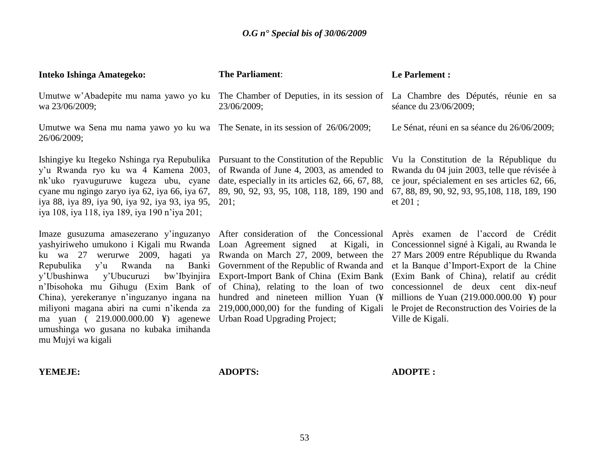| Inteko Ishinga Amategeko:                                                                                                                                                                                                                                                                                                                                                                                                                                                                                                                                                                                | <b>The Parliament:</b>                                                                         | Le Parlement :                                              |
|----------------------------------------------------------------------------------------------------------------------------------------------------------------------------------------------------------------------------------------------------------------------------------------------------------------------------------------------------------------------------------------------------------------------------------------------------------------------------------------------------------------------------------------------------------------------------------------------------------|------------------------------------------------------------------------------------------------|-------------------------------------------------------------|
| Umutwe w'Abadepite mu nama yawo yo ku<br>wa 23/06/2009;                                                                                                                                                                                                                                                                                                                                                                                                                                                                                                                                                  | The Chamber of Deputies, in its session of La Chambre des Députés, réunie en sa<br>23/06/2009; | séance du 23/06/2009;                                       |
| Umutwe wa Sena mu nama yawo yo ku wa The Senate, in its session of $26/06/2009$ ;<br>26/06/2009;                                                                                                                                                                                                                                                                                                                                                                                                                                                                                                         |                                                                                                | Le Sénat, réuni en sa séance du 26/06/2009;                 |
| Ishingiye ku Itegeko Nshinga rya Repubulika Pursuant to the Constitution of the Republic Vu la Constitution de la République du<br>y'u Rwanda ryo ku wa 4 Kamena 2003, of Rwanda of June 4, 2003, as amended to Rwanda du 04 juin 2003, telle que révisée à<br>nk'uko ryavuguruwe kugeza ubu, cyane date, especially in its articles 62, 66, 67, 88,<br>cyane mu ngingo zaryo iya 62, iya 66, iya 67, 89, 90, 92, 93, 95, 108, 118, 189, 190 and 67, 88, 89, 90, 92, 93, 95, 108, 118, 189, 190<br>iya 88, iya 89, iya 90, iya 92, iya 93, iya 95, 201;<br>iya 108, iya 118, iya 189, iya 190 n'iya 201; |                                                                                                | ce jour, spécialement en ses articles 62, 66,<br>et $201$ : |

Imaze gusuzuma amasezerano y'inguzanyo After consideration of the Concessional Après examen de l'accord de Crédit yashyiriweho umukono i Kigali mu Rwanda Loan Agreement signed at Kigali, in Concessionnel signé à Kigali, au Rwanda le ku wa 27 werurwe 2009, hagati ya Rwanda on March 27, 2009, between the 27 Mars 2009 entre République du Rwanda Repubulika y'u Rwanda na y'Ubushinwa y'Ubucuruzi n'Ibisohoka mu Gihugu (Exim Bank of of China), relating to the loan of two concessionnel de deux cent dix-neuf China), yerekeranye n"inguzanyo ingana na hundred and nineteen million Yuan (¥ millions de Yuan (219.000.000.00 ¥) pour miliyoni magana abiri na cumi n"ikenda za 219,000,000,00) for the funding of Kigali le Projet de Reconstruction des Voiries de la ma yuan ( 219.000.000.00 ¥) agenewe Urban Road Upgrading Project; umushinga wo gusana no kubaka imihanda mu Mujyi wa kigali

Government of the Republic of Rwanda and et la Banque d"Import-Export de la Chine Export-Import Bank of China (Exim Bank (Exim Bank of China), relatif au crédit

Ville de Kigali.

#### **YEMEJE:**

**ADOPTS:**

**ADOPTE :**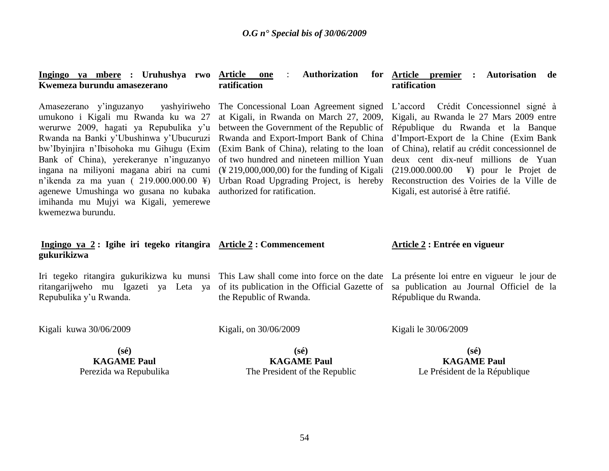| Ingingo ya mbere : Uruhushya rwo Article one<br>Kwemeza burundu amasezerano                                                                                                                                                                                                                                                                                                                                                                            | <b>Authorization</b><br>$\ddot{\cdot}$<br>ratification                                                                                                                                                                                                                                                                                                                                                       | for Article premier<br>Autorisation de<br>$\ddot{\cdot}$<br>ratification                                                                                                                                                                                                                                                                                                             |
|--------------------------------------------------------------------------------------------------------------------------------------------------------------------------------------------------------------------------------------------------------------------------------------------------------------------------------------------------------------------------------------------------------------------------------------------------------|--------------------------------------------------------------------------------------------------------------------------------------------------------------------------------------------------------------------------------------------------------------------------------------------------------------------------------------------------------------------------------------------------------------|--------------------------------------------------------------------------------------------------------------------------------------------------------------------------------------------------------------------------------------------------------------------------------------------------------------------------------------------------------------------------------------|
| yashyiriweho<br>Amasezerano y'inguzanyo<br>umukono i Kigali mu Rwanda ku wa 27<br>werurwe 2009, hagati ya Repubulika y'u<br>Rwanda na Banki y'Ubushinwa y'Ubucuruzi<br>bw'Ibyinjira n'Ibisohoka mu Gihugu (Exim<br>Bank of China), yerekeranye n'inguzanyo<br>ingana na miliyoni magana abiri na cumi<br>n'ikenda za ma yuan (219.000.000.00 ¥)<br>agenewe Umushinga wo gusana no kubaka<br>imihanda mu Mujyi wa Kigali, yemerewe<br>kwemezwa burundu. | The Concessional Loan Agreement signed<br>at Kigali, in Rwanda on March 27, 2009,<br>between the Government of the Republic of<br>Rwanda and Export-Import Bank of China<br>(Exim Bank of China), relating to the loan<br>of two hundred and nineteen million Yuan<br>$(\frac{1219,000,000,00}{0,000})$ for the funding of Kigali<br>Urban Road Upgrading Project, is hereby<br>authorized for ratification. | L'accord Crédit Concessionnel signé à<br>Kigali, au Rwanda le 27 Mars 2009 entre<br>République du Rwanda et la Banque<br>d'Import-Export de la Chine (Exim Bank<br>of China), relatif au crédit concessionnel de<br>deux cent dix-neuf millions de Yuan<br>(219.000.000.00 ¥) pour le Projet de<br>Reconstruction des Voiries de la Ville de<br>Kigali, est autorisé à être ratifié. |
| Ingingo ya 2: Igihe iri tegeko ritangira $\Delta$ rticle 2: Commencement<br>gukurikizwa                                                                                                                                                                                                                                                                                                                                                                |                                                                                                                                                                                                                                                                                                                                                                                                              | Article 2 : Entrée en vigueur                                                                                                                                                                                                                                                                                                                                                        |
| Iri tegeko ritangira gukurikizwa ku munsi This Law shall come into force on the date La présente loi entre en vigueur le jour de<br>ritangarijweho mu Igazeti ya Leta ya<br>Repubulika y'u Rwanda.                                                                                                                                                                                                                                                     | of its publication in the Official Gazette of<br>the Republic of Rwanda.                                                                                                                                                                                                                                                                                                                                     | sa publication au Journal Officiel de la<br>République du Rwanda.                                                                                                                                                                                                                                                                                                                    |
| Kigali kuwa 30/06/2009                                                                                                                                                                                                                                                                                                                                                                                                                                 | Kigali, on 30/06/2009                                                                                                                                                                                                                                                                                                                                                                                        | Kigali le 30/06/2009                                                                                                                                                                                                                                                                                                                                                                 |
| $(s\acute{e})$                                                                                                                                                                                                                                                                                                                                                                                                                                         | $(s\acute{e})$                                                                                                                                                                                                                                                                                                                                                                                               | $(s\acute{e})$                                                                                                                                                                                                                                                                                                                                                                       |
| <b>KAGAME Paul</b>                                                                                                                                                                                                                                                                                                                                                                                                                                     | <b>KAGAME Paul</b>                                                                                                                                                                                                                                                                                                                                                                                           | <b>KAGAME Paul</b>                                                                                                                                                                                                                                                                                                                                                                   |
| Perezida wa Repubulika                                                                                                                                                                                                                                                                                                                                                                                                                                 | The President of the Republic                                                                                                                                                                                                                                                                                                                                                                                | Le Président de la République                                                                                                                                                                                                                                                                                                                                                        |
|                                                                                                                                                                                                                                                                                                                                                                                                                                                        |                                                                                                                                                                                                                                                                                                                                                                                                              |                                                                                                                                                                                                                                                                                                                                                                                      |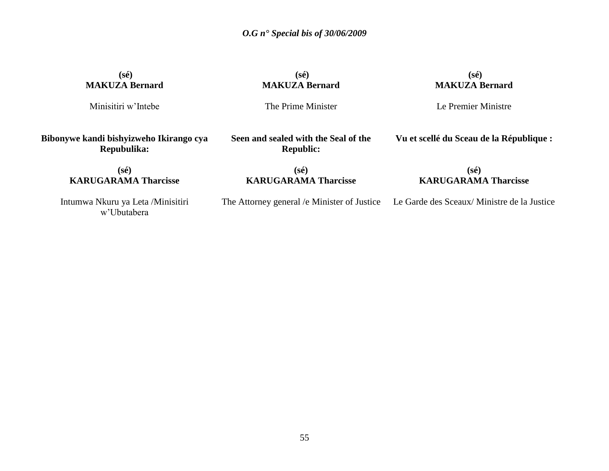**(sé) MAKUZA Bernard**

Minisitiri w"Intebe

**(sé) MAKUZA Bernard**

**(sé) MAKUZA Bernard**

The Prime Minister

Le Premier Ministre

**Bibonywe kandi bishyizweho Ikirango cya Repubulika:**

> **(sé) KARUGARAMA Tharcisse**

**Seen and sealed with the Seal of the Republic:**

**Vu et scellé du Sceau de la République :**

**(sé) KARUGARAMA Tharcisse**

## **(sé) KARUGARAMA Tharcisse**

The Attorney general /e Minister of Justice Le Garde des Sceaux/ Ministre de la Justice

Intumwa Nkuru ya Leta /Minisitiri w"Ubutabera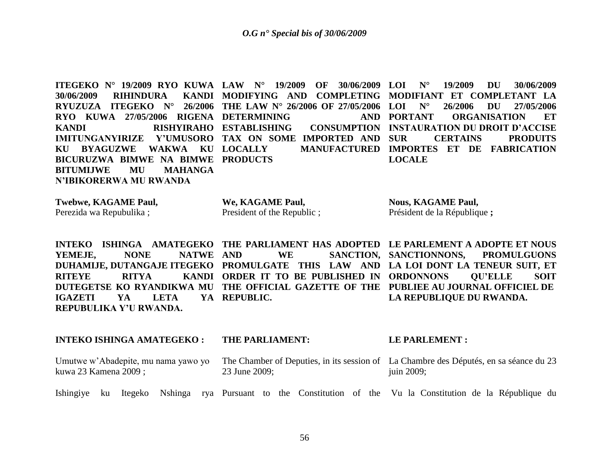**ITEGEKO N° 19/2009 RYO KUWA LAW N° 19/2009 OF 30/06/2009 LOI N° 19/2009 DU 30/06/2009 30/06/2009 RIHINDURA RYUZUZA ITEGEKO N° 26/2006 THE LAW N° 26/2006 OF 27/05/2006 RYO KUWA 27/05/2006 RIGENA DETERMINING AND KANDI RISHYIRAHO ESTABLISHING CONSUMPTION IMITUNGANYIRIZE Y'UMUSORO TAX ON SOME IMPORTED AND KU BYAGUZWE WAKWA KU BICURUZWA BIMWE NA BIMWE PRODUCTS BITUMIJWE MU MAHANGA N'IBIKORERWA MU RWANDA MODIFYING AND COMPLETING MODIFIANT ET COMPLETANT LA LOCALLY MANUFACTURED IMPORTES ET DE FABRICATION LOI N° 26/2006 DU 27/05/2006 PORTANT ORGANISATION ET CONSUMPTION INSTAURATION DU DROIT D'ACCISE SUR CERTAINS PRODUITS LOCALE** 

| Twebwe, KAGAME Paul,    | We, KAGAME Paul,           | <b>Nous, KAGAME Paul,</b>    |
|-------------------------|----------------------------|------------------------------|
| Perezida wa Repubulika; | President of the Republic; | Président de la République ; |

**INTEKO ISHINGA AMATEGEKO THE PARLIAMENT HAS ADOPTED LE PARLEMENT A ADOPTE ET NOUS** YEMEJE, NONE NATWE AND **DUHAMIJE, DUTANGAJE ITEGEKO PROMULGATE THIS LAW AND LA LOI DONT LA TENEUR SUIT, ET RITEYE RITYA KANDI ORDER IT TO BE PUBLISHED IN ORDONNONS QU'ELLE SOIT DUTEGETSE KO RYANDIKWA MU THE OFFICIAL GAZETTE OF THE PUBLIEE AU JOURNAL OFFICIEL DE IGAZETI YA LETA YA REPUBULIKA Y'U RWANDA.** AND WE SANCTION, SANCTIONNONS, PROMULGUONS YA REPUBLIC. **LA REPUBLIQUE DU RWANDA.**

| <b>INTEKO ISHINGA AMATEGEKO:</b>                             |  |  | <b>THE PARLIAMENT:</b> |                                                                                                        |  |  | LE PARLEMENT : |               |  |  |  |  |  |                                                                                                |
|--------------------------------------------------------------|--|--|------------------------|--------------------------------------------------------------------------------------------------------|--|--|----------------|---------------|--|--|--|--|--|------------------------------------------------------------------------------------------------|
| Umutwe w'Abadepite, mu nama yawo yo<br>kuwa 23 Kamena 2009 ; |  |  |                        | The Chamber of Deputies, in its session of La Chambre des Députés, en sa séance du 23<br>23 June 2009; |  |  |                | juin $2009$ ; |  |  |  |  |  |                                                                                                |
| Ishingiye ku                                                 |  |  |                        |                                                                                                        |  |  |                |               |  |  |  |  |  | Itegeko Nshinga rya Pursuant to the Constitution of the Vu la Constitution de la République du |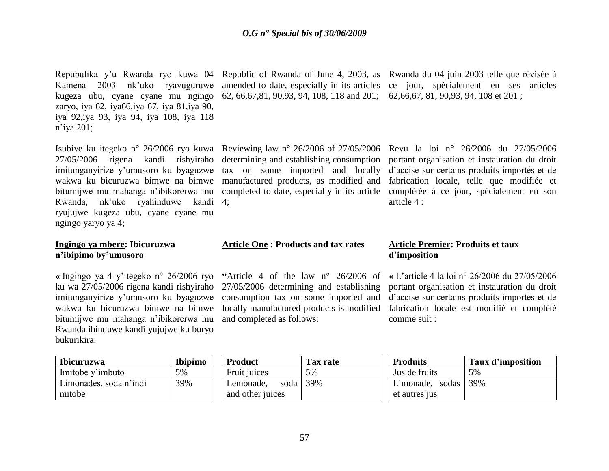Repubulika y'u Rwanda ryo kuwa 04 Republic of Rwanda of June 4, 2003, as Rwanda du 04 juin 2003 telle que révisée à Kamena 2003 nk"uko ryavuguruwe kugeza ubu, cyane cyane mu ngingo 62, 66,67,81, 90,93, 94, 108, 118 and 201; 62,66,67, 81, 90,93, 94, 108 et 201 ; zaryo, iya 62, iya66,iya 67, iya 81,iya 90, iya 92,iya 93, iya 94, iya 108, iya 118 n"iya 201;

27/05/2006 rigena kandi rishyiraho determining and establishing consumption imitunganyirize y"umusoro ku byaguzwe tax on some imported and locally wakwa ku bicuruzwa bimwe na bimwe manufactured products, as modified and bitumijwe mu mahanga n"ibikorerwa mu completed to date, especially in its article Rwanda, nk"uko ryahinduwe kandi 4; ryujujwe kugeza ubu, cyane cyane mu ngingo yaryo ya 4;

### **Ingingo ya mbere: Ibicuruzwa n'ibipimo by'umusoro**

**«** Ingingo ya 4 y"itegeko n° 26/2006 ryo **"**Article 4 of the law n° 26/2006 of bitumijwe mu mahanga n"ibikorerwa mu and completed as follows: Rwanda ihinduwe kandi yujujwe ku buryo bukurikira:

| <b>Ibicuruzwa</b>      | Ibipimo |
|------------------------|---------|
| Imitobe y'imbuto       | 5%      |
| Limonades, soda n'indi | 39%     |
| mitobe                 |         |

**Article One : Products and tax rates** 

ku wa 27/05/2006 rigena kandi rishyiraho 27/05/2006 determining and establishing imitunganyirize y"umusoro ku byaguzwe consumption tax on some imported and wakwa ku bicuruzwa bimwe na bimwe locally manufactured products is modified

amended to date, especially in its articles ce jour, spécialement en ses articles

Isubiye ku itegeko n° 26/2006 ryo kuwa Reviewing law n° 26/2006 of 27/05/2006 Revu la loi n° 26/2006 du 27/05/2006 portant organisation et instauration du droit d"accise sur certains produits importés et de fabrication locale, telle que modifiée et complétée à ce jour, spécialement en son article 4 :

## **Article Premier: Produits et taux d'imposition**

**«** L"article 4 la loi n° 26/2006 du 27/05/2006 portant organisation et instauration du droit d"accise sur certains produits importés et de fabrication locale est modifié et complété comme suit :

| <b>Product</b>     | Tax rate |
|--------------------|----------|
| Fruit juices       | 5%       |
| Lemonade, soda 39% |          |
| and other juices   |          |

| <b>Produits</b>     | Taux d'imposition |
|---------------------|-------------------|
| Jus de fruits       | .5%               |
| Limonade, sodas 39% |                   |
| et autres jus       |                   |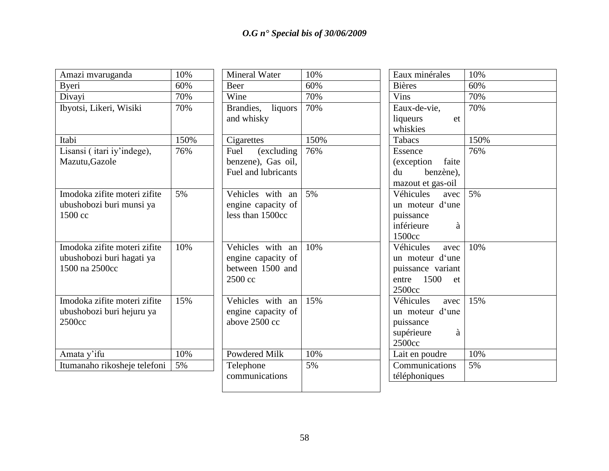| Amazi mvaruganda             | 10%  | <b>Mineral Water</b> | 10%  | Eaux minérales      | 10%  |
|------------------------------|------|----------------------|------|---------------------|------|
| Byeri                        | 60%  | Beer                 | 60%  | <b>Bières</b>       | 60%  |
| Divayi                       | 70%  | Wine                 | 70%  | <b>Vins</b>         | 70%  |
| Ibyotsi, Likeri, Wisiki      | 70%  | Brandies, liquors    | 70%  | Eaux-de-vie,        | 70%  |
|                              |      | and whisky           |      | liqueurs<br>et      |      |
|                              |      |                      |      | whiskies            |      |
| Itabi                        | 150% | Cigarettes           | 150% | Tabacs              | 150% |
| Lisansi (itari iy'indege),   | 76%  | Fuel<br>(excluding)  | 76%  | Essence             | 76%  |
| Mazutu, Gazole               |      | benzene), Gas oil,   |      | (exception<br>faite |      |
|                              |      | Fuel and lubricants  |      | du<br>benzène),     |      |
|                              |      |                      |      | mazout et gas-oil   |      |
| Imodoka zifite moteri zifite | 5%   | Vehicles with an     | 5%   | Véhicules<br>avec   | 5%   |
| ubushobozi buri munsi ya     |      | engine capacity of   |      | un moteur d'une     |      |
| 1500 cc                      |      | less than 1500cc     |      | puissance           |      |
|                              |      |                      |      | inférieure<br>à     |      |
|                              |      |                      |      | 1500cc              |      |
| Imodoka zifite moteri zifite | 10%  | Vehicles with an     | 10%  | Véhicules<br>avec   | 10%  |
| ubushobozi buri hagati ya    |      | engine capacity of   |      | un moteur d'une     |      |
| 1500 na 2500cc               |      | between 1500 and     |      | puissance variant   |      |
|                              |      | 2500 cc              |      | entre $1500$<br>et  |      |
|                              |      |                      |      | 2500cc              |      |
| Imodoka zifite moteri zifite | 15%  | Vehicles with an     | 15%  | Véhicules<br>avec   | 15%  |
| ubushobozi buri hejuru ya    |      | engine capacity of   |      | un moteur d'une     |      |
| 2500cc                       |      | above 2500 cc        |      | puissance           |      |
|                              |      |                      |      | supérieure<br>à     |      |
|                              |      |                      |      | 2500cc              |      |
| Amata y'ifu                  | 10%  | <b>Powdered Milk</b> | 10%  | Lait en poudre      | 10%  |
| Itumanaho rikosheje telefoni | 5%   | Telephone            | 5%   | Communications      | 5%   |
|                              |      | communications       |      | téléphoniques       |      |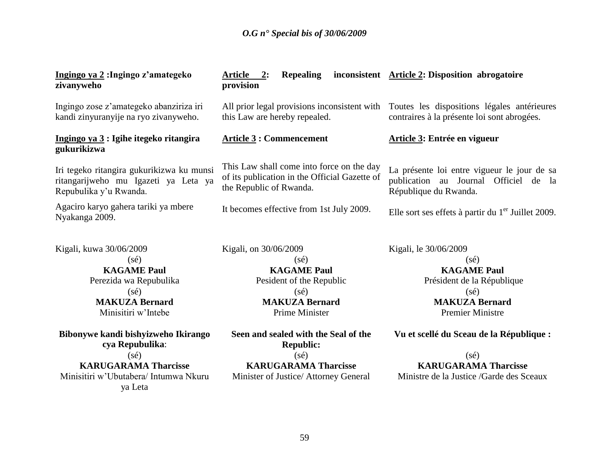| Ingingo ya 2: Ingingo z'amategeko<br>zivanyweho                                                                                                                                                                                                                                                                 | <b>Repealing</b><br>Article<br>2:<br>provision                                                                                                                                                                                                                                                               | inconsistent Article 2: Disposition abrogatoire                                                                                                                                                                                                                                                            |  |  |
|-----------------------------------------------------------------------------------------------------------------------------------------------------------------------------------------------------------------------------------------------------------------------------------------------------------------|--------------------------------------------------------------------------------------------------------------------------------------------------------------------------------------------------------------------------------------------------------------------------------------------------------------|------------------------------------------------------------------------------------------------------------------------------------------------------------------------------------------------------------------------------------------------------------------------------------------------------------|--|--|
| Ingingo zose z'amategeko abanziriza iri<br>kandi zinyuranyije na ryo zivanyweho.                                                                                                                                                                                                                                | All prior legal provisions inconsistent with<br>this Law are hereby repealed.                                                                                                                                                                                                                                | Toutes les dispositions légales antérieures<br>contraires à la présente loi sont abrogées.                                                                                                                                                                                                                 |  |  |
| Ingingo ya 3 : Igihe itegeko ritangira<br>gukurikizwa                                                                                                                                                                                                                                                           | <b>Article 3: Commencement</b>                                                                                                                                                                                                                                                                               | <b>Article 3: Entrée en vigueur</b>                                                                                                                                                                                                                                                                        |  |  |
| Iri tegeko ritangira gukurikizwa ku munsi<br>ritangarijweho mu Igazeti ya Leta ya<br>Repubulika y'u Rwanda.                                                                                                                                                                                                     | This Law shall come into force on the day<br>of its publication in the Official Gazette of<br>the Republic of Rwanda.                                                                                                                                                                                        | La présente loi entre vigueur le jour de sa<br>publication au Journal Officiel de la<br>République du Rwanda.                                                                                                                                                                                              |  |  |
| Agaciro karyo gahera tariki ya mbere<br>Nyakanga 2009.                                                                                                                                                                                                                                                          | It becomes effective from 1st July 2009.                                                                                                                                                                                                                                                                     | Elle sort ses effets à partir du $1er$ Juillet 2009.                                                                                                                                                                                                                                                       |  |  |
| Kigali, kuwa 30/06/2009<br>$(s\acute{e})$<br><b>KAGAME Paul</b><br>Perezida wa Repubulika<br>$(s\acute{e})$<br><b>MAKUZA Bernard</b><br>Minisitiri w'Intebe<br>Bibonywe kandi bishyizweho Ikirango<br>cya Repubulika:<br>$(s\acute{e})$<br><b>KARUGARAMA Tharcisse</b><br>Minisitiri w'Ubutabera/ Intumwa Nkuru | Kigali, on 30/06/2009<br>$(s\acute{e})$<br><b>KAGAME Paul</b><br>Pesident of the Republic<br>$(s\acute{e})$<br><b>MAKUZA Bernard</b><br>Prime Minister<br>Seen and sealed with the Seal of the<br><b>Republic:</b><br>$(s\acute{e})$<br><b>KARUGARAMA Tharcisse</b><br>Minister of Justice/ Attorney General | Kigali, le 30/06/2009<br>$(s\acute{e})$<br><b>KAGAME Paul</b><br>Président de la République<br>$(s\acute{e})$<br><b>MAKUZA Bernard</b><br><b>Premier Ministre</b><br>Vu et scellé du Sceau de la République :<br>$(s\acute{e})$<br><b>KARUGARAMA Tharcisse</b><br>Ministre de la Justice /Garde des Sceaux |  |  |
| ya Leta                                                                                                                                                                                                                                                                                                         |                                                                                                                                                                                                                                                                                                              |                                                                                                                                                                                                                                                                                                            |  |  |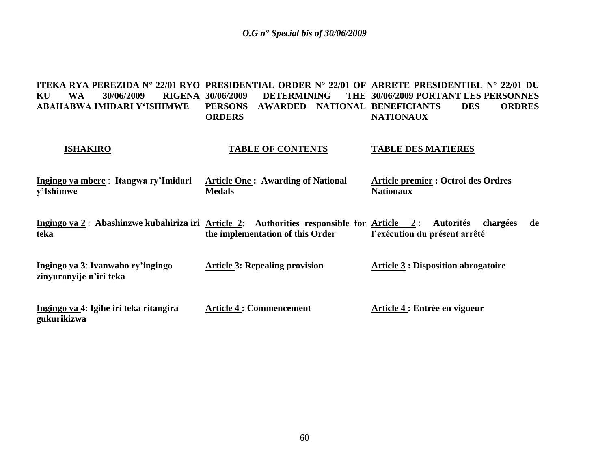| <b>WA</b><br>30/06/2009<br>KU<br>ABAHABWA IMIDARI Y'ISHIMWE                                       | <b>RIGENA 30/06/2009</b><br><b>DETERMINING</b><br><b>PERSONS</b><br><b>AWARDED</b><br><b>ORDERS</b> | ITEKA RYA PEREZIDA N° 22/01 RYO PRESIDENTIAL ORDER N° 22/01 OF ARRETE PRESIDENTIEL N° 22/01 DU<br>THE 30/06/2009 PORTANT LES PERSONNES<br>NATIONAL BENEFICIANTS<br><b>ORDRES</b><br><b>DES</b><br><b>NATIONAUX</b> |
|---------------------------------------------------------------------------------------------------|-----------------------------------------------------------------------------------------------------|--------------------------------------------------------------------------------------------------------------------------------------------------------------------------------------------------------------------|
| <b>ISHAKIRO</b>                                                                                   | <b>TABLE OF CONTENTS</b>                                                                            | <b>TABLE DES MATIERES</b>                                                                                                                                                                                          |
| Ingingo ya mbere : Itangwa ry'Imidari<br>y'Ishimwe                                                | <b>Article One: Awarding of National</b><br><b>Medals</b>                                           | <b>Article premier : Octroi des Ordres</b><br><b>Nationaux</b>                                                                                                                                                     |
| Ingingo ya 2: Abashinzwe kubahiriza iri Article 2: Authorities responsible for Article 2:<br>teka | the implementation of this Order                                                                    | <b>Autorités</b><br>chargées<br>de<br>l'exécution du présent arrêté                                                                                                                                                |
| Ingingo ya 3: Ivanwaho ry'ingingo<br>zinyuranyije n'iri teka                                      | <b>Article 3: Repealing provision</b>                                                               | <b>Article 3: Disposition abrogatoire</b>                                                                                                                                                                          |
| Ingingo ya 4: Igihe iri teka ritangira<br>gukurikizwa                                             | <b>Article 4 : Commencement</b>                                                                     | Article 4 : Entrée en vigueur                                                                                                                                                                                      |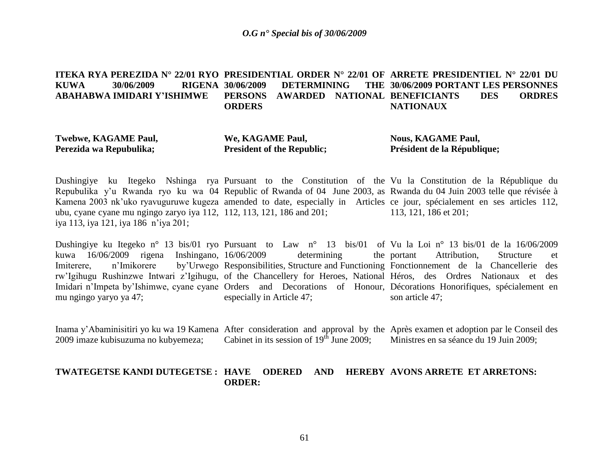#### **ITEKA RYA PEREZIDA N° 22/01 RYO PRESIDENTIAL ORDER N° 22/01 OF ARRETE PRESIDENTIEL N° 22/01 DU KUWA 30/06/2009 RIGENA ABAHABWA IMIDARI Y'ISHIMWE DETERMINING PERSONS AWARDED NATIONAL BENEFICIANTS DES ORDRES ORDERS 30/06/2009 PORTANT LES PERSONNES NATIONAUX**

**Twebwe, KAGAME Paul, Perezida wa Repubulika;**

**We, KAGAME Paul, President of the Republic;**

**Nous, KAGAME Paul, Président de la République;**

Dushingiye ku Itegeko Nshinga rya Pursuant to the Constitution of the Vu la Constitution de la République du Repubulika y'u Rwanda ryo ku wa 04 Republic of Rwanda of 04 June 2003, as Rwanda du 04 Juin 2003 telle que révisée à Kamena 2003 nk'uko ryavuguruwe kugeza amended to date, especially in Articles ce jour, spécialement en ses articles 112, ubu, cyane cyane mu ngingo zaryo iya 112, 112, 113, 121, 186 and 201; iya 113, iya 121, iya 186 n"iya 201; 113, 121, 186 et 201;

Dushingiye ku Itegeko n° 13 bis/01 ryo Pursuant to Law n° 13 bis/01 of Vu la Loi n° 13 bis/01 de la 16/06/2009 kuwa 16/06/2009 rigena Inshingano, Imiterere, n'Imikorere by'Urwego Responsibilities, Structure and Functioning Fonctionnement de la Chancellerie des rw"Igihugu Rushinzwe Intwari z"Igihugu, of the Chancellery for Heroes, National Héros, des Ordres Nationaux et des Imidari n'Impeta by'Ishimwe, cyane cyane Orders and Decorations of Honour, Décorations Honorifiques, spécialement en mu ngingo yaryo ya 47; determining the portant especially in Article 47; Attribution, Structure et son article 47;

Inama y'Abaminisitiri yo ku wa 19 Kamena After consideration and approval by the Après examen et adoption par le Conseil des 2009 imaze kubisuzuma no kubyemeza; Cabinet in its session of  $19<sup>th</sup>$  June 2009; Ministres en sa séance du 19 Juin 2009;

### **TWATEGETSE KANDI DUTEGETSE : HAVE ODERED AND HEREBY AVONS ARRETE ET ARRETONS:ORDER:**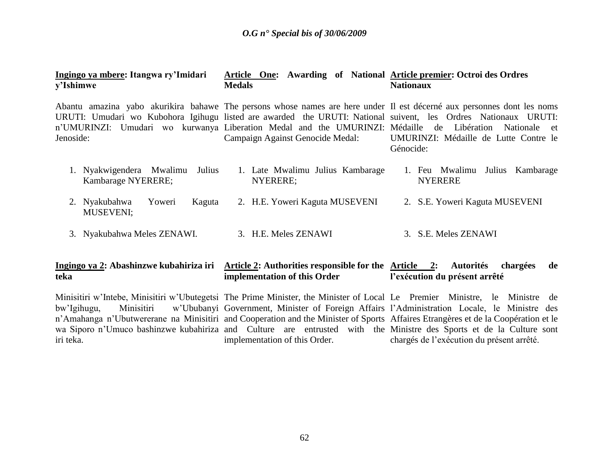#### **Ingingo ya mbere: Itangwa ry'Imidari y'Ishimwe Article One: Awarding of National Article premier: Octroi des Ordres Medals Nationaux**

| Jenoside: | Abantu amazina yabo akurikira bahawe The persons whose names are here under Il est décerné aux personnes dont les noms<br>URUTI: Umudari wo Kubohora Igihugu listed are awarded the URUTI: National suivent, les Ordres Nationaux URUTI:<br>n'UMURINZI: Umudari wo kurwanya Liberation Medal and the UMURINZI: Médaille de Libération Nationale et |        |        | Campaign Against Genocide Medal:             |  | Génocide: |                                | UMURINZI: Médaille de Lutte Contre le |
|-----------|----------------------------------------------------------------------------------------------------------------------------------------------------------------------------------------------------------------------------------------------------------------------------------------------------------------------------------------------------|--------|--------|----------------------------------------------|--|-----------|--------------------------------|---------------------------------------|
|           | 1. Nyakwigendera Mwalimu<br>Kambarage NYERERE;                                                                                                                                                                                                                                                                                                     |        | Julius | 1. Late Mwalimu Julius Kambarage<br>NYERERE; |  |           | <b>NYERERE</b>                 | 1. Feu Mwalimu Julius Kambarage       |
|           | 2. Nyakubahwa<br><b>MUSEVENI;</b>                                                                                                                                                                                                                                                                                                                  | Yoweri | Kaguta | 2. H.E. Yoweri Kaguta MUSEVENI               |  |           | 2. S.E. Yoweri Kaguta MUSEVENI |                                       |
|           | 3. Nyakubahwa Meles ZENAWI.                                                                                                                                                                                                                                                                                                                        |        |        | 3. H.E. Meles ZENAWI                         |  |           | 3. S.E. Meles ZENAWI           |                                       |

#### **Ingingo ya 2: Abashinzwe kubahiriza iri Article 2: Authorities responsible for the Article 2: Autorités chargées de teka implementation of this Order l'exécution du présent arrêté**

Minisitiri w'Intebe, Minisitiri w'Ubutegetsi The Prime Minister, the Minister of Local Le Premier Ministre, le Ministre de bw'Igihugu, Minisitiri w'Ububanyi Government, Minister of Foreign Affairs l'Administration Locale, le Ministre des n'Amahanga n'Ubutwererane na Minisitiri and Cooperation and the Minister of Sports Affaires Etrangères et de la Coopération et le wa Siporo n"Umuco bashinzwe kubahiriza and Culture are entrusted with the Ministre des Sports et de la Culture sont iri teka. implementation of this Order. chargés de l"exécution du présent arrêté.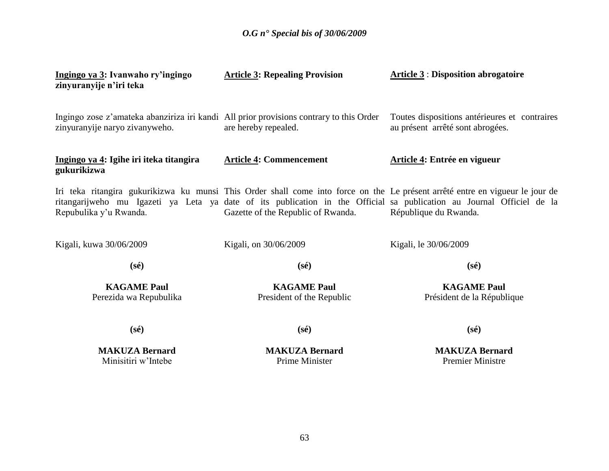| Ingingo ya 3: Ivanwaho ry'ingingo<br>zinyuranyije n'iri teka                                                              | <b>Article 3: Repealing Provision</b>           | <b>Article 3: Disposition abrogatoire</b>                                                                                                                                                                                                                                       |
|---------------------------------------------------------------------------------------------------------------------------|-------------------------------------------------|---------------------------------------------------------------------------------------------------------------------------------------------------------------------------------------------------------------------------------------------------------------------------------|
| Ingingo zose z'amateka abanziriza iri kandi All prior provisions contrary to this Order<br>zinyuranyije naryo zivanyweho. | are hereby repealed.                            | Toutes dispositions antérieures et contraires<br>au présent arrêté sont abrogées.                                                                                                                                                                                               |
| Ingingo ya 4: Igihe iri iteka titangira<br>gukurikizwa                                                                    | <b>Article 4: Commencement</b>                  | Article 4: Entrée en vigueur                                                                                                                                                                                                                                                    |
| Repubulika y'u Rwanda.                                                                                                    | Gazette of the Republic of Rwanda.              | Iri teka ritangira gukurikizwa ku munsi This Order shall come into force on the Le présent arrêté entre en vigueur le jour de<br>ritangarijweho mu Igazeti ya Leta ya date of its publication in the Official sa publication au Journal Officiel de la<br>République du Rwanda. |
| Kigali, kuwa 30/06/2009                                                                                                   | Kigali, on 30/06/2009                           | Kigali, le 30/06/2009                                                                                                                                                                                                                                                           |
| $(s\acute{e})$                                                                                                            | $(s\acute{e})$                                  | $(s\acute{e})$                                                                                                                                                                                                                                                                  |
| <b>KAGAME Paul</b><br>Perezida wa Repubulika                                                                              | <b>KAGAME Paul</b><br>President of the Republic | <b>KAGAME Paul</b><br>Président de la République                                                                                                                                                                                                                                |
| $(s\acute{e})$                                                                                                            | $(s\acute{e})$                                  | $(s\acute{e})$                                                                                                                                                                                                                                                                  |
| <b>MAKUZA Bernard</b><br>Minisitiri w'Intebe                                                                              | <b>MAKUZA Bernard</b><br><b>Prime Minister</b>  | <b>MAKUZA Bernard</b><br><b>Premier Ministre</b>                                                                                                                                                                                                                                |
|                                                                                                                           |                                                 |                                                                                                                                                                                                                                                                                 |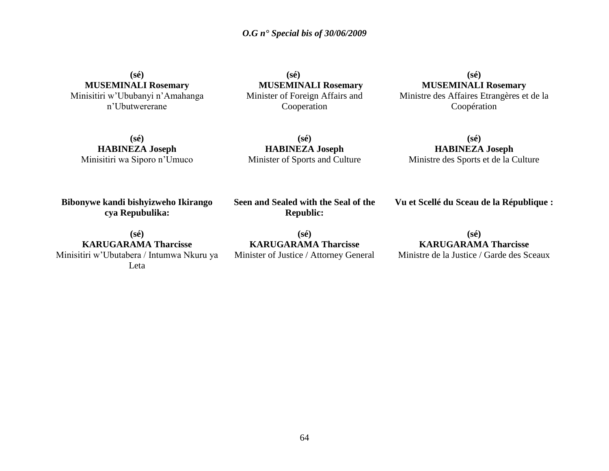**(sé) MUSEMINALI Rosemary** Minisitiri w"Ububanyi n"Amahanga n"Ubutwererane

 **(sé) MUSEMINALI Rosemary** Minister of Foreign Affairs and Cooperation

**(sé) MUSEMINALI Rosemary** Ministre des Affaires Etrangères et de la Coopération

**(sé) HABINEZA Joseph** Minisitiri wa Siporo n"Umuco

**(sé) HABINEZA Joseph** Minister of Sports and Culture

**(sé) HABINEZA Joseph** Ministre des Sports et de la Culture

**Bibonywe kandi bishyizweho Ikirango cya Repubulika:**

**Seen and Sealed with the Seal of the Republic:**

**Vu et Scellé du Sceau de la République :**

**(sé) KARUGARAMA Tharcisse** Minisitiri w"Ubutabera / Intumwa Nkuru ya Leta

**(sé) KARUGARAMA Tharcisse** Minister of Justice / Attorney General

# **(sé) KARUGARAMA Tharcisse**

Ministre de la Justice / Garde des Sceaux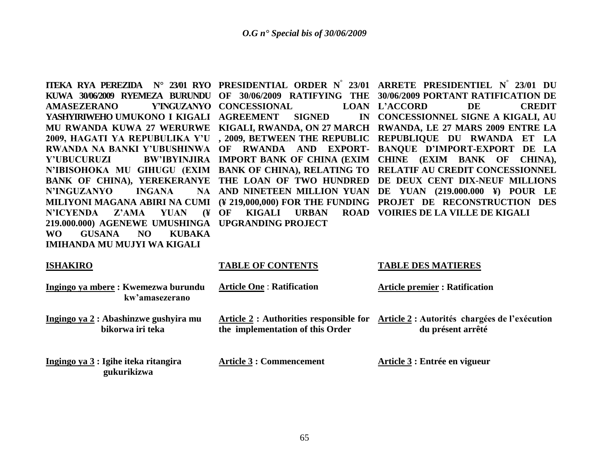| KUWA 30/06/2009 RYEMEZA BURUNDU<br><b>Y'INGUZANYO</b><br><b>AMASEZERANO</b><br>YASHYIRIWEHO UMUKONO I KIGALI<br>MU RWANDA KUWA 27 WERURWE<br>2009, HAGATI YA REPUBULIKA Y'U, 2009, BETWEEN THE REPUBLIC<br>RWANDA NA BANKI Y'UBUSHINWA OF<br>Y'UBUCURUZI<br>BANK OF CHINA), YEREKERANYE THE LOAN OF TWO HUNDRED<br><b>INGANA</b><br><b>N'INGUZANYO</b><br>MILIYONI MAGANA ABIRI NA CUMI<br><b>YUAN</b><br>$\mathbf{F}$<br><b>N'ICYENDA</b><br>Z'AMA | 30/06/2009 RATIFYING THE<br>OF<br><b>CONCESSIONAL</b><br><b>AGREEMENT</b><br><b>SIGNED</b><br>IN<br>KIGALI, RWANDA, ON 27 MARCH<br>RWANDA AND<br><b>EXPORT-</b><br>BW'IBYINJIRA IMPORT BANK OF CHINA (EXIM<br>NA AND NINETEEN MILLION YUAN<br>(¥ 219,000,000) FOR THE FUNDING<br><b>OF</b><br><b>KIGALI</b><br><b>URBAN</b><br><b>ROAD</b> | <b>ITEKA RYA PEREZIDA N° 23/01 RYO PRESIDENTIAL ORDER N° 23/01 ARRETE PRESIDENTIEL N° 23/01 DU</b><br>30/06/2009 PORTANT RATIFICATION DE<br><b>DE</b><br><b>CREDIT</b><br><b>LOAN L'ACCORD</b><br>CONCESSIONNEL SIGNE A KIGALI, AU<br>RWANDA, LE 27 MARS 2009 ENTRE LA<br>REPUBLIQUE DU RWANDA<br>ET LA<br><b>BANOUE D'IMPORT-EXPORT</b><br>DE LA<br><b>CHINE</b><br>(EXIM BANK OF<br>CHINA),<br>N'IBISOHOKA MU GIHUGU (EXIM BANK OF CHINA), RELATING TO RELATIF AU CREDIT CONCESSIONNEL<br>DE DEUX CENT DIX-NEUF MILLIONS<br>DE YUAN (219.000.000 ¥) POUR LE<br>PROJET DE RECONSTRUCTION DES<br><b>VOIRIES DE LA VILLE DE KIGALI</b> |
|-----------------------------------------------------------------------------------------------------------------------------------------------------------------------------------------------------------------------------------------------------------------------------------------------------------------------------------------------------------------------------------------------------------------------------------------------------|--------------------------------------------------------------------------------------------------------------------------------------------------------------------------------------------------------------------------------------------------------------------------------------------------------------------------------------------|---------------------------------------------------------------------------------------------------------------------------------------------------------------------------------------------------------------------------------------------------------------------------------------------------------------------------------------------------------------------------------------------------------------------------------------------------------------------------------------------------------------------------------------------------------------------------------------------------------------------------------------|
| 219.000.000) AGENEWE UMUSHINGA UPGRANDING PROJECT                                                                                                                                                                                                                                                                                                                                                                                                   |                                                                                                                                                                                                                                                                                                                                            |                                                                                                                                                                                                                                                                                                                                                                                                                                                                                                                                                                                                                                       |
| <b>NO</b><br><b>KUBAKA</b><br><b>WO</b><br><b>GUSANA</b>                                                                                                                                                                                                                                                                                                                                                                                            |                                                                                                                                                                                                                                                                                                                                            |                                                                                                                                                                                                                                                                                                                                                                                                                                                                                                                                                                                                                                       |
| <b>IMIHANDA MU MUJYI WA KIGALI</b>                                                                                                                                                                                                                                                                                                                                                                                                                  |                                                                                                                                                                                                                                                                                                                                            |                                                                                                                                                                                                                                                                                                                                                                                                                                                                                                                                                                                                                                       |
| <b>ISHAKIRO</b>                                                                                                                                                                                                                                                                                                                                                                                                                                     | <b>TABLE OF CONTENTS</b>                                                                                                                                                                                                                                                                                                                   | <b>TABLE DES MATIERES</b>                                                                                                                                                                                                                                                                                                                                                                                                                                                                                                                                                                                                             |
| Ingingo ya mbere: Kwemezwa burundu<br>kw'amasezerano                                                                                                                                                                                                                                                                                                                                                                                                | <b>Article One: Ratification</b>                                                                                                                                                                                                                                                                                                           | <b>Article premier: Ratification</b>                                                                                                                                                                                                                                                                                                                                                                                                                                                                                                                                                                                                  |
| Ingingo ya 2 : Abashinzwe gushyira mu<br>bikorwa iri teka                                                                                                                                                                                                                                                                                                                                                                                           | the implementation of this Order                                                                                                                                                                                                                                                                                                           | Article 2 : Authorities responsible for Article 2 : Autorités chargées de l'exécution<br>du présent arrêté                                                                                                                                                                                                                                                                                                                                                                                                                                                                                                                            |
|                                                                                                                                                                                                                                                                                                                                                                                                                                                     |                                                                                                                                                                                                                                                                                                                                            |                                                                                                                                                                                                                                                                                                                                                                                                                                                                                                                                                                                                                                       |
| Ingingo ya 3 : Igihe iteka ritangira<br>gukurikizwa                                                                                                                                                                                                                                                                                                                                                                                                 | <b>Article 3 : Commencement</b>                                                                                                                                                                                                                                                                                                            | Article 3 : Entrée en vigueur                                                                                                                                                                                                                                                                                                                                                                                                                                                                                                                                                                                                         |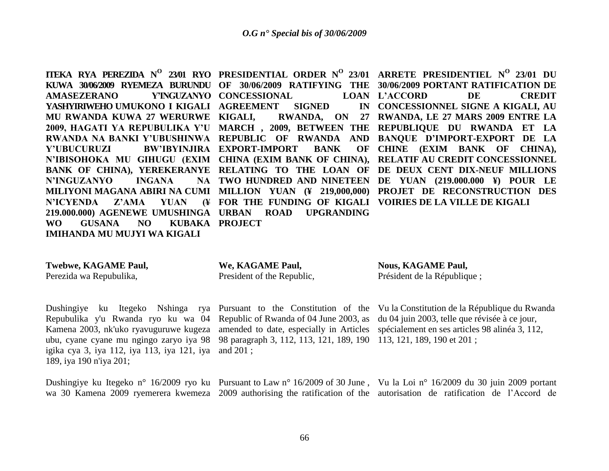**AMASEZERANO YASHYIRIWEHO UMUKONO I KIGALI AGREEMENT SIGNED IN MU RWANDA KUWA 27 WERURWE Y'UBUCURUZI BW'IBYINJIRA EXPORT-IMPORT BANK OF N'INGUZANYO INGANA** N'ICYENDA Z'AMA YUAN **219.000.000) AGENEWE UMUSHINGA URBAN ROAD UPGRANDING WO GUSANA NO KUBAKA PROJECT IMIHANDA MU MUJYI WA KIGALI**

**Y'INGUZANYO CONCESSIONAL** 

**ITEKA RYA PEREZIDA N O 23/01 RYO PRESIDENTIAL ORDER N<sup>O</sup> 23/01 ARRETE PRESIDENTIEL N<sup>O</sup>23/01 DU KUWA 30/06/2009 RYEMEZA BURUNDU OF 30/06/2009 RATIFYING THE 30/06/2009 PORTANT RATIFICATION DE 2009, HAGATI YA REPUBULIKA Y'U MARCH , 2009, BETWEEN THE REPUBLIQUE DU RWANDA ET LA RWANDA NA BANKI Y'UBUSHINWA REPUBLIC OF RWANDA AND BANQUE D'IMPORT-EXPORT DE LA**  N'IBISOHOKA MU GIHUGU (EXIM CHINA (EXIM BANK OF CHINA), RELATIF AU CREDIT CONCESSIONNEL BANK OF CHINA), YEREKERANYE RELATING TO THE LOAN OF DE DEUX CENT DIX-NEUF MILLIONS **MILIYONI MAGANA ABIRI NA CUMI MILLION YUAN (¥ 219,000,000) PROJET DE RECONSTRUCTION DES KIGALI, RWANDA, ON 27 RWANDA, LE 27 MARS 2009 ENTRE LA TWO HUNDRED AND NINETEEN DE YUAN (219.000.000 ¥) POUR LE FOR THE FUNDING OF KIGALI VOIRIES DE LA VILLE DE KIGALI L'ACCORD DE CREDIT CONCESSIONNEL SIGNE A KIGALI, AU CHINE (EXIM BANK OF CHINA),** 

**Twebwe, KAGAME Paul,** Perezida wa Repubulika,

**We, KAGAME Paul,** President of the Republic, **Nous, KAGAME Paul,** Président de la République ;

Repubulika y'u Rwanda ryo ku wa 04 Republic of Rwanda of 04 June 2003, as du 04 juin 2003, telle que révisée à ce jour, Kamena 2003, nk'uko ryavuguruwe kugeza amended to date, especially in Articles spécialement en ses articles 98 alinéa 3, 112, ubu, cyane cyane mu ngingo zaryo iya 98 98 paragraph 3, 112, 113, 121, 189, 190 113, 121, 189, 190 et 201 ; igika cya 3, iya 112, iya 113, iya 121, iya and 201 ; 189, iya 190 n'iya 201;

Dushingiye ku Itegeko Nshinga rya Pursuant to the Constitution of the Vu la Constitution de la République du Rwanda

Dushingiye ku Itegeko n° 16/2009 ryo ku Pursuant to Law n° 16/2009 of 30 June, Vu la Loi n° 16/2009 du 30 juin 2009 portant wa 30 Kamena 2009 ryemerera kwemeza 2009 authorising the ratification of the autorisation de ratification de l"Accord de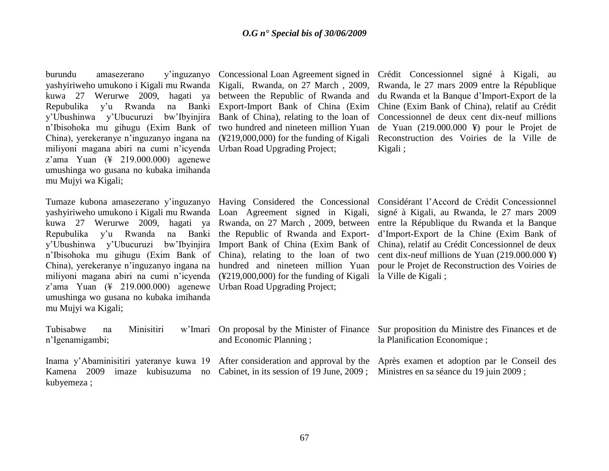|                                         | burundu amasezerano y'inguzanyo                |  |  |  |  |  |  |
|-----------------------------------------|------------------------------------------------|--|--|--|--|--|--|
| yashyiriweho umukono i Kigali mu Rwanda |                                                |  |  |  |  |  |  |
|                                         | kuwa 27 Werurwe 2009, hagati ya                |  |  |  |  |  |  |
|                                         | Repubulika y'u Rwanda na Banki                 |  |  |  |  |  |  |
|                                         | y'Ubushinwa y'Ubucuruzi bw'Ibyinjira           |  |  |  |  |  |  |
|                                         | n'Ibisohoka mu gihugu (Exim Bank of            |  |  |  |  |  |  |
|                                         | China), yerekeranye n'inguzanyo ingana na      |  |  |  |  |  |  |
|                                         | miliyoni magana abiri na cumi n'icyenda        |  |  |  |  |  |  |
|                                         | z'ama Yuan $(\frac{4}{3}$ 219.000.000) agenewe |  |  |  |  |  |  |
| umushinga wo gusana no kubaka imihanda  |                                                |  |  |  |  |  |  |
| mu Mujyi wa Kigali;                     |                                                |  |  |  |  |  |  |

miliyoni magana abiri na cumi n'icyenda (¥219,000,000) for the funding of Kigali la Ville de Kigali; z"ama Yuan (¥ 219.000.000) agenewe Urban Road Upgrading Project; umushinga wo gusana no kubaka imihanda mu Mujyi wa Kigali;

kubyemeza ;

Urban Road Upgrading Project;

Concessional Loan Agreement signed in Crédit Concessionnel signé à Kigali, au Kigali, Rwanda, on 27 March , 2009, Rwanda, le 27 mars 2009 entre la République between the Republic of Rwanda and du Rwanda et la Banque d"Import-Export de la Export-Import Bank of China (Exim Chine (Exim Bank of China), relatif au Crédit Bank of China), relating to the loan of Concessionnel de deux cent dix-neuf millions two hundred and nineteen million Yuan de Yuan (219.000.000 ¥) pour le Projet de (¥219,000,000) for the funding of Kigali Reconstruction des Voiries de la Ville de Kigali ;

Tumaze kubona amasezerano y'inguzanyo Having Considered the Concessional Considérant l'Accord de Crédit Concessionnel yashyiriweho umukono i Kigali mu Rwanda Loan Agreement signed in Kigali, signé à Kigali, au Rwanda, le 27 mars 2009 kuwa 27 Werurwe 2009, hagati ya Rwanda, on 27 March , 2009, between entre la République du Rwanda et la Banque Repubulika y'u Rwanda na Banki the Republic of Rwanda and Export- d'Import-Export de la Chine (Exim Bank of y"Ubushinwa y"Ubucuruzi bw"Ibyinjira Import Bank of China (Exim Bank of China), relatif au Crédit Concessionnel de deux n"Ibisohoka mu gihugu (Exim Bank of China), relating to the loan of two cent dix-neuf millions de Yuan (219.000.000 ¥) China), yerekeranye n"inguzanyo ingana na hundred and nineteen million Yuan pour le Projet de Reconstruction des Voiries de

| Tubisabwe na    |  | Minisitiri |                                                                                                            | w'lmari On proposal by the Minister of Finance Sur proposition du Ministre des Finances et de                               |
|-----------------|--|------------|------------------------------------------------------------------------------------------------------------|-----------------------------------------------------------------------------------------------------------------------------|
| n'Igenamigambi; |  |            | and Economic Planning;                                                                                     | la Planification Economique ;                                                                                               |
|                 |  |            |                                                                                                            |                                                                                                                             |
|                 |  |            |                                                                                                            | Inama y'Abaminisitiri yateranye kuwa 19 After consideration and approval by the Après examen et adoption par le Conseil des |
| Kamena          |  |            | 2009 imaze kubisuzuma no Cabinet, in its session of 19 June, 2009; Ministres en sa séance du 19 juin 2009; |                                                                                                                             |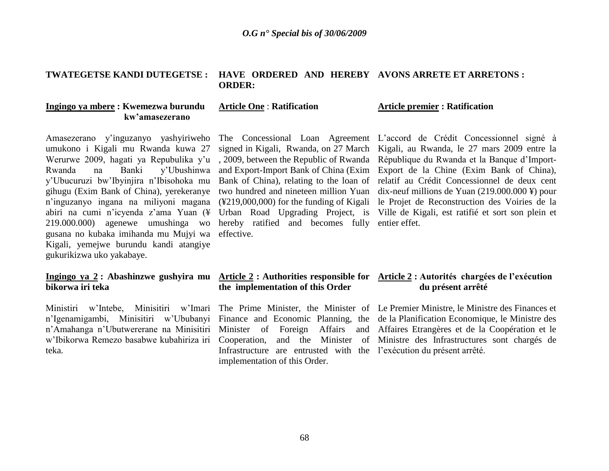#### **TWATEGETSE KANDI DUTEGETSE : HAVE ORDERED AND HEREBY AVONS ARRETE ET ARRETONS : ORDER:**

**Article One** : **Ratification**

#### **Ingingo ya mbere : Kwemezwa burundu kw'amasezerano**

Amasezerano y"inguzanyo yashyiriweho The Concessional Loan Agreement L"accord de Crédit Concessionnel signé à umukono i Kigali mu Rwanda kuwa 27 Rwanda na Banki y"Ubushinwa y"Ubucuruzi bw"Ibyinjira n"Ibisohoka mu gihugu (Exim Bank of China), yerekeranye 219.000.000) agenewe umushinga wo hereby ratified and becomes fully entier effet. gusana no kubaka imihanda mu Mujyi wa Kigali, yemejwe burundu kandi atangiye gukurikizwa uko yakabaye.

# **bikorwa iri teka**

teka.

# effective.

#### **Article premier : Ratification**

Werurwe 2009, hagati ya Repubulika y'u, 2009, between the Republic of Rwanda République du Rwanda et la Banque d'Importn"inguzanyo ingana na miliyoni magana (¥219,000,000) for the funding of Kigali le Projet de Reconstruction des Voiries de la abiri na cumi n"icyenda z"ama Yuan (¥ Urban Road Upgrading Project, is Ville de Kigali, est ratifié et sort son plein et signed in Kigali, Rwanda, on 27 March Kigali, au Rwanda, le 27 mars 2009 entre la and Export-Import Bank of China (Exim Export de la Chine (Exim Bank of China), Bank of China), relating to the loan of relatif au Crédit Concessionnel de deux cent two hundred and nineteen million Yuan dix-neuf millions de Yuan (219.000.000 ¥) pour

#### **Ingingo ya 2 : Abashinzwe gushyira mu Article 2 : Authorities responsible for Article 2 : Autorités chargées de l'exécution the implementation of this Order du présent arrêté**

Infrastructure are entrusted with the l'exécution du présent arrêté. implementation of this Order.

Ministiri w'Intebe, Minisitiri w'Imari The Prime Minister, the Minister of Le Premier Ministre, le Ministre des Finances et n"Igenamigambi, Minisitiri w"Ububanyi Finance and Economic Planning, the de la Planification Economique, le Ministre des n"Amahanga n"Ubutwererane na Minisitiri Minister of Foreign Affairs and Affaires Etrangères et de la Coopération et le w'Ibikorwa Remezo basabwe kubahiriza iri Cooperation, and the Minister of Ministre des Infrastructures sont chargés de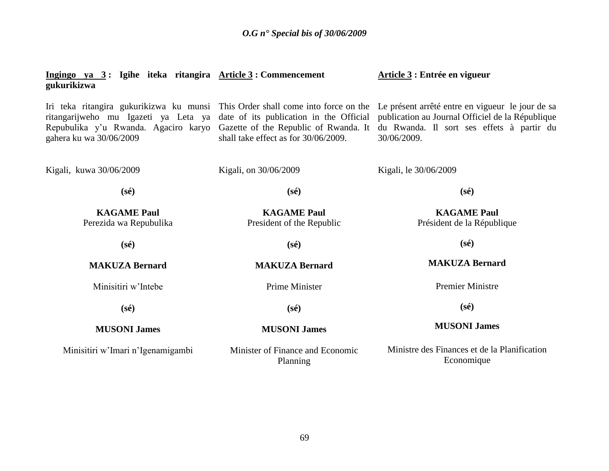| Ingingo ya $3:$ Igihe iteka ritangira Article $3:$ Commencement<br>gukurikizwa                          |                                                                               | Article 3 : Entrée en vigueur                                                                                                                                                                                                                                                            |
|---------------------------------------------------------------------------------------------------------|-------------------------------------------------------------------------------|------------------------------------------------------------------------------------------------------------------------------------------------------------------------------------------------------------------------------------------------------------------------------------------|
| ritangarijweho mu Igazeti ya Leta ya<br>Repubulika y'u Rwanda. Agaciro karyo<br>gahera ku wa 30/06/2009 | Gazette of the Republic of Rwanda. It<br>shall take effect as for 30/06/2009. | Iri teka ritangira gukurikizwa ku munsi This Order shall come into force on the Le présent arrêté entre en vigueur le jour de sa<br>date of its publication in the Official publication au Journal Officiel de la République<br>du Rwanda. Il sort ses effets à partir du<br>30/06/2009. |
| Kigali, kuwa 30/06/2009                                                                                 | Kigali, on 30/06/2009                                                         | Kigali, le 30/06/2009                                                                                                                                                                                                                                                                    |
| $(s\acute{e})$                                                                                          | $(s\acute{e})$                                                                | $(s\acute{e})$                                                                                                                                                                                                                                                                           |
| <b>KAGAME Paul</b><br>Perezida wa Repubulika                                                            | <b>KAGAME Paul</b><br>President of the Republic                               | <b>KAGAME Paul</b><br>Président de la République                                                                                                                                                                                                                                         |
| $(s\acute{e})$                                                                                          | $(s\acute{e})$                                                                | $(s\acute{e})$                                                                                                                                                                                                                                                                           |
| <b>MAKUZA Bernard</b>                                                                                   | <b>MAKUZA Bernard</b><br><b>MAKUZA Bernard</b>                                |                                                                                                                                                                                                                                                                                          |
| Minisitiri w'Intebe                                                                                     | <b>Prime Minister</b>                                                         | <b>Premier Ministre</b>                                                                                                                                                                                                                                                                  |
| $(s\acute{e})$                                                                                          | $(s\acute{e})$                                                                | $(s\acute{e})$                                                                                                                                                                                                                                                                           |
| <b>MUSONI James</b>                                                                                     | <b>MUSONI James</b>                                                           | <b>MUSONI James</b>                                                                                                                                                                                                                                                                      |
| Minisitiri w'Imari n'Igenamigambi                                                                       | Minister of Finance and Economic<br>Planning                                  | Ministre des Finances et de la Planification<br>Economique                                                                                                                                                                                                                               |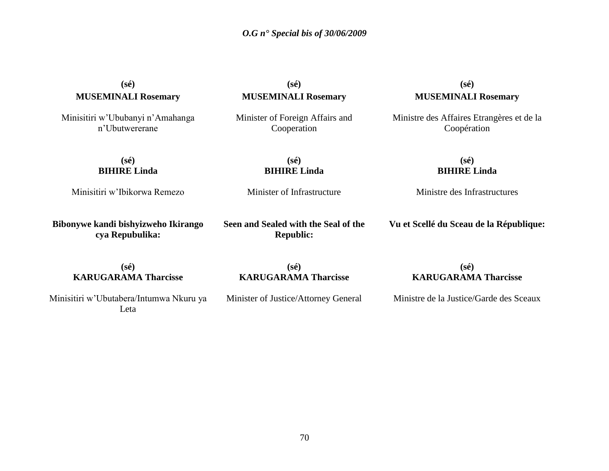# **(sé) MUSEMINALI Rosemary**

Minisitiri w"Ububanyi n"Amahanga n"Ubutwererane

**(sé) MUSEMINALI Rosemary**

Minister of Foreign Affairs and Cooperation

> **(sé) BIHIRE Linda**

Minister of Infrastructure

**(sé) MUSEMINALI Rosemary**

Ministre des Affaires Etrangères et de la Coopération

**(sé) BIHIRE Linda**

Minisitiri w"Ibikorwa Remezo

**Bibonywe kandi bishyizweho Ikirango cya Repubulika:**

**Seen and Sealed with the Seal of the Republic:**

#### **(sé) BIHIRE Linda**

Ministre des Infrastructures

**Vu et Scellé du Sceau de la République:**

**(sé) KARUGARAMA Tharcisse**

**(sé) KARUGARAMA Tharcisse**

**(sé) KARUGARAMA Tharcisse**

Minisitiri w"Ubutabera/Intumwa Nkuru ya Leta

Minister of Justice/Attorney General

Ministre de la Justice/Garde des Sceaux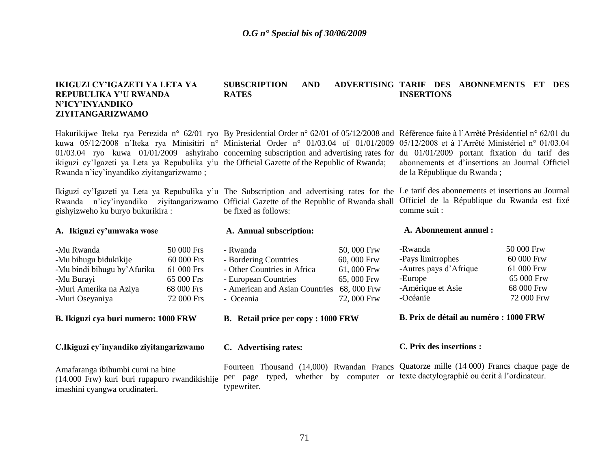#### **IKIGUZI CY'IGAZETI YA LETA YA REPUBULIKA Y'U RWANDA N'ICY'INYANDIKO ZIYITANGARIZWAMO**

Hakurikijwe Iteka rya Perezida n° 62/01 ryo By Presidential Order n° 62/01 of 05/12/2008 and Référence faite à l'Arrêté Présidentiel n° 62/01 du ikiguzi cy'Igazeti ya Leta ya Repubulika y'u the Official Gazette of the Republic of Rwanda; Rwanda n"icy"inyandiko ziyitangarizwamo ;

gishyizweho ku buryo bukurikira :

#### **A. Ikiguzi cy'umwaka wose**

| -Mu Rwanda                  | 50 000 Frs |
|-----------------------------|------------|
| -Mu bihugu bidukikije       | 60 000 Frs |
| -Mu bindi bihugu by'Afurika | 61 000 Frs |
| -Mu Burayi                  | 65 000 Frs |
| -Muri Amerika na Aziya      | 68 000 Frs |
| -Muri Oseyaniya             | 72 000 Frs |

**B. Ikiguzi cya buri numero: 1000 FRW**

**C.Ikiguzi cy'inyandiko ziyitangarizwamo**

Amafaranga ibihumbi cumi na bine (14.000 Frw) kuri buri rupapuro rwandikishije imashini cyangwa orudinateri.

#### **SUBSCRIPTION AND ADVERTISING TARIF DES ABONNEMENTS ET DES RATES INSERTIONS**

kuwa 05/12/2008 n'Iteka rya Minisitiri n° Ministerial Order n° 01/03.04 of 01/01/2009 05/12/2008 et à l'Arrêté Ministériel n° 01/03.04 01/03.04 ryo kuwa 01/01/2009 ashyiraho concerning subscription and advertising rates for du 01/01/2009 portant fixation du tarif des

Rwanda n'icy'inyandiko ziyitangarizwamo Official Gazette of the Republic of Rwanda shall Officiel de la République du Rwanda est fixé be fixed as follows:

#### **A. Annual subscription:**

- Rwanda 50, 000 Frw - Bordering Countries 60, 000 Frw - Other Countries in Africa 61, 000 Frw - European Countries 65, 000 Frw - American and Asian Countries 68, 000 Frw - Oceania 72, 000 Frw

**B. Retail price per copy : 1000 FRW**

**C. Advertising rates:**

abonnements et d"insertions au Journal Officiel de la République du Rwanda ;

Ikiguzi cy'Igazeti ya Leta ya Repubulika y'u The Subscription and advertising rates for the Le tarif des abonnements et insertions au Journal comme suit :

#### **A. Abonnement annuel :**

| 50 000 Frw |
|------------|
| 60 000 Frw |
| 61 000 Frw |
| 65 000 Frw |
| 68 000 Frw |
| 72 000 Frw |
|            |

**B. Prix de détail au numéro : 1000 FRW**

#### **C. Prix des insertions :**

Fourteen Thousand (14,000) Rwandan Francs Quatorze mille (14 000) Francs chaque page de per page typed, whether by computer or texte-dactylographié ou écrit à l'ordinateur. typewriter.